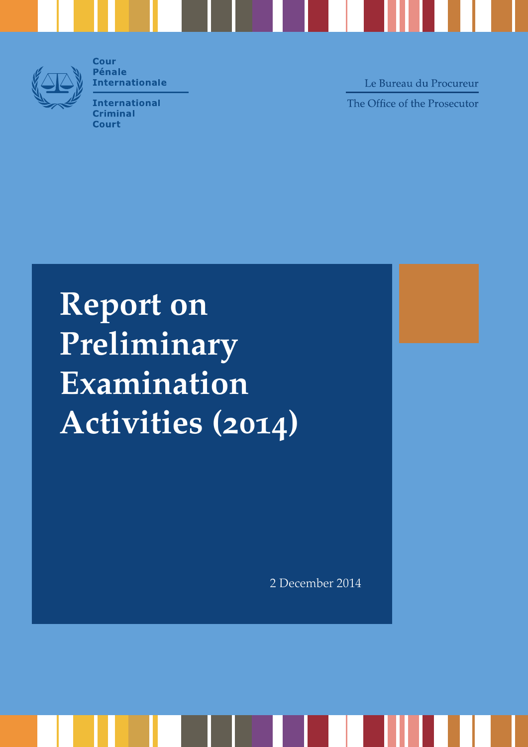

**Cour Pénale Internationale** 

**International Criminal Court** 

Le Bureau du Procureur The Office of the Prosecutor

**Report on Preliminary Examination Activities (2014)**

2 December 2014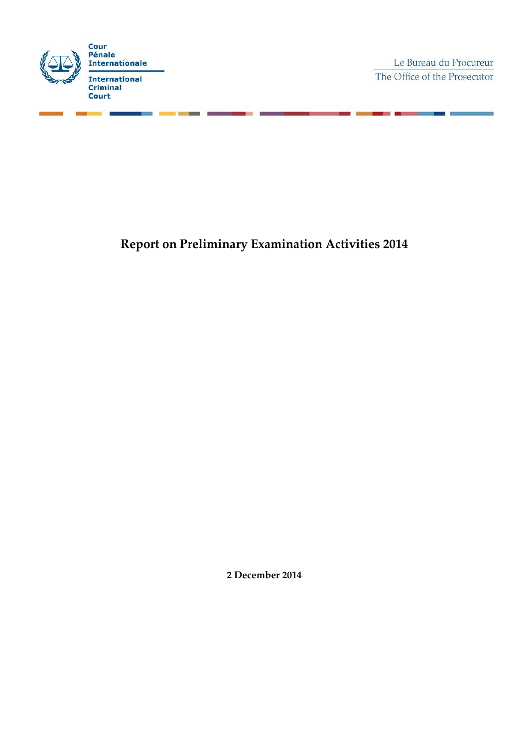

Le Bureau du Procureur The Office of the Prosecutor

> ÷. ٠

**Report on Preliminary Examination Activities 2014**

**2 December 2014**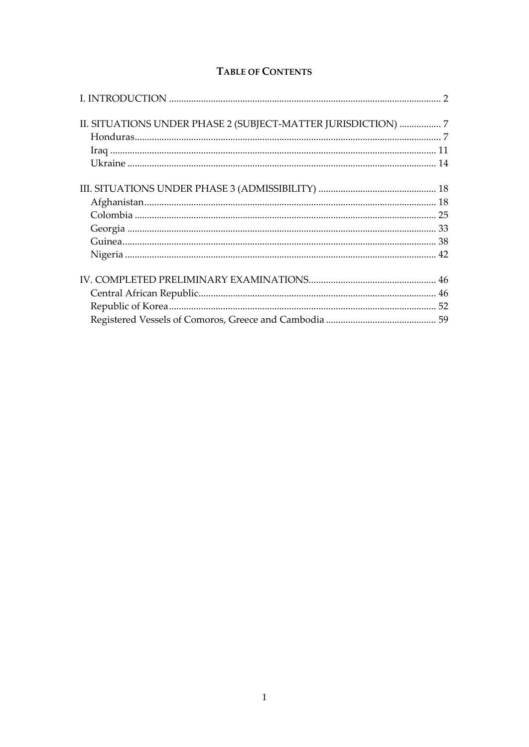## **TABLE OF CONTENTS**

| II. SITUATIONS UNDER PHASE 2 (SUBJECT-MATTER JURISDICTION)  7 |  |
|---------------------------------------------------------------|--|
|                                                               |  |
|                                                               |  |
|                                                               |  |
|                                                               |  |
|                                                               |  |
|                                                               |  |
|                                                               |  |
|                                                               |  |
|                                                               |  |
|                                                               |  |
|                                                               |  |
|                                                               |  |
|                                                               |  |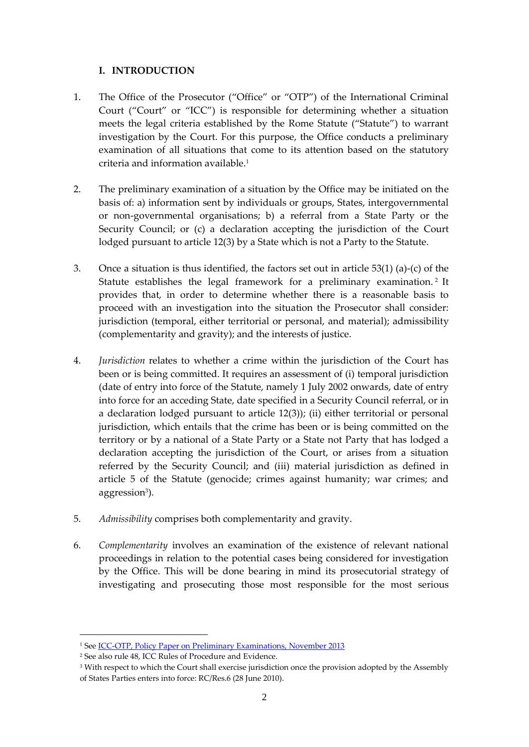## <span id="page-3-0"></span>**I. INTRODUCTION**

- 1. The Office of the Prosecutor ("Office" or "OTP") of the International Criminal Court ("Court" or "ICC") is responsible for determining whether a situation meets the legal criteria established by the Rome Statute ("Statute") to warrant investigation by the Court. For this purpose, the Office conducts a preliminary examination of all situations that come to its attention based on the statutory criteria and information available.<sup>1</sup>
- 2. The preliminary examination of a situation by the Office may be initiated on the basis of: a) information sent by individuals or groups, States, intergovernmental or non-governmental organisations; b) a referral from a State Party or the Security Council; or (c) a declaration accepting the jurisdiction of the Court lodged pursuant to article 12(3) by a State which is not a Party to the Statute.
- 3. Once a situation is thus identified, the factors set out in article 53(1) (a)-(c) of the Statute establishes the legal framework for a preliminary examination. <sup>2</sup> It provides that, in order to determine whether there is a reasonable basis to proceed with an investigation into the situation the Prosecutor shall consider: jurisdiction (temporal, either territorial or personal, and material); admissibility (complementarity and gravity); and the interests of justice.
- 4. *Jurisdiction* relates to whether a crime within the jurisdiction of the Court has been or is being committed. It requires an assessment of (i) temporal jurisdiction (date of entry into force of the Statute, namely 1 July 2002 onwards, date of entry into force for an acceding State, date specified in a Security Council referral, or in a declaration lodged pursuant to article 12(3)); (ii) either territorial or personal jurisdiction, which entails that the crime has been or is being committed on the territory or by a national of a State Party or a State not Party that has lodged a declaration accepting the jurisdiction of the Court, or arises from a situation referred by the Security Council; and (iii) material jurisdiction as defined in article 5 of the Statute (genocide; crimes against humanity; war crimes; and aggression<sup>3</sup>).
- 5. *Admissibility* comprises both complementarity and gravity.
- 6. *Complementarity* involves an examination of the existence of relevant national proceedings in relation to the potential cases being considered for investigation by the Office. This will be done bearing in mind its prosecutorial strategy of investigating and prosecuting those most responsible for the most serious

<sup>&</sup>lt;sup>1</sup> See <u>ICC-OTP, Policy Paper on Preliminary Examinations, November 2013</u>

<sup>2</sup> See also rule 48, ICC Rules of Procedure and Evidence.

<sup>&</sup>lt;sup>3</sup> With respect to which the Court shall exercise jurisdiction once the provision adopted by the Assembly of States Parties enters into force: RC/Res.6 (28 June 2010).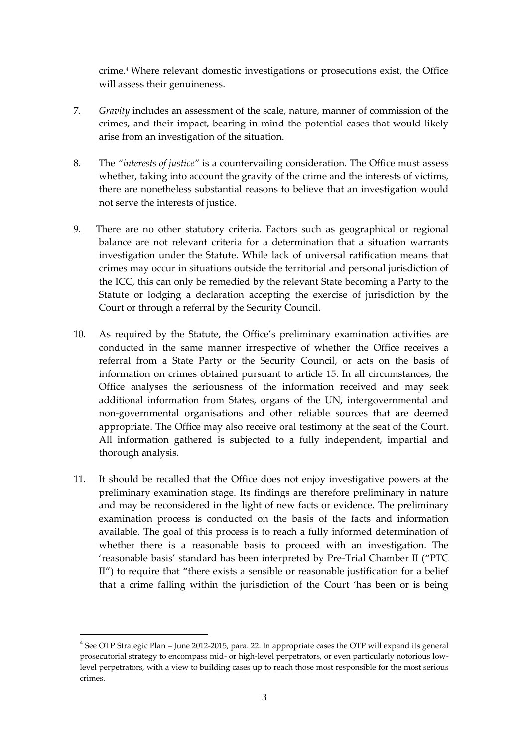crime. <sup>4</sup> Where relevant domestic investigations or prosecutions exist, the Office will assess their genuineness.

- 7. *Gravity* includes an assessment of the scale, nature, manner of commission of the crimes, and their impact, bearing in mind the potential cases that would likely arise from an investigation of the situation.
- 8. The *"interests of justice"* is a countervailing consideration. The Office must assess whether, taking into account the gravity of the crime and the interests of victims, there are nonetheless substantial reasons to believe that an investigation would not serve the interests of justice.
- 9. There are no other statutory criteria. Factors such as geographical or regional balance are not relevant criteria for a determination that a situation warrants investigation under the Statute. While lack of universal ratification means that crimes may occur in situations outside the territorial and personal jurisdiction of the ICC, this can only be remedied by the relevant State becoming a Party to the Statute or lodging a declaration accepting the exercise of jurisdiction by the Court or through a referral by the Security Council.
- 10. As required by the Statute, the Office's preliminary examination activities are conducted in the same manner irrespective of whether the Office receives a referral from a State Party or the Security Council, or acts on the basis of information on crimes obtained pursuant to article 15. In all circumstances, the Office analyses the seriousness of the information received and may seek additional information from States, organs of the UN, intergovernmental and non-governmental organisations and other reliable sources that are deemed appropriate. The Office may also receive oral testimony at the seat of the Court. All information gathered is subjected to a fully independent, impartial and thorough analysis.
- 11. It should be recalled that the Office does not enjoy investigative powers at the preliminary examination stage. Its findings are therefore preliminary in nature and may be reconsidered in the light of new facts or evidence. The preliminary examination process is conducted on the basis of the facts and information available. The goal of this process is to reach a fully informed determination of whether there is a reasonable basis to proceed with an investigation. The 'reasonable basis' standard has been interpreted by Pre-Trial Chamber II ("PTC II") to require that "there exists a sensible or reasonable justification for a belief that a crime falling within the jurisdiction of the Court 'has been or is being

<sup>&</sup>lt;sup>4</sup> See OTP Strategic Plan – June 2012-2015, para. 22. In appropriate cases the OTP will expand its general prosecutorial strategy to encompass mid- or high-level perpetrators, or even particularly notorious lowlevel perpetrators, with a view to building cases up to reach those most responsible for the most serious crimes.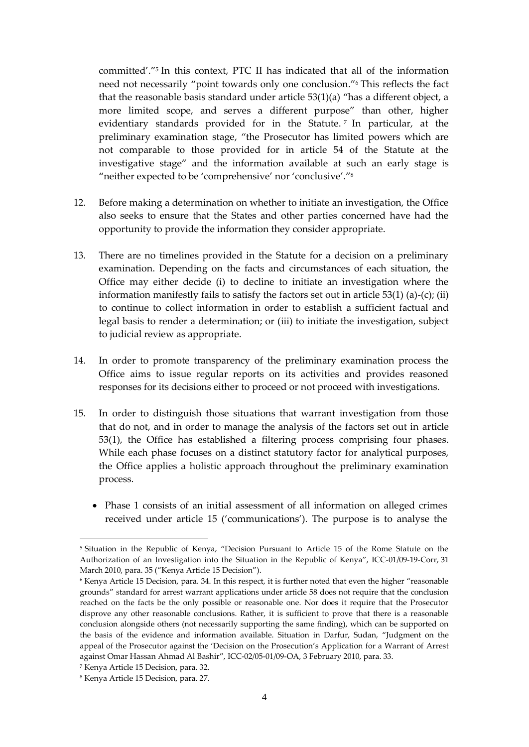committed'." 5 In this context, PTC II has indicated that all of the information need not necessarily "point towards only one conclusion." <sup>6</sup> This reflects the fact that the reasonable basis standard under article 53(1)(a) "has a different object, a more limited scope, and serves a different purpose" than other, higher evidentiary standards provided for in the Statute. <sup>7</sup> In particular, at the preliminary examination stage, "the Prosecutor has limited powers which are not comparable to those provided for in article 54 of the Statute at the investigative stage" and the information available at such an early stage is "neither expected to be 'comprehensive' nor 'conclusive'." 8

- 12. Before making a determination on whether to initiate an investigation, the Office also seeks to ensure that the States and other parties concerned have had the opportunity to provide the information they consider appropriate.
- 13. There are no timelines provided in the Statute for a decision on a preliminary examination. Depending on the facts and circumstances of each situation, the Office may either decide (i) to decline to initiate an investigation where the information manifestly fails to satisfy the factors set out in article  $53(1)$  (a)-(c); (ii) to continue to collect information in order to establish a sufficient factual and legal basis to render a determination; or (iii) to initiate the investigation, subject to judicial review as appropriate.
- 14. In order to promote transparency of the preliminary examination process the Office aims to issue regular reports on its activities and provides reasoned responses for its decisions either to proceed or not proceed with investigations.
- 15. In order to distinguish those situations that warrant investigation from those that do not, and in order to manage the analysis of the factors set out in article 53(1), the Office has established a filtering process comprising four phases. While each phase focuses on a distinct statutory factor for analytical purposes, the Office applies a holistic approach throughout the preliminary examination process.
	- Phase 1 consists of an initial assessment of all information on alleged crimes received under article 15 ('communications'). The purpose is to analyse the

<sup>5</sup> Situation in the Republic of Kenya, "Decision Pursuant to Article 15 of the Rome Statute on the Authorization of an Investigation into the Situation in the Republic of Kenya", ICC-01/09-19-Corr, 31 March 2010, para. 35 ("Kenya Article 15 Decision").

<sup>6</sup> Kenya Article 15 Decision, para. 34. In this respect, it is further noted that even the higher "reasonable grounds" standard for arrest warrant applications under article 58 does not require that the conclusion reached on the facts be the only possible or reasonable one. Nor does it require that the Prosecutor disprove any other reasonable conclusions. Rather, it is sufficient to prove that there is a reasonable conclusion alongside others (not necessarily supporting the same finding), which can be supported on the basis of the evidence and information available. Situation in Darfur, Sudan, "Judgment on the appeal of the Prosecutor against the 'Decision on the Prosecution's Application for a Warrant of Arrest against Omar Hassan Ahmad Al Bashir", ICC-02/05-01/09-OA, 3 February 2010, para. 33.

<sup>7</sup> Kenya Article 15 Decision, para. 32.

<sup>8</sup> Kenya Article 15 Decision, para. 27.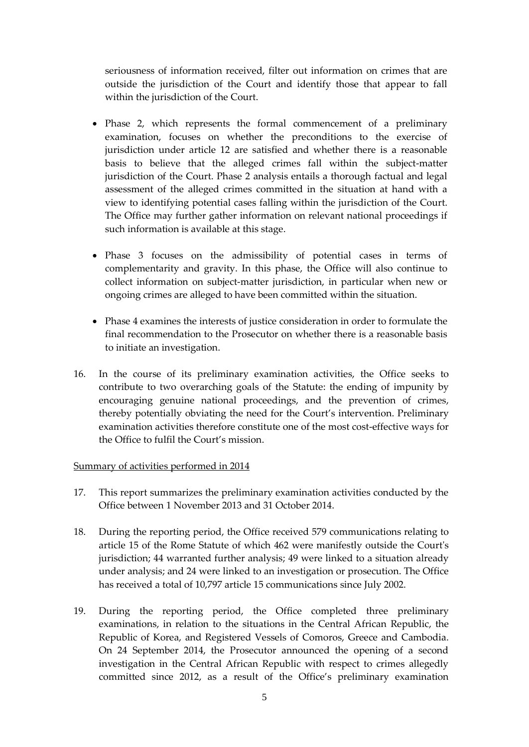seriousness of information received, filter out information on crimes that are outside the jurisdiction of the Court and identify those that appear to fall within the jurisdiction of the Court.

- Phase 2, which represents the formal commencement of a preliminary examination, focuses on whether the preconditions to the exercise of jurisdiction under article 12 are satisfied and whether there is a reasonable basis to believe that the alleged crimes fall within the subject-matter jurisdiction of the Court. Phase 2 analysis entails a thorough factual and legal assessment of the alleged crimes committed in the situation at hand with a view to identifying potential cases falling within the jurisdiction of the Court. The Office may further gather information on relevant national proceedings if such information is available at this stage.
- Phase 3 focuses on the admissibility of potential cases in terms of complementarity and gravity. In this phase, the Office will also continue to collect information on subject-matter jurisdiction, in particular when new or ongoing crimes are alleged to have been committed within the situation.
- Phase 4 examines the interests of justice consideration in order to formulate the final recommendation to the Prosecutor on whether there is a reasonable basis to initiate an investigation.
- 16. In the course of its preliminary examination activities, the Office seeks to contribute to two overarching goals of the Statute: the ending of impunity by encouraging genuine national proceedings, and the prevention of crimes, thereby potentially obviating the need for the Court's intervention. Preliminary examination activities therefore constitute one of the most cost-effective ways for the Office to fulfil the Court's mission.

#### Summary of activities performed in 2014

- 17. This report summarizes the preliminary examination activities conducted by the Office between 1 November 2013 and 31 October 2014.
- 18. During the reporting period, the Office received 579 communications relating to article 15 of the Rome Statute of which 462 were manifestly outside the Court's jurisdiction; 44 warranted further analysis; 49 were linked to a situation already under analysis; and 24 were linked to an investigation or prosecution. The Office has received a total of 10,797 article 15 communications since July 2002.
- 19. During the reporting period, the Office completed three preliminary examinations, in relation to the situations in the Central African Republic, the Republic of Korea, and Registered Vessels of Comoros, Greece and Cambodia. On 24 September 2014, the Prosecutor announced the opening of a second investigation in the Central African Republic with respect to crimes allegedly committed since 2012, as a result of the Office's preliminary examination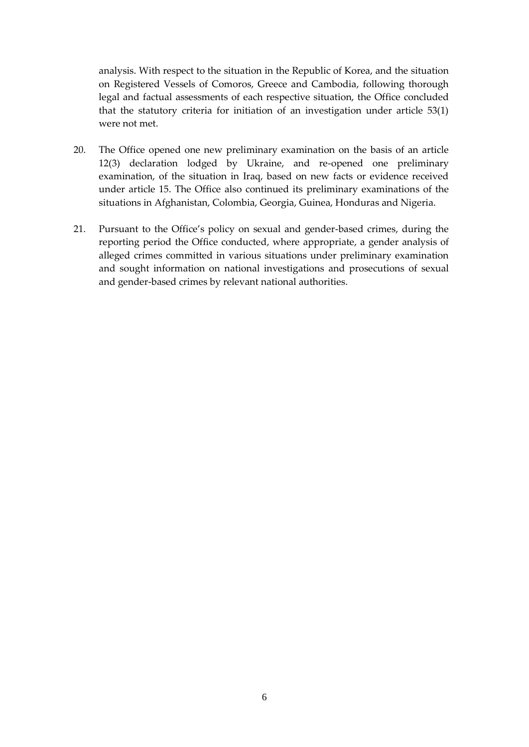analysis. With respect to the situation in the Republic of Korea, and the situation on Registered Vessels of Comoros, Greece and Cambodia, following thorough legal and factual assessments of each respective situation, the Office concluded that the statutory criteria for initiation of an investigation under article 53(1) were not met.

- 20. The Office opened one new preliminary examination on the basis of an article 12(3) declaration lodged by Ukraine, and re-opened one preliminary examination, of the situation in Iraq, based on new facts or evidence received under article 15. The Office also continued its preliminary examinations of the situations in Afghanistan, Colombia, Georgia, Guinea, Honduras and Nigeria.
- 21. Pursuant to the Office's policy on sexual and gender-based crimes, during the reporting period the Office conducted, where appropriate, a gender analysis of alleged crimes committed in various situations under preliminary examination and sought information on national investigations and prosecutions of sexual and gender-based crimes by relevant national authorities.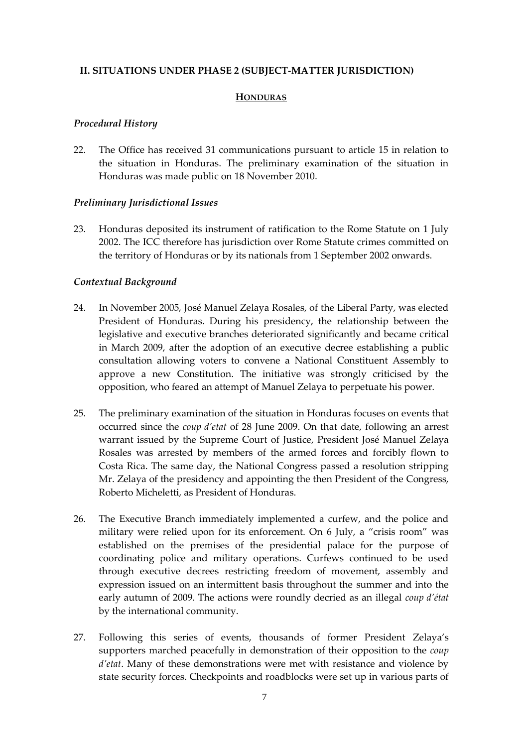### <span id="page-8-1"></span><span id="page-8-0"></span>**II. SITUATIONS UNDER PHASE 2 (SUBJECT-MATTER JURISDICTION)**

#### **HONDURAS**

#### *Procedural History*

22. The Office has received 31 communications pursuant to article 15 in relation to the situation in Honduras. The preliminary examination of the situation in Honduras was made public on 18 November 2010.

#### *Preliminary Jurisdictional Issues*

23. Honduras deposited its instrument of ratification to the Rome Statute on 1 July 2002. The ICC therefore has jurisdiction over Rome Statute crimes committed on the territory of Honduras or by its nationals from 1 September 2002 onwards.

#### *Contextual Background*

- 24. In November 2005, José Manuel Zelaya Rosales, of the Liberal Party, was elected President of Honduras. During his presidency, the relationship between the legislative and executive branches deteriorated significantly and became critical in March 2009, after the adoption of an executive decree establishing a public consultation allowing voters to convene a National Constituent Assembly to approve a new Constitution. The initiative was strongly criticised by the opposition, who feared an attempt of Manuel Zelaya to perpetuate his power.
- 25. The preliminary examination of the situation in Honduras focuses on events that occurred since the *coup d'etat* of 28 June 2009. On that date, following an arrest warrant issued by the Supreme Court of Justice, President José Manuel Zelaya Rosales was arrested by members of the armed forces and forcibly flown to Costa Rica. The same day, the National Congress passed a resolution stripping Mr. Zelaya of the presidency and appointing the then President of the Congress, Roberto Micheletti, as President of Honduras.
- 26. The Executive Branch immediately implemented a curfew, and the police and military were relied upon for its enforcement. On 6 July, a "crisis room" was established on the premises of the presidential palace for the purpose of coordinating police and military operations. Curfews continued to be used through executive decrees restricting freedom of movement, assembly and expression issued on an intermittent basis throughout the summer and into the early autumn of 2009. The actions were roundly decried as an illegal *coup d'état* by the international community.
- 27. Following this series of events, thousands of former President Zelaya's supporters marched peacefully in demonstration of their opposition to the *coup d'etat*. Many of these demonstrations were met with resistance and violence by state security forces. Checkpoints and roadblocks were set up in various parts of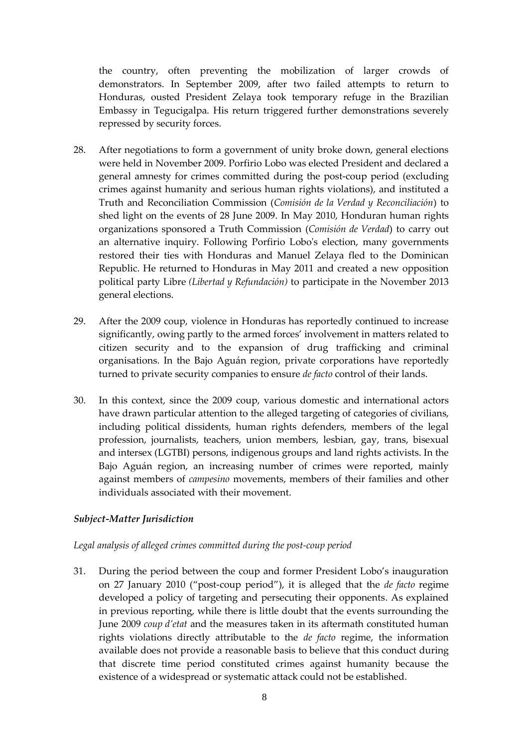the country, often preventing the mobilization of larger crowds of demonstrators. In September 2009, after two failed attempts to return to Honduras, ousted President Zelaya took temporary refuge in the Brazilian Embassy in Tegucigalpa. His return triggered further demonstrations severely repressed by security forces.

- 28. After negotiations to form a government of unity broke down, general elections were held in November 2009. Porfirio Lobo was elected President and declared a general amnesty for crimes committed during the post-coup period (excluding crimes against humanity and serious human rights violations), and instituted a Truth and Reconciliation Commission (*Comisión de la Verdad y Reconciliación*) to shed light on the events of 28 June 2009. In May 2010, Honduran human rights organizations sponsored a Truth Commission (*Comisión de Verdad*) to carry out an alternative inquiry. Following Porfirio Lobo's election, many governments restored their ties with Honduras and Manuel Zelaya fled to the Dominican Republic. He returned to Honduras in May 2011 and created a new opposition political party Libre *(Libertad y Refundación)* to participate in the November 2013 general elections.
- 29. After the 2009 coup, violence in Honduras has reportedly continued to increase significantly, owing partly to the armed forces' involvement in matters related to citizen security and to the expansion of drug trafficking and criminal organisations. In the Bajo Aguán region, private corporations have reportedly turned to private security companies to ensure *de facto* control of their lands.
- 30. In this context, since the 2009 coup, various domestic and international actors have drawn particular attention to the alleged targeting of categories of civilians, including political dissidents, human rights defenders, members of the legal profession, journalists, teachers, union members, lesbian, gay, trans, bisexual and intersex (LGTBI) persons, indigenous groups and land rights activists. In the Bajo Aguán region, an increasing number of crimes were reported, mainly against members of *campesino* movements, members of their families and other individuals associated with their movement.

## *Subject-Matter Jurisdiction*

## *Legal analysis of alleged crimes committed during the post-coup period*

31. During the period between the coup and former President Lobo's inauguration on 27 January 2010 ("post-coup period"), it is alleged that the *de facto* regime developed a policy of targeting and persecuting their opponents. As explained in previous reporting, while there is little doubt that the events surrounding the June 2009 *coup d'etat* and the measures taken in its aftermath constituted human rights violations directly attributable to the *de facto* regime, the information available does not provide a reasonable basis to believe that this conduct during that discrete time period constituted crimes against humanity because the existence of a widespread or systematic attack could not be established.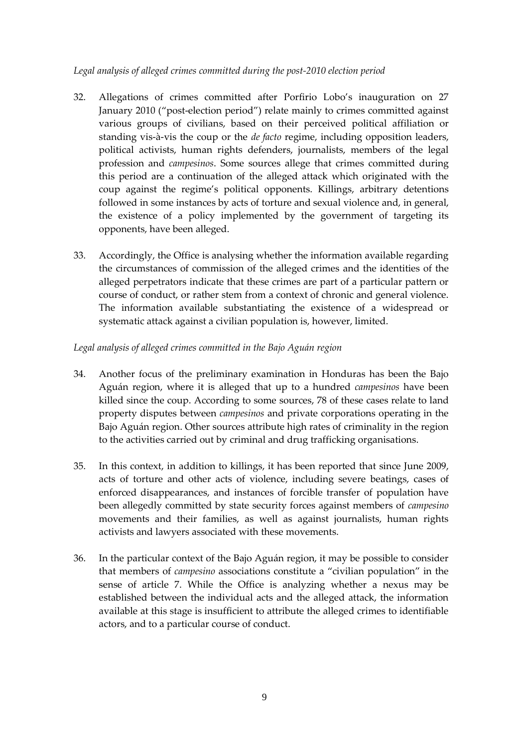## *Legal analysis of alleged crimes committed during the post-2010 election period*

- 32. Allegations of crimes committed after Porfirio Lobo's inauguration on 27 January 2010 ("post-election period") relate mainly to crimes committed against various groups of civilians, based on their perceived political affiliation or standing vis-à-vis the coup or the *de facto* regime, including opposition leaders, political activists, human rights defenders, journalists, members of the legal profession and *campesinos*. Some sources allege that crimes committed during this period are a continuation of the alleged attack which originated with the coup against the regime's political opponents. Killings, arbitrary detentions followed in some instances by acts of torture and sexual violence and, in general, the existence of a policy implemented by the government of targeting its opponents, have been alleged.
- 33. Accordingly, the Office is analysing whether the information available regarding the circumstances of commission of the alleged crimes and the identities of the alleged perpetrators indicate that these crimes are part of a particular pattern or course of conduct, or rather stem from a context of chronic and general violence. The information available substantiating the existence of a widespread or systematic attack against a civilian population is, however, limited.

## *Legal analysis of alleged crimes committed in the Bajo Aguán region*

- 34. Another focus of the preliminary examination in Honduras has been the Bajo Aguán region, where it is alleged that up to a hundred *campesinos* have been killed since the coup. According to some sources, 78 of these cases relate to land property disputes between *campesinos* and private corporations operating in the Bajo Aguán region. Other sources attribute high rates of criminality in the region to the activities carried out by criminal and drug trafficking organisations.
- 35. In this context, in addition to killings, it has been reported that since June 2009, acts of torture and other acts of violence, including severe beatings, cases of enforced disappearances, and instances of forcible transfer of population have been allegedly committed by state security forces against members of *campesino* movements and their families, as well as against journalists, human rights activists and lawyers associated with these movements.
- 36. In the particular context of the Bajo Aguán region, it may be possible to consider that members of *campesino* associations constitute a "civilian population" in the sense of article 7. While the Office is analyzing whether a nexus may be established between the individual acts and the alleged attack, the information available at this stage is insufficient to attribute the alleged crimes to identifiable actors, and to a particular course of conduct.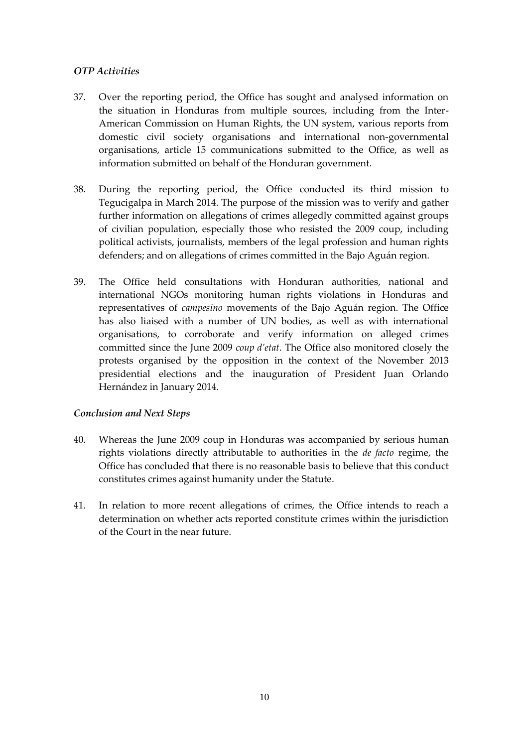## *OTP Activities*

- 37. Over the reporting period, the Office has sought and analysed information on the situation in Honduras from multiple sources, including from the Inter-American Commission on Human Rights, the UN system, various reports from domestic civil society organisations and international non-governmental organisations, article 15 communications submitted to the Office, as well as information submitted on behalf of the Honduran government.
- 38. During the reporting period, the Office conducted its third mission to Tegucigalpa in March 2014. The purpose of the mission was to verify and gather further information on allegations of crimes allegedly committed against groups of civilian population, especially those who resisted the 2009 coup, including political activists, journalists, members of the legal profession and human rights defenders; and on allegations of crimes committed in the Bajo Aguán region.
- 39. The Office held consultations with Honduran authorities, national and international NGOs monitoring human rights violations in Honduras and representatives of *campesino* movements of the Bajo Aguán region. The Office has also liaised with a number of UN bodies, as well as with international organisations, to corroborate and verify information on alleged crimes committed since the June 2009 *coup d'etat*. The Office also monitored closely the protests organised by the opposition in the context of the November 2013 presidential elections and the inauguration of President Juan Orlando Hernández in January 2014.

## *Conclusion and Next Steps*

- 40. Whereas the June 2009 coup in Honduras was accompanied by serious human rights violations directly attributable to authorities in the *de facto* regime, the Office has concluded that there is no reasonable basis to believe that this conduct constitutes crimes against humanity under the Statute.
- 41. In relation to more recent allegations of crimes, the Office intends to reach a determination on whether acts reported constitute crimes within the jurisdiction of the Court in the near future.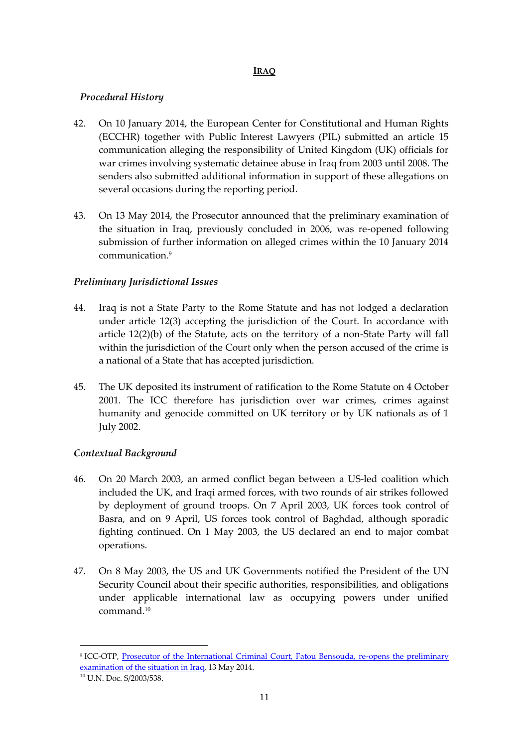## **IRAQ**

## <span id="page-12-0"></span>*Procedural History*

- 42. On 10 January 2014, the European Center for Constitutional and Human Rights (ECCHR) together with Public Interest Lawyers (PIL) submitted an article 15 communication alleging the responsibility of United Kingdom (UK) officials for war crimes involving systematic detainee abuse in Iraq from 2003 until 2008. The senders also submitted additional information in support of these allegations on several occasions during the reporting period.
- 43. On 13 May 2014, the Prosecutor announced that the preliminary examination of the situation in Iraq, previously concluded in 2006, was re-opened following submission of further information on alleged crimes within the 10 January 2014 communication.<sup>9</sup>

## *Preliminary Jurisdictional Issues*

- 44. Iraq is not a State Party to the Rome Statute and has not lodged a declaration under article 12(3) accepting the jurisdiction of the Court. In accordance with article 12(2)(b) of the Statute, acts on the territory of a non-State Party will fall within the jurisdiction of the Court only when the person accused of the crime is a national of a State that has accepted jurisdiction.
- 45. The UK deposited its instrument of ratification to the Rome Statute on 4 October 2001. The ICC therefore has jurisdiction over war crimes, crimes against humanity and genocide committed on UK territory or by UK nationals as of 1 July 2002.

## *Contextual Background*

- 46. On 20 March 2003, an armed conflict began between a US-led coalition which included the UK, and Iraqi armed forces, with two rounds of air strikes followed by deployment of ground troops. On 7 April 2003, UK forces took control of Basra, and on 9 April, US forces took control of Baghdad, although sporadic fighting continued. On 1 May 2003, the US declared an end to major combat operations.
- 47. On 8 May 2003, the US and UK Governments notified the President of the UN Security Council about their specific authorities, responsibilities, and obligations under applicable international law as occupying powers under unified command.<sup>10</sup>

<sup>&</sup>lt;sup>9</sup> ICC-OTP, <u>Prosecutor of the International Criminal Court, Fatou Bensouda, re-opens the preliminary</u> [examination of the situation in Iraq,](http://www.icc-cpi.int/en_menus/icc/press%20and%20media/press%20releases/Pages/otp-statement-iraq-13-05-2014.aspx) 13 May 2014.

<sup>10</sup> U.N. Doc. S/2003/538.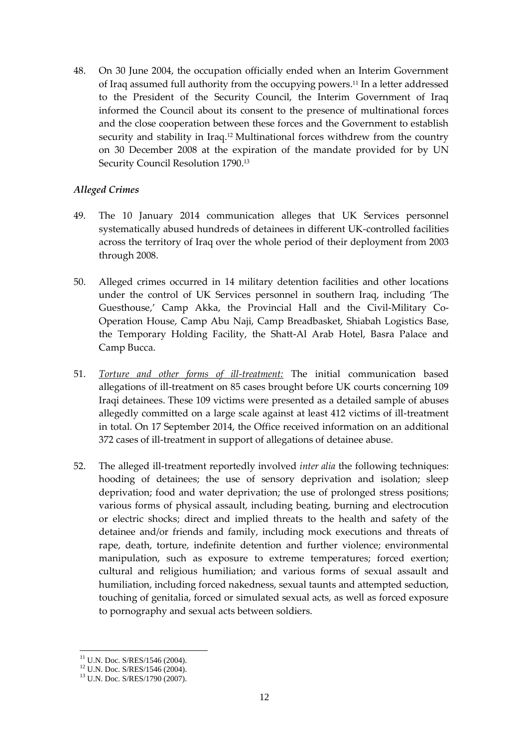48. On 30 June 2004, the occupation officially ended when an Interim Government of Iraq assumed full authority from the occupying powers.<sup>11</sup> In a letter addressed to the President of the Security Council, the Interim Government of Iraq informed the Council about its consent to the presence of multinational forces and the close cooperation between these forces and the Government to establish security and stability in Iraq.<sup>12</sup> Multinational forces withdrew from the country on 30 December 2008 at the expiration of the mandate provided for by UN Security Council Resolution 1790.<sup>13</sup>

## *Alleged Crimes*

- 49. The 10 January 2014 communication alleges that UK Services personnel systematically abused hundreds of detainees in different UK-controlled facilities across the territory of Iraq over the whole period of their deployment from 2003 through 2008.
- 50. Alleged crimes occurred in 14 military detention facilities and other locations under the control of UK Services personnel in southern Iraq, including 'The Guesthouse,' Camp Akka, the Provincial Hall and the Civil-Military Co-Operation House, Camp Abu Naji, Camp Breadbasket, Shiabah Logistics Base, the Temporary Holding Facility, the Shatt-Al Arab Hotel, Basra Palace and Camp Bucca.
- 51. *Torture and other forms of ill-treatment:* The initial communication based allegations of ill-treatment on 85 cases brought before UK courts concerning 109 Iraqi detainees. These 109 victims were presented as a detailed sample of abuses allegedly committed on a large scale against at least 412 victims of ill-treatment in total. On 17 September 2014, the Office received information on an additional 372 cases of ill-treatment in support of allegations of detainee abuse.
- 52. The alleged ill-treatment reportedly involved *inter alia* the following techniques: hooding of detainees; the use of sensory deprivation and isolation; sleep deprivation; food and water deprivation; the use of prolonged stress positions; various forms of physical assault, including beating, burning and electrocution or electric shocks; direct and implied threats to the health and safety of the detainee and/or friends and family, including mock executions and threats of rape, death, torture, indefinite detention and further violence; environmental manipulation, such as exposure to extreme temperatures; forced exertion; cultural and religious humiliation; and various forms of sexual assault and humiliation, including forced nakedness, sexual taunts and attempted seduction, touching of genitalia, forced or simulated sexual acts, as well as forced exposure to pornography and sexual acts between soldiers.

<sup>&</sup>lt;sup>11</sup> U.N. Doc. S/RES/1546 (2004).

<sup>12</sup> U.N. Doc. S/RES/1546 (2004).

<sup>13</sup> U.N. Doc. S/RES/1790 (2007).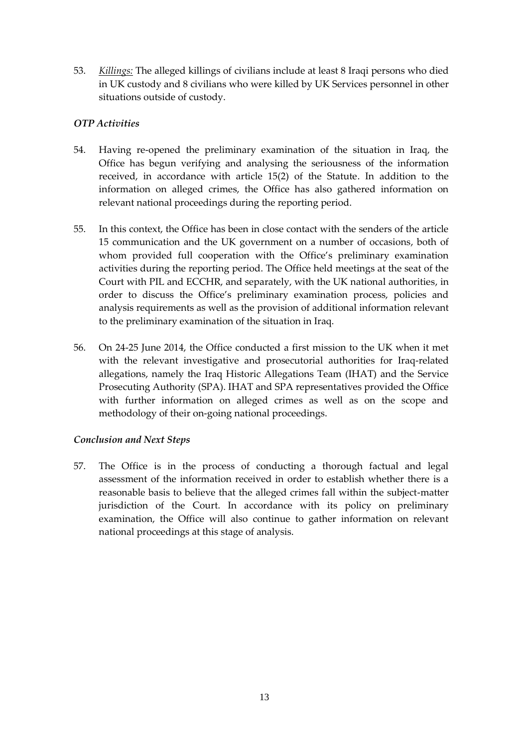53. *Killings:* The alleged killings of civilians include at least 8 Iraqi persons who died in UK custody and 8 civilians who were killed by UK Services personnel in other situations outside of custody.

## *OTP Activities*

- 54. Having re-opened the preliminary examination of the situation in Iraq, the Office has begun verifying and analysing the seriousness of the information received, in accordance with article 15(2) of the Statute. In addition to the information on alleged crimes, the Office has also gathered information on relevant national proceedings during the reporting period.
- 55. In this context, the Office has been in close contact with the senders of the article 15 communication and the UK government on a number of occasions, both of whom provided full cooperation with the Office's preliminary examination activities during the reporting period. The Office held meetings at the seat of the Court with PIL and ECCHR, and separately, with the UK national authorities, in order to discuss the Office's preliminary examination process, policies and analysis requirements as well as the provision of additional information relevant to the preliminary examination of the situation in Iraq.
- 56. On 24-25 June 2014, the Office conducted a first mission to the UK when it met with the relevant investigative and prosecutorial authorities for Iraq-related allegations, namely the Iraq Historic Allegations Team (IHAT) and the Service Prosecuting Authority (SPA). IHAT and SPA representatives provided the Office with further information on alleged crimes as well as on the scope and methodology of their on-going national proceedings.

## *Conclusion and Next Steps*

57. The Office is in the process of conducting a thorough factual and legal assessment of the information received in order to establish whether there is a reasonable basis to believe that the alleged crimes fall within the subject-matter jurisdiction of the Court. In accordance with its policy on preliminary examination, the Office will also continue to gather information on relevant national proceedings at this stage of analysis.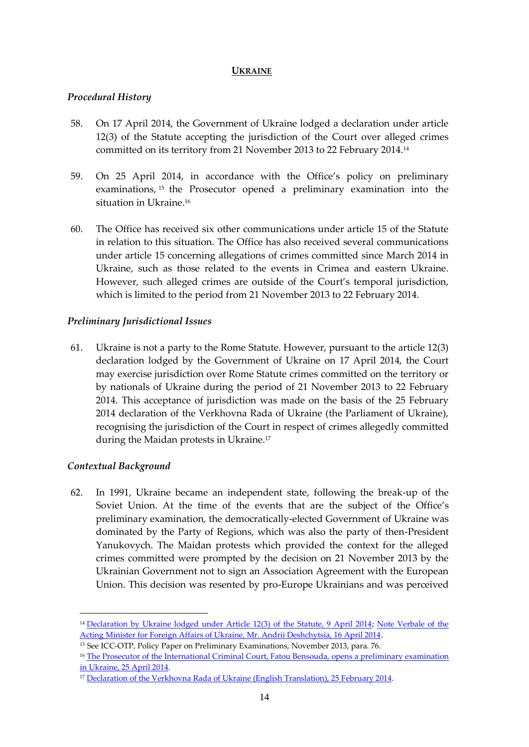## **UKRAINE**

## <span id="page-15-0"></span>*Procedural History*

- 58. On 17 April 2014, the Government of Ukraine lodged a declaration under article 12(3) of the Statute accepting the jurisdiction of the Court over alleged crimes committed on its territory from 21 November 2013 to 22 February 2014.<sup>14</sup>
- 59. On 25 April 2014, in accordance with the Office's policy on preliminary examinations, <sup>15</sup> the Prosecutor opened a preliminary examination into the situation in Ukraine.<sup>16</sup>
- 60. The Office has received six other communications under article 15 of the Statute in relation to this situation. The Office has also received several communications under article 15 concerning allegations of crimes committed since March 2014 in Ukraine, such as those related to the events in Crimea and eastern Ukraine. However, such alleged crimes are outside of the Court's temporal jurisdiction, which is limited to the period from 21 November 2013 to 22 February 2014.

## *Preliminary Jurisdictional Issues*

61. Ukraine is not a party to the Rome Statute. However, pursuant to the article 12(3) declaration lodged by the Government of Ukraine on 17 April 2014, the Court may exercise jurisdiction over Rome Statute crimes committed on the territory or by nationals of Ukraine during the period of 21 November 2013 to 22 February 2014. This acceptance of jurisdiction was made on the basis of the 25 February 2014 declaration of the Verkhovna Rada of Ukraine (the Parliament of Ukraine), recognising the jurisdiction of the Court in respect of crimes allegedly committed during the Maidan protests in Ukraine.<sup>17</sup>

## *Contextual Background*

<u>.</u>

62. In 1991, Ukraine became an independent state, following the break-up of the Soviet Union. At the time of the events that are the subject of the Office's preliminary examination, the democratically-elected Government of Ukraine was dominated by the Party of Regions, which was also the party of then-President Yanukovych. The Maidan protests which provided the context for the alleged crimes committed were prompted by the decision on 21 November 2013 by the Ukrainian Government not to sign an Association Agreement with the European Union. This decision was resented by pro-Europe Ukrainians and was perceived

<sup>&</sup>lt;sup>14</sup> [Declaration by Ukraine lodged under Article 12\(3\) of the Statute, 9 April 2014;](http://www.icc-cpi.int/en_menus/icc/press%20and%20media/press%20releases/Documents/997/declarationRecognitionJuristiction09-04-2014.pdf) Note Verbale of the [Acting Minister for Foreign Affairs of Ukraine, Mr. Andrii Deshchytsia, 16 April 2014.](http://www.icc-cpi.int/en_menus/icc/press%20and%20media/press%20releases/Documents/997/UkraineMFAdocument16-04-2014.pdf)

<sup>15</sup> See ICC-OTP, Policy Paper on Preliminary Examinations, November 2013, para. 76.

<sup>&</sup>lt;sup>16</sup> The Prosecutor of the International Criminal Court, Fatou Bensouda, opens a preliminary examination [in Ukraine, 25 April 2014.](http://www.icc-cpi.int/en_menus/icc/press%20and%20media/press%20releases/Pages/pr999.aspx)

<sup>&</sup>lt;sup>17</sup> [Declaration of the Verkhovna Rada of Ukraine \(English Translation\), 25 February 2014.](http://www.icc-cpi.int/en_menus/icc/press%20and%20media/press%20releases/Documents/997/declarationVerkhovnaRadaEng.pdf)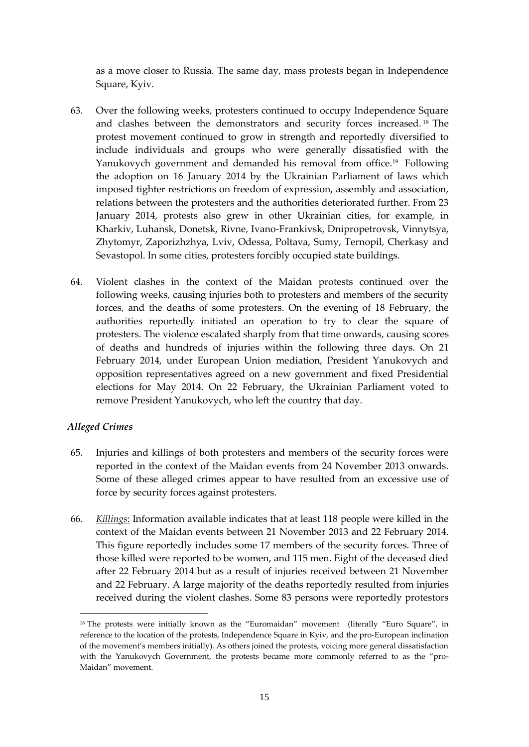as a move closer to Russia. The same day, mass protests began in Independence Square, Kyiv.

- 63. Over the following weeks, protesters continued to occupy Independence Square and clashes between the demonstrators and security forces increased. <sup>18</sup> The protest movement continued to grow in strength and reportedly diversified to include individuals and groups who were generally dissatisfied with the Yanukovych government and demanded his removal from office.<sup>19</sup> Following the adoption on 16 January 2014 by the Ukrainian Parliament of laws which imposed tighter restrictions on freedom of expression, assembly and association, relations between the protesters and the authorities deteriorated further. From 23 January 2014, protests also grew in other Ukrainian cities, for example, in Kharkiv, Luhansk, Donetsk, Rivne, Ivano-Frankivsk, Dnipropetrovsk, Vinnytsya, Zhytomyr, Zaporizhzhya, Lviv, Odessa, Poltava, Sumy, Ternopil, Cherkasy and Sevastopol. In some cities, protesters forcibly occupied state buildings.
- 64. Violent clashes in the context of the Maidan protests continued over the following weeks, causing injuries both to protesters and members of the security forces, and the deaths of some protesters. On the evening of 18 February, the authorities reportedly initiated an operation to try to clear the square of protesters. The violence escalated sharply from that time onwards, causing scores of deaths and hundreds of injuries within the following three days. On 21 February 2014, under European Union mediation, President Yanukovych and opposition representatives agreed on a new government and fixed Presidential elections for May 2014. On 22 February, the Ukrainian Parliament voted to remove President Yanukovych, who left the country that day.

## *Alleged Crimes*

<u>.</u>

- 65. Injuries and killings of both protesters and members of the security forces were reported in the context of the Maidan events from 24 November 2013 onwards. Some of these alleged crimes appear to have resulted from an excessive use of force by security forces against protesters.
- 66. *Killings*: Information available indicates that at least 118 people were killed in the context of the Maidan events between 21 November 2013 and 22 February 2014. This figure reportedly includes some 17 members of the security forces. Three of those killed were reported to be women, and 115 men. Eight of the deceased died after 22 February 2014 but as a result of injuries received between 21 November and 22 February. A large majority of the deaths reportedly resulted from injuries received during the violent clashes. Some 83 persons were reportedly protestors

<sup>&</sup>lt;sup>18</sup> The protests were initially known as the "Euromaidan" movement (literally "Euro Square", in reference to the location of the protests, Independence Square in Kyiv, and the pro-European inclination of the movement's members initially). As others joined the protests, voicing more general dissatisfaction with the Yanukovych Government, the protests became more commonly referred to as the "pro-Maidan" movement.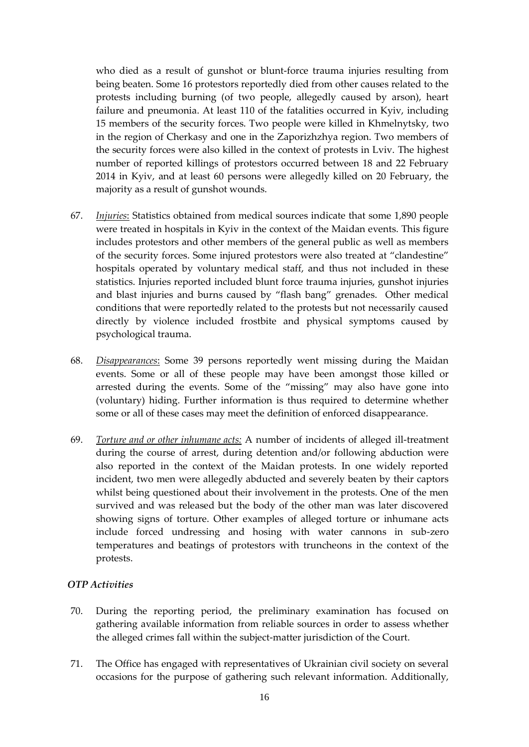who died as a result of gunshot or blunt-force trauma injuries resulting from being beaten. Some 16 protestors reportedly died from other causes related to the protests including burning (of two people, allegedly caused by arson), heart failure and pneumonia. At least 110 of the fatalities occurred in Kyiv, including 15 members of the security forces. Two people were killed in Khmelnytsky, two in the region of Cherkasy and one in the Zaporizhzhya region. Two members of the security forces were also killed in the context of protests in Lviv. The highest number of reported killings of protestors occurred between 18 and 22 February 2014 in Kyiv, and at least 60 persons were allegedly killed on 20 February, the majority as a result of gunshot wounds.

- 67. *Injuries*: Statistics obtained from medical sources indicate that some 1,890 people were treated in hospitals in Kyiv in the context of the Maidan events. This figure includes protestors and other members of the general public as well as members of the security forces. Some injured protestors were also treated at "clandestine" hospitals operated by voluntary medical staff, and thus not included in these statistics. Injuries reported included blunt force trauma injuries, gunshot injuries and blast injuries and burns caused by "flash bang" grenades. Other medical conditions that were reportedly related to the protests but not necessarily caused directly by violence included frostbite and physical symptoms caused by psychological trauma.
- 68. *Disappearances*: Some 39 persons reportedly went missing during the Maidan events. Some or all of these people may have been amongst those killed or arrested during the events. Some of the "missing" may also have gone into (voluntary) hiding. Further information is thus required to determine whether some or all of these cases may meet the definition of enforced disappearance.
- 69. *Torture and or other inhumane acts:* A number of incidents of alleged ill-treatment during the course of arrest, during detention and/or following abduction were also reported in the context of the Maidan protests. In one widely reported incident, two men were allegedly abducted and severely beaten by their captors whilst being questioned about their involvement in the protests. One of the men survived and was released but the body of the other man was later discovered showing signs of torture. Other examples of alleged torture or inhumane acts include forced undressing and hosing with water cannons in sub-zero temperatures and beatings of protestors with truncheons in the context of the protests.

## *OTP Activities*

- 70. During the reporting period, the preliminary examination has focused on gathering available information from reliable sources in order to assess whether the alleged crimes fall within the subject-matter jurisdiction of the Court.
- 71. The Office has engaged with representatives of Ukrainian civil society on several occasions for the purpose of gathering such relevant information. Additionally,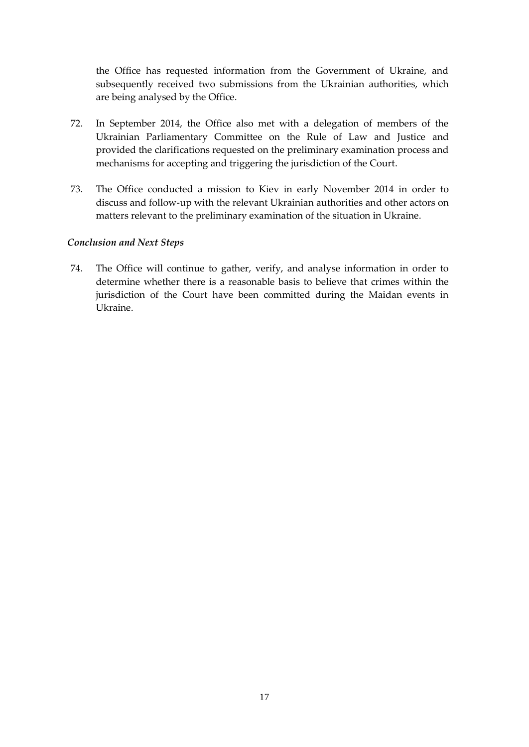the Office has requested information from the Government of Ukraine, and subsequently received two submissions from the Ukrainian authorities, which are being analysed by the Office.

- 72. In September 2014, the Office also met with a delegation of members of the Ukrainian Parliamentary Committee on the Rule of Law and Justice and provided the clarifications requested on the preliminary examination process and mechanisms for accepting and triggering the jurisdiction of the Court.
- 73. The Office conducted a mission to Kiev in early November 2014 in order to discuss and follow-up with the relevant Ukrainian authorities and other actors on matters relevant to the preliminary examination of the situation in Ukraine.

## *Conclusion and Next Steps*

74. The Office will continue to gather, verify, and analyse information in order to determine whether there is a reasonable basis to believe that crimes within the jurisdiction of the Court have been committed during the Maidan events in Ukraine.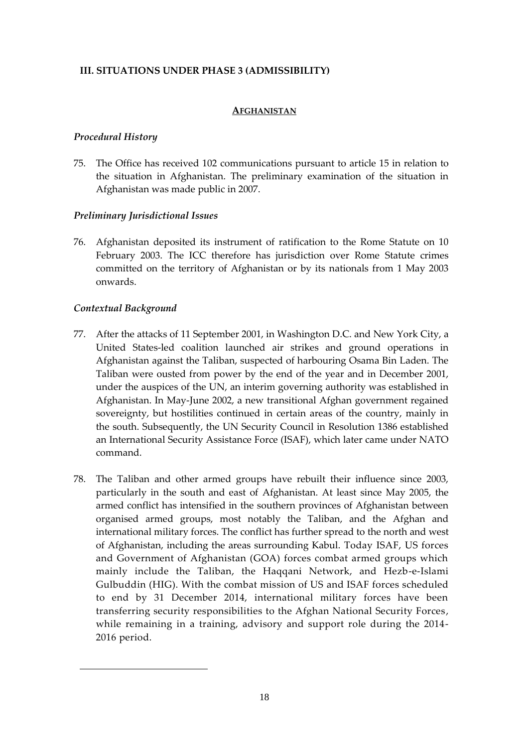## <span id="page-19-0"></span>**III. SITUATIONS UNDER PHASE 3 (ADMISSIBILITY)**

#### **AFGHANISTAN**

## <span id="page-19-1"></span>*Procedural History*

75. The Office has received 102 communications pursuant to article 15 in relation to the situation in Afghanistan. The preliminary examination of the situation in Afghanistan was made public in 2007.

## *Preliminary Jurisdictional Issues*

76. Afghanistan deposited its instrument of ratification to the Rome Statute on 10 February 2003. The ICC therefore has jurisdiction over Rome Statute crimes committed on the territory of Afghanistan or by its nationals from 1 May 2003 onwards.

## *Contextual Background*

<u>.</u>

- 77. After the attacks of 11 September 2001, in Washington D.C. and New York City, a United States-led coalition launched air strikes and ground operations in Afghanistan against the Taliban, suspected of harbouring Osama Bin Laden. The Taliban were ousted from power by the end of the year and in December 2001, under the auspices of the UN, an interim governing authority was established in Afghanistan. In May-June 2002, a new transitional Afghan government regained sovereignty, but hostilities continued in certain areas of the country, mainly in the south. Subsequently, the UN Security Council in Resolution 1386 established an International Security Assistance Force (ISAF), which later came under NATO command.
- 78. The Taliban and other armed groups have rebuilt their influence since 2003, particularly in the south and east of Afghanistan. At least since May 2005, the armed conflict has intensified in the southern provinces of Afghanistan between organised armed groups, most notably the Taliban, and the Afghan and international military forces. The conflict has further spread to the north and west of Afghanistan, including the areas surrounding Kabul. Today ISAF, US forces and Government of Afghanistan (GOA) forces combat armed groups which mainly include the Taliban, the Haqqani Network, and Hezb-e-Islami Gulbuddin (HIG). With the combat mission of US and ISAF forces scheduled to end by 31 December 2014, international military forces have been transferring security responsibilities to the Afghan National Security Forces, while remaining in a training, advisory and support role during the 2014- 2016 period.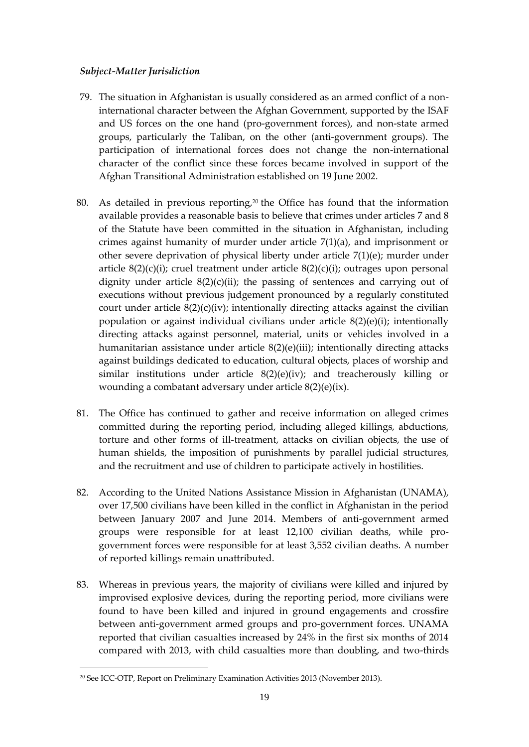## *Subject-Matter Jurisdiction*

- 79. The situation in Afghanistan is usually considered as an armed conflict of a noninternational character between the Afghan Government, supported by the ISAF and US forces on the one hand (pro-government forces), and non-state armed groups, particularly the Taliban, on the other (anti-government groups). The participation of international forces does not change the non-international character of the conflict since these forces became involved in support of the Afghan Transitional Administration established on 19 June 2002.
- 80. As detailed in previous reporting,<sup>20</sup> the Office has found that the information available provides a reasonable basis to believe that crimes under articles 7 and 8 of the Statute have been committed in the situation in Afghanistan, including crimes against humanity of murder under article 7(1)(a), and imprisonment or other severe deprivation of physical liberty under article  $7(1)(e)$ ; murder under article  $8(2)(c)(i)$ ; cruel treatment under article  $8(2)(c)(i)$ ; outrages upon personal dignity under article  $8(2)(c)(ii)$ ; the passing of sentences and carrying out of executions without previous judgement pronounced by a regularly constituted court under article  $8(2)(c)(iv)$ ; intentionally directing attacks against the civilian population or against individual civilians under article 8(2)(e)(i); intentionally directing attacks against personnel, material, units or vehicles involved in a humanitarian assistance under article 8(2)(e)(iii); intentionally directing attacks against buildings dedicated to education, cultural objects, places of worship and similar institutions under article 8(2)(e)(iv); and treacherously killing or wounding a combatant adversary under article 8(2)(e)(ix).
- 81. The Office has continued to gather and receive information on alleged crimes committed during the reporting period, including alleged killings, abductions, torture and other forms of ill-treatment, attacks on civilian objects, the use of human shields, the imposition of punishments by parallel judicial structures, and the recruitment and use of children to participate actively in hostilities.
- 82. According to the United Nations Assistance Mission in Afghanistan (UNAMA), over 17,500 civilians have been killed in the conflict in Afghanistan in the period between January 2007 and June 2014. Members of anti-government armed groups were responsible for at least 12,100 civilian deaths, while progovernment forces were responsible for at least 3,552 civilian deaths. A number of reported killings remain unattributed.
- 83. Whereas in previous years, the majority of civilians were killed and injured by improvised explosive devices, during the reporting period, more civilians were found to have been killed and injured in ground engagements and crossfire between anti-government armed groups and pro-government forces. UNAMA reported that civilian casualties increased by 24% in the first six months of 2014 compared with 2013, with child casualties more than doubling, and two-thirds

<u>.</u>

<sup>20</sup> See ICC-OTP, Report on Preliminary Examination Activities 2013 (November 2013).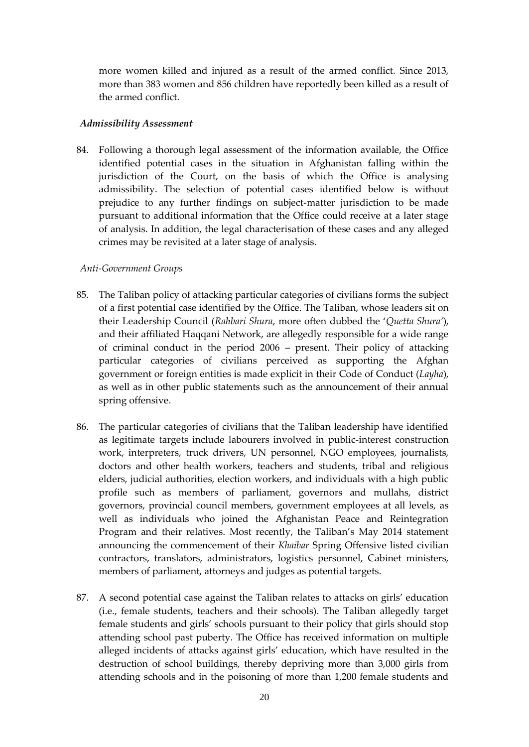more women killed and injured as a result of the armed conflict. Since 2013, more than 383 women and 856 children have reportedly been killed as a result of the armed conflict.

#### *Admissibility Assessment*

84. Following a thorough legal assessment of the information available, the Office identified potential cases in the situation in Afghanistan falling within the jurisdiction of the Court, on the basis of which the Office is analysing admissibility. The selection of potential cases identified below is without prejudice to any further findings on subject-matter jurisdiction to be made pursuant to additional information that the Office could receive at a later stage of analysis. In addition, the legal characterisation of these cases and any alleged crimes may be revisited at a later stage of analysis.

#### *Anti-Government Groups*

- 85. The Taliban policy of attacking particular categories of civilians forms the subject of a first potential case identified by the Office. The Taliban, whose leaders sit on their Leadership Council (*Rahbari Shura*, more often dubbed the '*Quetta Shura'*), and their affiliated Haqqani Network, are allegedly responsible for a wide range of criminal conduct in the period 2006 – present. Their policy of attacking particular categories of civilians perceived as supporting the Afghan government or foreign entities is made explicit in their Code of Conduct (*Layha*), as well as in other public statements such as the announcement of their annual spring offensive.
- 86. The particular categories of civilians that the Taliban leadership have identified as legitimate targets include labourers involved in public-interest construction work, interpreters, truck drivers, UN personnel, NGO employees, journalists, doctors and other health workers, teachers and students, tribal and religious elders, judicial authorities, election workers, and individuals with a high public profile such as members of parliament, governors and mullahs, district governors, provincial council members, government employees at all levels, as well as individuals who joined the Afghanistan Peace and Reintegration Program and their relatives. Most recently, the Taliban's May 2014 statement announcing the commencement of their *Khaibar* Spring Offensive listed civilian contractors, translators, administrators, logistics personnel, Cabinet ministers, members of parliament, attorneys and judges as potential targets.
- 87. A second potential case against the Taliban relates to attacks on girls' education (i.e., female students, teachers and their schools). The Taliban allegedly target female students and girls' schools pursuant to their policy that girls should stop attending school past puberty. The Office has received information on multiple alleged incidents of attacks against girls' education, which have resulted in the destruction of school buildings, thereby depriving more than 3,000 girls from attending schools and in the poisoning of more than 1,200 female students and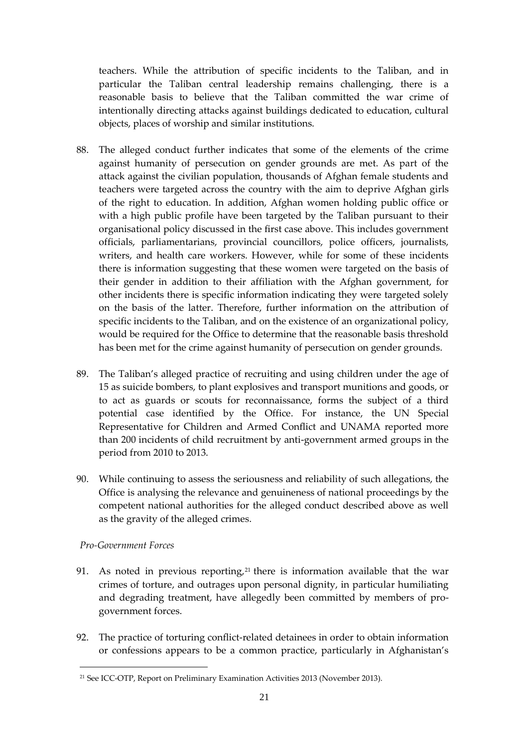teachers. While the attribution of specific incidents to the Taliban, and in particular the Taliban central leadership remains challenging, there is a reasonable basis to believe that the Taliban committed the war crime of intentionally directing attacks against buildings dedicated to education, cultural objects, places of worship and similar institutions.

- 88. The alleged conduct further indicates that some of the elements of the crime against humanity of persecution on gender grounds are met. As part of the attack against the civilian population, thousands of Afghan female students and teachers were targeted across the country with the aim to deprive Afghan girls of the right to education. In addition, Afghan women holding public office or with a high public profile have been targeted by the Taliban pursuant to their organisational policy discussed in the first case above. This includes government officials, parliamentarians, provincial councillors, police officers, journalists, writers, and health care workers. However, while for some of these incidents there is information suggesting that these women were targeted on the basis of their gender in addition to their affiliation with the Afghan government, for other incidents there is specific information indicating they were targeted solely on the basis of the latter. Therefore, further information on the attribution of specific incidents to the Taliban, and on the existence of an organizational policy, would be required for the Office to determine that the reasonable basis threshold has been met for the crime against humanity of persecution on gender grounds.
- 89. The Taliban's alleged practice of recruiting and using children under the age of 15 as suicide bombers, to plant explosives and transport munitions and goods, or to act as guards or scouts for reconnaissance, forms the subject of a third potential case identified by the Office. For instance, the UN Special Representative for Children and Armed Conflict and UNAMA reported more than 200 incidents of child recruitment by anti-government armed groups in the period from 2010 to 2013.
- 90. While continuing to assess the seriousness and reliability of such allegations, the Office is analysing the relevance and genuineness of national proceedings by the competent national authorities for the alleged conduct described above as well as the gravity of the alleged crimes.

## *Pro-Government Forces*

<u>.</u>

- 91. As noted in previous reporting, $21$  there is information available that the war crimes of torture, and outrages upon personal dignity, in particular humiliating and degrading treatment, have allegedly been committed by members of progovernment forces.
- 92. The practice of torturing conflict-related detainees in order to obtain information or confessions appears to be a common practice, particularly in Afghanistan's

<sup>21</sup> See ICC-OTP, Report on Preliminary Examination Activities 2013 (November 2013).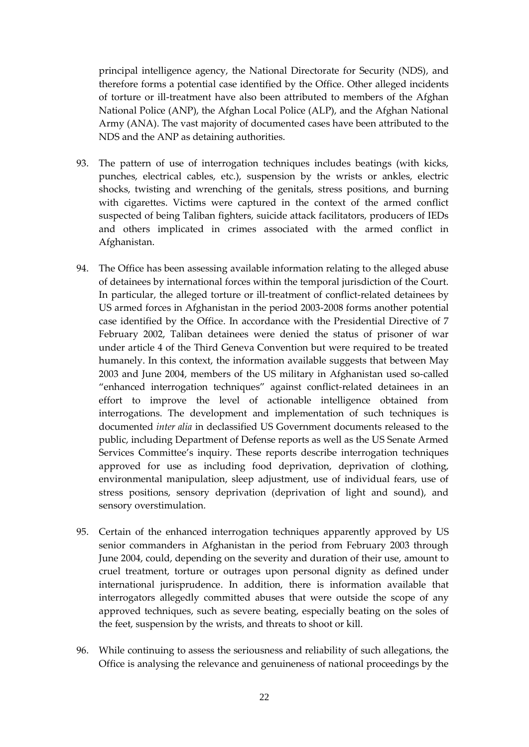principal intelligence agency, the National Directorate for Security (NDS), and therefore forms a potential case identified by the Office. Other alleged incidents of torture or ill-treatment have also been attributed to members of the Afghan National Police (ANP), the Afghan Local Police (ALP), and the Afghan National Army (ANA). The vast majority of documented cases have been attributed to the NDS and the ANP as detaining authorities.

- 93. The pattern of use of interrogation techniques includes beatings (with kicks, punches, electrical cables, etc.), suspension by the wrists or ankles, electric shocks, twisting and wrenching of the genitals, stress positions, and burning with cigarettes. Victims were captured in the context of the armed conflict suspected of being Taliban fighters, suicide attack facilitators, producers of IEDs and others implicated in crimes associated with the armed conflict in Afghanistan.
- 94. The Office has been assessing available information relating to the alleged abuse of detainees by international forces within the temporal jurisdiction of the Court. In particular, the alleged torture or ill-treatment of conflict-related detainees by US armed forces in Afghanistan in the period 2003-2008 forms another potential case identified by the Office. In accordance with the Presidential Directive of 7 February 2002, Taliban detainees were denied the status of prisoner of war under article 4 of the Third Geneva Convention but were required to be treated humanely. In this context, the information available suggests that between May 2003 and June 2004, members of the US military in Afghanistan used so-called "enhanced interrogation techniques" against conflict-related detainees in an effort to improve the level of actionable intelligence obtained from interrogations. The development and implementation of such techniques is documented *inter alia* in declassified US Government documents released to the public, including Department of Defense reports as well as the US Senate Armed Services Committee's inquiry. These reports describe interrogation techniques approved for use as including food deprivation, deprivation of clothing, environmental manipulation, sleep adjustment, use of individual fears, use of stress positions, sensory deprivation (deprivation of light and sound), and sensory overstimulation.
- 95. Certain of the enhanced interrogation techniques apparently approved by US senior commanders in Afghanistan in the period from February 2003 through June 2004, could, depending on the severity and duration of their use, amount to cruel treatment, torture or outrages upon personal dignity as defined under international jurisprudence. In addition, there is information available that interrogators allegedly committed abuses that were outside the scope of any approved techniques, such as severe beating, especially beating on the soles of the feet, suspension by the wrists, and threats to shoot or kill.
- 96. While continuing to assess the seriousness and reliability of such allegations, the Office is analysing the relevance and genuineness of national proceedings by the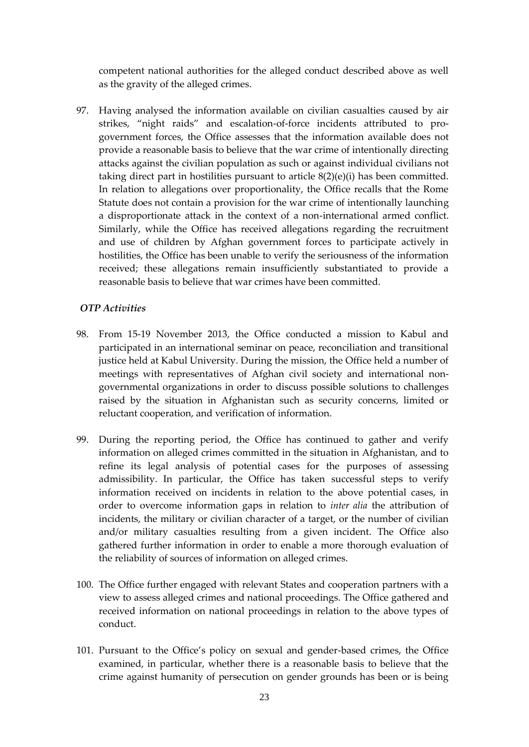competent national authorities for the alleged conduct described above as well as the gravity of the alleged crimes.

97. Having analysed the information available on civilian casualties caused by air strikes, "night raids" and escalation-of-force incidents attributed to progovernment forces, the Office assesses that the information available does not provide a reasonable basis to believe that the war crime of intentionally directing attacks against the civilian population as such or against individual civilians not taking direct part in hostilities pursuant to article 8(2)(e)(i) has been committed. In relation to allegations over proportionality, the Office recalls that the Rome Statute does not contain a provision for the war crime of intentionally launching a disproportionate attack in the context of a non-international armed conflict. Similarly, while the Office has received allegations regarding the recruitment and use of children by Afghan government forces to participate actively in hostilities, the Office has been unable to verify the seriousness of the information received; these allegations remain insufficiently substantiated to provide a reasonable basis to believe that war crimes have been committed.

## *OTP Activities*

- 98. From 15-19 November 2013, the Office conducted a mission to Kabul and participated in an international seminar on peace, reconciliation and transitional justice held at Kabul University. During the mission, the Office held a number of meetings with representatives of Afghan civil society and international nongovernmental organizations in order to discuss possible solutions to challenges raised by the situation in Afghanistan such as security concerns, limited or reluctant cooperation, and verification of information.
- 99. During the reporting period, the Office has continued to gather and verify information on alleged crimes committed in the situation in Afghanistan, and to refine its legal analysis of potential cases for the purposes of assessing admissibility. In particular, the Office has taken successful steps to verify information received on incidents in relation to the above potential cases, in order to overcome information gaps in relation to *inter alia* the attribution of incidents, the military or civilian character of a target, or the number of civilian and/or military casualties resulting from a given incident. The Office also gathered further information in order to enable a more thorough evaluation of the reliability of sources of information on alleged crimes.
- 100. The Office further engaged with relevant States and cooperation partners with a view to assess alleged crimes and national proceedings. The Office gathered and received information on national proceedings in relation to the above types of conduct.
- 101. Pursuant to the Office's policy on sexual and gender-based crimes, the Office examined, in particular, whether there is a reasonable basis to believe that the crime against humanity of persecution on gender grounds has been or is being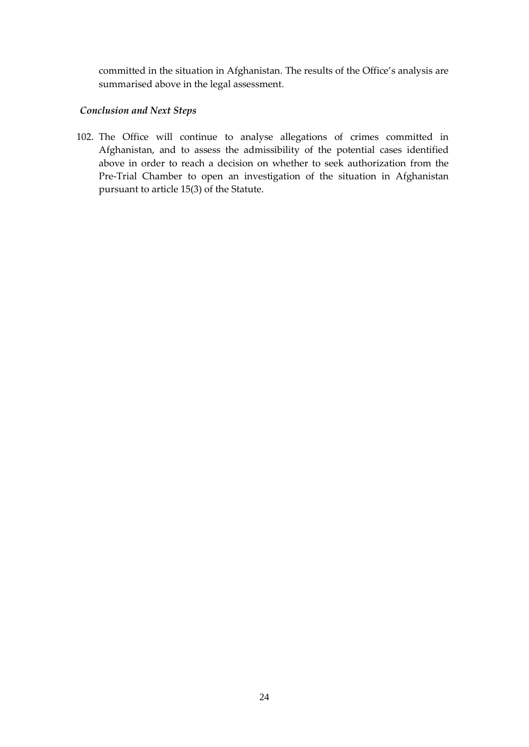committed in the situation in Afghanistan. The results of the Office's analysis are summarised above in the legal assessment.

## *Conclusion and Next Steps*

102. The Office will continue to analyse allegations of crimes committed in Afghanistan, and to assess the admissibility of the potential cases identified above in order to reach a decision on whether to seek authorization from the Pre-Trial Chamber to open an investigation of the situation in Afghanistan pursuant to article 15(3) of the Statute.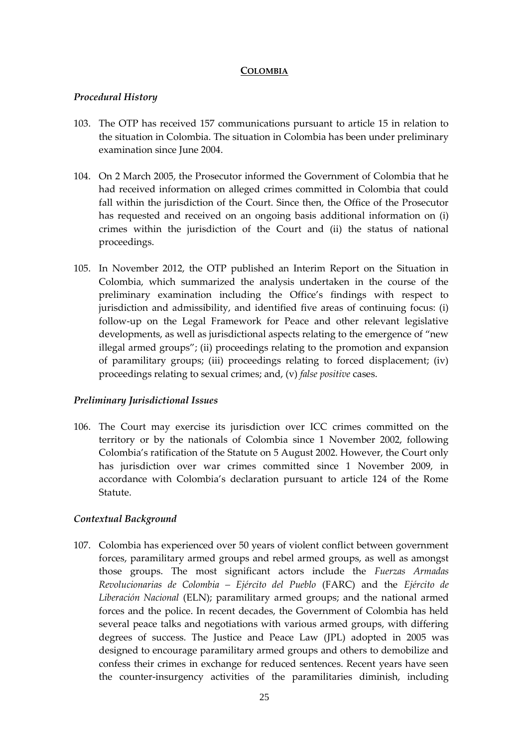#### **COLOMBIA**

### <span id="page-26-0"></span>*Procedural History*

- 103. The OTP has received 157 communications pursuant to article 15 in relation to the situation in Colombia. The situation in Colombia has been under preliminary examination since June 2004.
- 104. On 2 March 2005, the Prosecutor informed the Government of Colombia that he had received information on alleged crimes committed in Colombia that could fall within the jurisdiction of the Court. Since then, the Office of the Prosecutor has requested and received on an ongoing basis additional information on (i) crimes within the jurisdiction of the Court and (ii) the status of national proceedings.
- 105. In November 2012, the OTP published an Interim Report on the Situation in Colombia, which summarized the analysis undertaken in the course of the preliminary examination including the Office's findings with respect to jurisdiction and admissibility, and identified five areas of continuing focus: (i) follow-up on the Legal Framework for Peace and other relevant legislative developments, as well as jurisdictional aspects relating to the emergence of "new illegal armed groups"; (ii) proceedings relating to the promotion and expansion of paramilitary groups; (iii) proceedings relating to forced displacement; (iv) proceedings relating to sexual crimes; and, (v) *false positive* cases.

## *Preliminary Jurisdictional Issues*

106. The Court may exercise its jurisdiction over ICC crimes committed on the territory or by the nationals of Colombia since 1 November 2002, following Colombia's ratification of the Statute on 5 August 2002. However, the Court only has jurisdiction over war crimes committed since 1 November 2009, in accordance with Colombia's declaration pursuant to article 124 of the Rome Statute.

## *Contextual Background*

107. Colombia has experienced over 50 years of violent conflict between government forces, paramilitary armed groups and rebel armed groups, as well as amongst those groups. The most significant actors include the *Fuerzas Armadas Revolucionarias de Colombia – Ejército del Pueblo* (FARC) and the *Ejército de Liberación Nacional* (ELN); paramilitary armed groups; and the national armed forces and the police. In recent decades, the Government of Colombia has held several peace talks and negotiations with various armed groups, with differing degrees of success. The Justice and Peace Law (JPL) adopted in 2005 was designed to encourage paramilitary armed groups and others to demobilize and confess their crimes in exchange for reduced sentences. Recent years have seen the counter-insurgency activities of the paramilitaries diminish, including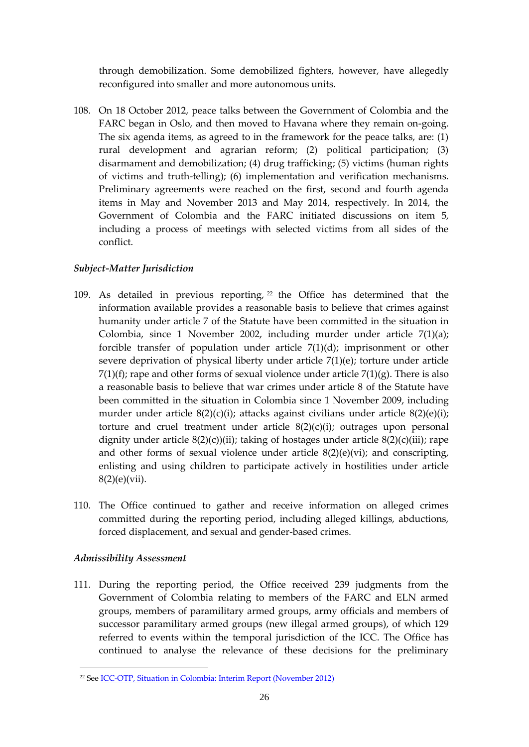through demobilization. Some demobilized fighters, however, have allegedly reconfigured into smaller and more autonomous units.

108. On 18 October 2012, peace talks between the Government of Colombia and the FARC began in Oslo, and then moved to Havana where they remain on-going. The six agenda items, as agreed to in the framework for the peace talks, are: (1) rural development and agrarian reform; (2) political participation; (3) disarmament and demobilization; (4) drug trafficking; (5) victims (human rights of victims and truth-telling); (6) implementation and verification mechanisms. Preliminary agreements were reached on the first, second and fourth agenda items in May and November 2013 and May 2014, respectively. In 2014, the Government of Colombia and the FARC initiated discussions on item 5, including a process of meetings with selected victims from all sides of the conflict.

## *Subject-Matter Jurisdiction*

- 109. As detailed in previous reporting, <sup>22</sup> the Office has determined that the information available provides a reasonable basis to believe that crimes against humanity under article 7 of the Statute have been committed in the situation in Colombia, since 1 November 2002, including murder under article 7(1)(a); forcible transfer of population under article 7(1)(d); imprisonment or other severe deprivation of physical liberty under article 7(1)(e); torture under article  $7(1)(f)$ ; rape and other forms of sexual violence under article  $7(1)(g)$ . There is also a reasonable basis to believe that war crimes under article 8 of the Statute have been committed in the situation in Colombia since 1 November 2009, including murder under article 8(2)(c)(i); attacks against civilians under article 8(2)(e)(i); torture and cruel treatment under article 8(2)(c)(i); outrages upon personal dignity under article  $8(2)(c)(ii)$ ; taking of hostages under article  $8(2)(c)(iii)$ ; rape and other forms of sexual violence under article  $8(2)(e)(vi)$ ; and conscripting, enlisting and using children to participate actively in hostilities under article 8(2)(e)(vii).
- 110. The Office continued to gather and receive information on alleged crimes committed during the reporting period, including alleged killings, abductions, forced displacement, and sexual and gender-based crimes.

## *Admissibility Assessment*

<u>.</u>

111. During the reporting period, the Office received 239 judgments from the Government of Colombia relating to members of the FARC and ELN armed groups, members of paramilitary armed groups, army officials and members of successor paramilitary armed groups (new illegal armed groups), of which 129 referred to events within the temporal jurisdiction of the ICC. The Office has continued to analyse the relevance of these decisions for the preliminary

<sup>22</sup> Se[e ICC-OTP, Situation in Colombia: Interim Report \(November 2012\)](http://www.icc-cpi.int/en_menus/icc/structure%20of%20the%20court/office%20of%20the%20prosecutor/comm%20and%20ref/Pages/Situation-in-Colombia-Interim-Report.aspx)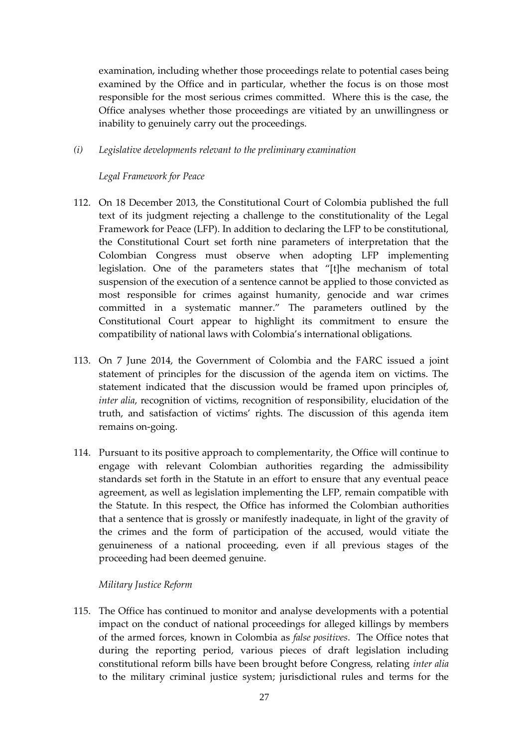examination, including whether those proceedings relate to potential cases being examined by the Office and in particular, whether the focus is on those most responsible for the most serious crimes committed. Where this is the case, the Office analyses whether those proceedings are vitiated by an unwillingness or inability to genuinely carry out the proceedings.

*(i) Legislative developments relevant to the preliminary examination*

## *Legal Framework for Peace*

- 112. On 18 December 2013, the Constitutional Court of Colombia published the full text of its judgment rejecting a challenge to the constitutionality of the Legal Framework for Peace (LFP). In addition to declaring the LFP to be constitutional, the Constitutional Court set forth nine parameters of interpretation that the Colombian Congress must observe when adopting LFP implementing legislation. One of the parameters states that "[t]he mechanism of total suspension of the execution of a sentence cannot be applied to those convicted as most responsible for crimes against humanity, genocide and war crimes committed in a systematic manner." The parameters outlined by the Constitutional Court appear to highlight its commitment to ensure the compatibility of national laws with Colombia's international obligations.
- 113. On 7 June 2014, the Government of Colombia and the FARC issued a joint statement of principles for the discussion of the agenda item on victims. The statement indicated that the discussion would be framed upon principles of, *inter alia*, recognition of victims, recognition of responsibility, elucidation of the truth, and satisfaction of victims' rights. The discussion of this agenda item remains on-going.
- 114. Pursuant to its positive approach to complementarity, the Office will continue to engage with relevant Colombian authorities regarding the admissibility standards set forth in the Statute in an effort to ensure that any eventual peace agreement, as well as legislation implementing the LFP, remain compatible with the Statute. In this respect, the Office has informed the Colombian authorities that a sentence that is grossly or manifestly inadequate, in light of the gravity of the crimes and the form of participation of the accused, would vitiate the genuineness of a national proceeding, even if all previous stages of the proceeding had been deemed genuine.

## *Military Justice Reform*

115. The Office has continued to monitor and analyse developments with a potential impact on the conduct of national proceedings for alleged killings by members of the armed forces, known in Colombia as *false positives*. The Office notes that during the reporting period, various pieces of draft legislation including constitutional reform bills have been brought before Congress, relating *inter alia* to the military criminal justice system; jurisdictional rules and terms for the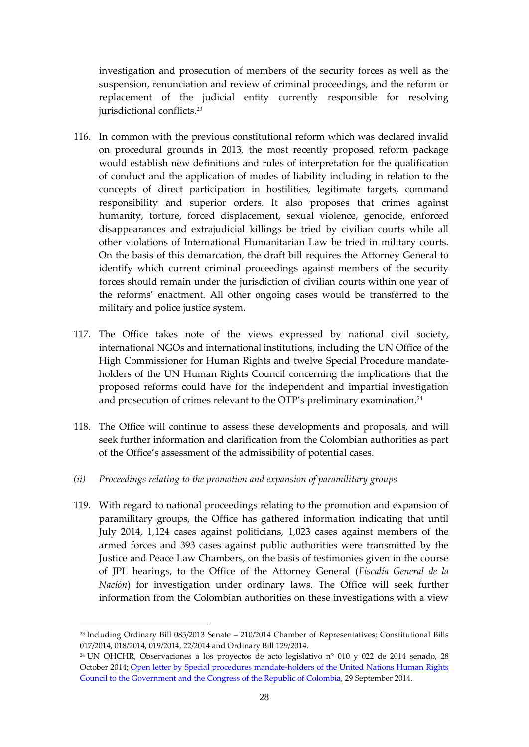investigation and prosecution of members of the security forces as well as the suspension, renunciation and review of criminal proceedings, and the reform or replacement of the judicial entity currently responsible for resolving jurisdictional conflicts.<sup>23</sup>

- 116. In common with the previous constitutional reform which was declared invalid on procedural grounds in 2013, the most recently proposed reform package would establish new definitions and rules of interpretation for the qualification of conduct and the application of modes of liability including in relation to the concepts of direct participation in hostilities, legitimate targets, command responsibility and superior orders. It also proposes that crimes against humanity, torture, forced displacement, sexual violence, genocide, enforced disappearances and extrajudicial killings be tried by civilian courts while all other violations of International Humanitarian Law be tried in military courts. On the basis of this demarcation, the draft bill requires the Attorney General to identify which current criminal proceedings against members of the security forces should remain under the jurisdiction of civilian courts within one year of the reforms' enactment. All other ongoing cases would be transferred to the military and police justice system.
- 117. The Office takes note of the views expressed by national civil society, international NGOs and international institutions, including the UN Office of the High Commissioner for Human Rights and twelve Special Procedure mandateholders of the UN Human Rights Council concerning the implications that the proposed reforms could have for the independent and impartial investigation and prosecution of crimes relevant to the OTP's preliminary examination.<sup>24</sup>
- 118. The Office will continue to assess these developments and proposals, and will seek further information and clarification from the Colombian authorities as part of the Office's assessment of the admissibility of potential cases.
- *(ii) Proceedings relating to the promotion and expansion of paramilitary groups*

1

119. With regard to national proceedings relating to the promotion and expansion of paramilitary groups, the Office has gathered information indicating that until July 2014, 1,124 cases against politicians, 1,023 cases against members of the armed forces and 393 cases against public authorities were transmitted by the Justice and Peace Law Chambers, on the basis of testimonies given in the course of JPL hearings, to the Office of the Attorney General (*Fiscalía General de la Nación*) for investigation under ordinary laws. The Office will seek further information from the Colombian authorities on these investigations with a view

<sup>23</sup> Including Ordinary Bill 085/2013 Senate – 210/2014 Chamber of Representatives; Constitutional Bills 017/2014, 018/2014, 019/2014, 22/2014 and Ordinary Bill 129/2014.

<sup>&</sup>lt;sup>24</sup> UN OHCHR, Observaciones a los proyectos de acto legislativo n° 010 y 022 de 2014 senado, 28 October 2014; [Open letter by Special procedures mandate-holders of the United Nations Human Rights](http://www.ohchr.org/en/NewsEvents/Pages/DisplayNews.aspx?NewsID=15116&LangID=E)  [Council to the Government and the Congress of the Republic of Colombia,](http://www.ohchr.org/en/NewsEvents/Pages/DisplayNews.aspx?NewsID=15116&LangID=E) 29 September 2014.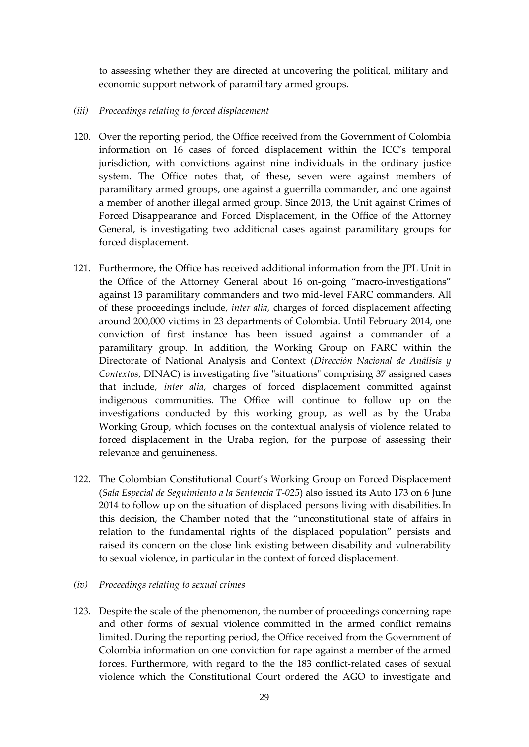to assessing whether they are directed at uncovering the political, military and economic support network of paramilitary armed groups.

- *(iii) Proceedings relating to forced displacement*
- 120. Over the reporting period, the Office received from the Government of Colombia information on 16 cases of forced displacement within the ICC's temporal jurisdiction, with convictions against nine individuals in the ordinary justice system. The Office notes that, of these, seven were against members of paramilitary armed groups, one against a guerrilla commander, and one against a member of another illegal armed group. Since 2013, the Unit against Crimes of Forced Disappearance and Forced Displacement, in the Office of the Attorney General, is investigating two additional cases against paramilitary groups for forced displacement.
- 121. Furthermore, the Office has received additional information from the JPL Unit in the Office of the Attorney General about 16 on-going "macro-investigations" against 13 paramilitary commanders and two mid-level FARC commanders. All of these proceedings include, *inter alia*, charges of forced displacement affecting around 200,000 victims in 23 departments of Colombia. Until February 2014, one conviction of first instance has been issued against a commander of a paramilitary group. In addition, the Working Group on FARC within the Directorate of National Analysis and Context (*Dirección Nacional de Análisis y Contextos*, DINAC) is investigating five "situations" comprising 37 assigned cases that include, *inter alia*, charges of forced displacement committed against indigenous communities. The Office will continue to follow up on the investigations conducted by this working group, as well as by the Uraba Working Group, which focuses on the contextual analysis of violence related to forced displacement in the Uraba region, for the purpose of assessing their relevance and genuineness.
- 122. The Colombian Constitutional Court's Working Group on Forced Displacement (*Sala Especial de Seguimiento a la Sentencia T-025*) also issued its Auto 173 on 6 June 2014 to follow up on the situation of displaced persons living with disabilities.In this decision, the Chamber noted that the "unconstitutional state of affairs in relation to the fundamental rights of the displaced population" persists and raised its concern on the close link existing between disability and vulnerability to sexual violence, in particular in the context of forced displacement.
- *(iv) Proceedings relating to sexual crimes*
- 123. Despite the scale of the phenomenon, the number of proceedings concerning rape and other forms of sexual violence committed in the armed conflict remains limited. During the reporting period, the Office received from the Government of Colombia information on one conviction for rape against a member of the armed forces. Furthermore, with regard to the the 183 conflict-related cases of sexual violence which the Constitutional Court ordered the AGO to investigate and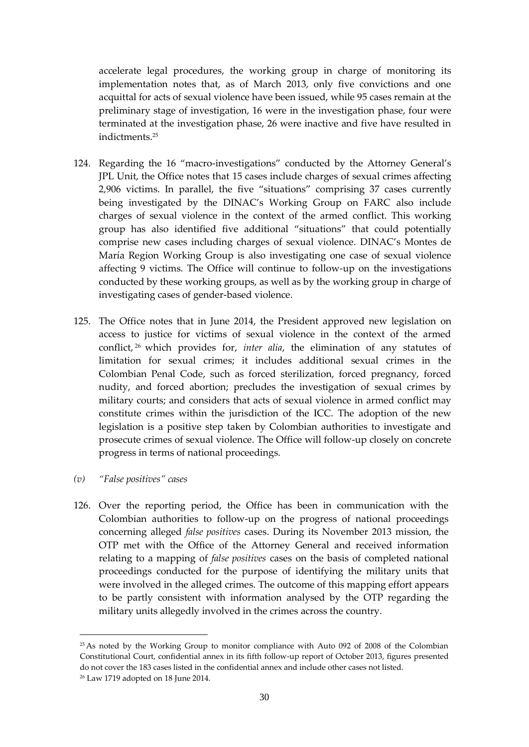accelerate legal procedures, the working group in charge of monitoring its implementation notes that, as of March 2013, only five convictions and one acquittal for acts of sexual violence have been issued, while 95 cases remain at the preliminary stage of investigation, 16 were in the investigation phase, four were terminated at the investigation phase, 26 were inactive and five have resulted in indictments.<sup>25</sup>

- 124. Regarding the 16 "macro-investigations" conducted by the Attorney General's JPL Unit, the Office notes that 15 cases include charges of sexual crimes affecting 2,906 victims. In parallel, the five "situations" comprising 37 cases currently being investigated by the DINAC's Working Group on FARC also include charges of sexual violence in the context of the armed conflict. This working group has also identified five additional "situations" that could potentially comprise new cases including charges of sexual violence. DINAC's Montes de María Region Working Group is also investigating one case of sexual violence affecting 9 victims. The Office will continue to follow-up on the investigations conducted by these working groups, as well as by the working group in charge of investigating cases of gender-based violence.
- 125. The Office notes that in June 2014, the President approved new legislation on access to justice for victims of sexual violence in the context of the armed conflict, <sup>26</sup> which provides for, *inter alia*, the elimination of any statutes of limitation for sexual crimes; it includes additional sexual crimes in the Colombian Penal Code, such as forced sterilization, forced pregnancy, forced nudity, and forced abortion; precludes the investigation of sexual crimes by military courts; and considers that acts of sexual violence in armed conflict may constitute crimes within the jurisdiction of the ICC. The adoption of the new legislation is a positive step taken by Colombian authorities to investigate and prosecute crimes of sexual violence. The Office will follow-up closely on concrete progress in terms of national proceedings.
- *(v) "False positives" cases*
- 126. Over the reporting period, the Office has been in communication with the Colombian authorities to follow-up on the progress of national proceedings concerning alleged *false positives* cases. During its November 2013 mission, the OTP met with the Office of the Attorney General and received information relating to a mapping of *false positives* cases on the basis of completed national proceedings conducted for the purpose of identifying the military units that were involved in the alleged crimes. The outcome of this mapping effort appears to be partly consistent with information analysed by the OTP regarding the military units allegedly involved in the crimes across the country.

<sup>&</sup>lt;sup>25</sup> As noted by the Working Group to monitor compliance with Auto 092 of 2008 of the Colombian Constitutional Court, confidential annex in its [fifth follow-up report of October 2013,](http://www.abcolombia.org.uk/downloads/English_WOMEN_WEB_(2).pdf) figures presented do not cover the 183 cases listed in the confidential annex and include other cases not listed.

<sup>26</sup> Law 1719 adopted on 18 June 2014.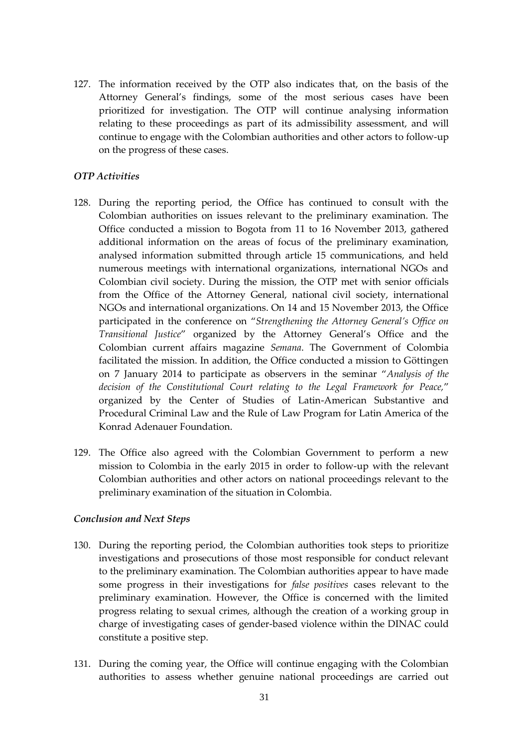127. The information received by the OTP also indicates that, on the basis of the Attorney General's findings, some of the most serious cases have been prioritized for investigation. The OTP will continue analysing information relating to these proceedings as part of its admissibility assessment, and will continue to engage with the Colombian authorities and other actors to follow-up on the progress of these cases.

### *OTP Activities*

- 128. During the reporting period, the Office has continued to consult with the Colombian authorities on issues relevant to the preliminary examination. The Office conducted a mission to Bogota from 11 to 16 November 2013, gathered additional information on the areas of focus of the preliminary examination, analysed information submitted through article 15 communications, and held numerous meetings with international organizations, international NGOs and Colombian civil society. During the mission, the OTP met with senior officials from the Office of the Attorney General, national civil society, international NGOs and international organizations. On 14 and 15 November 2013, the Office participated in the conference on "*Strengthening the Attorney General's Office on Transitional Justice*" organized by the Attorney General's Office and the Colombian current affairs magazine *Semana*. The Government of Colombia facilitated the mission. In addition, the Office conducted a mission to Göttingen on 7 January 2014 to participate as observers in the seminar "*Analysis of the decision of the Constitutional Court relating to the Legal Framework for Peace,*" organized by the Center of Studies of Latin-American Substantive and Procedural Criminal Law and the Rule of Law Program for Latin America of the Konrad Adenauer Foundation.
- 129. The Office also agreed with the Colombian Government to perform a new mission to Colombia in the early 2015 in order to follow-up with the relevant Colombian authorities and other actors on national proceedings relevant to the preliminary examination of the situation in Colombia.

#### *Conclusion and Next Steps*

- 130. During the reporting period, the Colombian authorities took steps to prioritize investigations and prosecutions of those most responsible for conduct relevant to the preliminary examination. The Colombian authorities appear to have made some progress in their investigations for *false positives* cases relevant to the preliminary examination. However, the Office is concerned with the limited progress relating to sexual crimes, although the creation of a working group in charge of investigating cases of gender-based violence within the DINAC could constitute a positive step.
- 131. During the coming year, the Office will continue engaging with the Colombian authorities to assess whether genuine national proceedings are carried out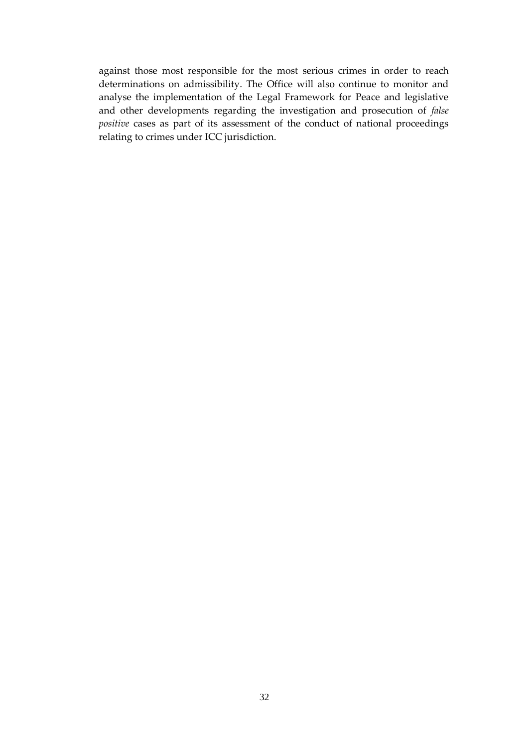against those most responsible for the most serious crimes in order to reach determinations on admissibility. The Office will also continue to monitor and analyse the implementation of the Legal Framework for Peace and legislative and other developments regarding the investigation and prosecution of *false positive* cases as part of its assessment of the conduct of national proceedings relating to crimes under ICC jurisdiction.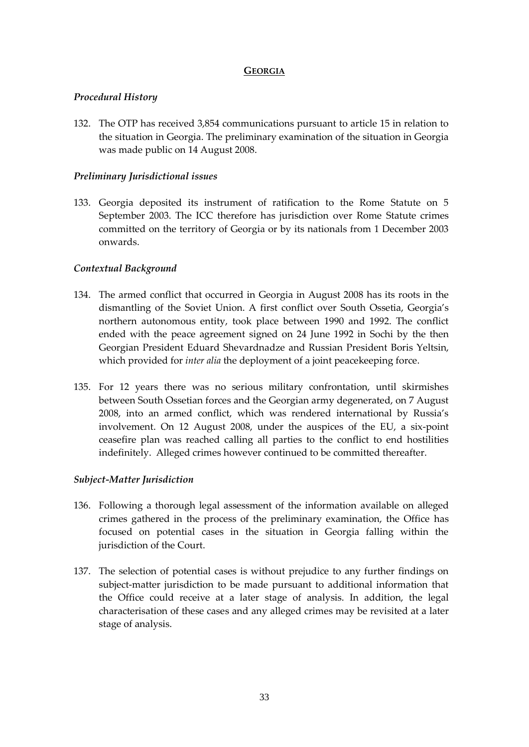## **GEORGIA**

## <span id="page-34-0"></span>*Procedural History*

132. The OTP has received 3,854 communications pursuant to article 15 in relation to the situation in Georgia. The preliminary examination of the situation in Georgia was made public on 14 August 2008.

## *Preliminary Jurisdictional issues*

133. Georgia deposited its instrument of ratification to the Rome Statute on 5 September 2003. The ICC therefore has jurisdiction over Rome Statute crimes committed on the territory of Georgia or by its nationals from 1 December 2003 onwards.

## *Contextual Background*

- 134. The armed conflict that occurred in Georgia in August 2008 has its roots in the dismantling of the Soviet Union. A first conflict over South Ossetia, Georgia's northern autonomous entity, took place between 1990 and 1992. The conflict ended with the peace agreement signed on 24 June 1992 in Sochi by the then Georgian President Eduard Shevardnadze and Russian President Boris Yeltsin, which provided for *inter alia* the deployment of a joint peacekeeping force.
- 135. For 12 years there was no serious military confrontation, until skirmishes between South Ossetian forces and the Georgian army degenerated, on 7 August 2008, into an armed conflict, which was rendered international by Russia's involvement. On 12 August 2008, under the auspices of the EU, a six-point ceasefire plan was reached calling all parties to the conflict to end hostilities indefinitely. Alleged crimes however continued to be committed thereafter.

## *Subject-Matter Jurisdiction*

- 136. Following a thorough legal assessment of the information available on alleged crimes gathered in the process of the preliminary examination, the Office has focused on potential cases in the situation in Georgia falling within the jurisdiction of the Court.
- 137. The selection of potential cases is without prejudice to any further findings on subject-matter jurisdiction to be made pursuant to additional information that the Office could receive at a later stage of analysis. In addition, the legal characterisation of these cases and any alleged crimes may be revisited at a later stage of analysis.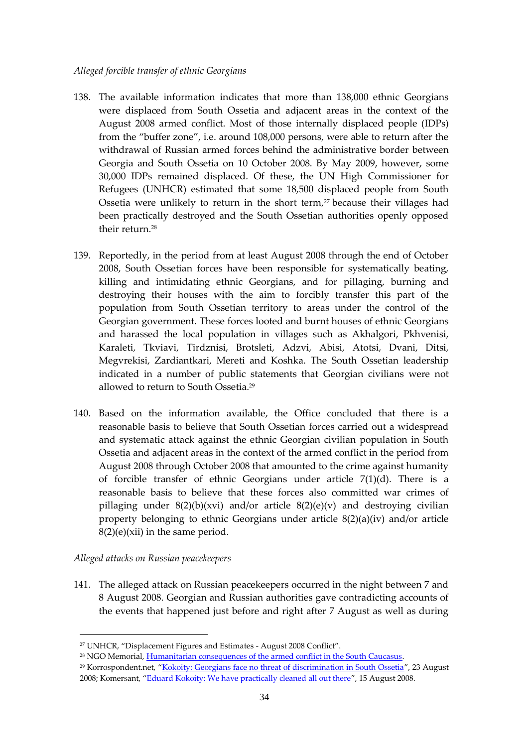#### *Alleged forcible transfer of ethnic Georgians*

- 138. The available information indicates that more than 138,000 ethnic Georgians were displaced from South Ossetia and adjacent areas in the context of the August 2008 armed conflict. Most of those internally displaced people (IDPs) from the "buffer zone", i.e. around 108,000 persons, were able to return after the withdrawal of Russian armed forces behind the administrative border between Georgia and South Ossetia on 10 October 2008. By May 2009, however, some 30,000 IDPs remained displaced. Of these, the UN High Commissioner for Refugees (UNHCR) estimated that some 18,500 displaced people from South Ossetia were unlikely to return in the short term,<sup>27</sup> because their villages had been practically destroyed and the South Ossetian authorities openly opposed their return.<sup>28</sup>
- 139. Reportedly, in the period from at least August 2008 through the end of October 2008, South Ossetian forces have been responsible for systematically beating, killing and intimidating ethnic Georgians, and for pillaging, burning and destroying their houses with the aim to forcibly transfer this part of the population from South Ossetian territory to areas under the control of the Georgian government. These forces looted and burnt houses of ethnic Georgians and harassed the local population in villages such as Akhalgori, Pkhvenisi, Karaleti, Tkviavi, Tirdznisi, Brotsleti, Adzvi, Abisi, Atotsi, Dvani, Ditsi, Megvrekisi, Zardiantkari, Mereti and Koshka. The South Ossetian leadership indicated in a number of public statements that Georgian civilians were not allowed to return to South Ossetia. 29
- 140. Based on the information available, the Office concluded that there is a reasonable basis to believe that South Ossetian forces carried out a widespread and systematic attack against the ethnic Georgian civilian population in South Ossetia and adjacent areas in the context of the armed conflict in the period from August 2008 through October 2008 that amounted to the crime against humanity of forcible transfer of ethnic Georgians under article 7(1)(d). There is a reasonable basis to believe that these forces also committed war crimes of pillaging under  $8(2)(b)(xvi)$  and/or article  $8(2)(e)(v)$  and destroying civilian property belonging to ethnic Georgians under article 8(2)(a)(iv) and/or article  $8(2)(e)(xii)$  in the same period.

## *Alleged attacks on Russian peacekeepers*

1

141. The alleged attack on Russian peacekeepers occurred in the night between 7 and 8 August 2008. Georgian and Russian authorities gave contradicting accounts of the events that happened just before and right after 7 August as well as during

<sup>29</sup> Korrospondent.net, "[Kokoity: Georgians face no threat of discrimination in South Ossetia](http://korrespondent.net/world/562867-kokojty-v-yuzhnoj-osetii-gruzinam-diskriminaciya-ne-grozit)", 23 August 2008; Komersant, "[Eduard Kokoity: We have practically cleaned all out there](http://www.kommersant.ru/doc/1011783)", 15 August 2008.

<sup>27</sup> UNHCR, "Displacement Figures and Estimates - August 2008 Conflict".

<sup>&</sup>lt;sup>28</sup> NGO Memorial, [Humanitarian consequences of the armed conflict in the South Caucasus.](http://www.memo.ru/2008/11/05/0511081.htm)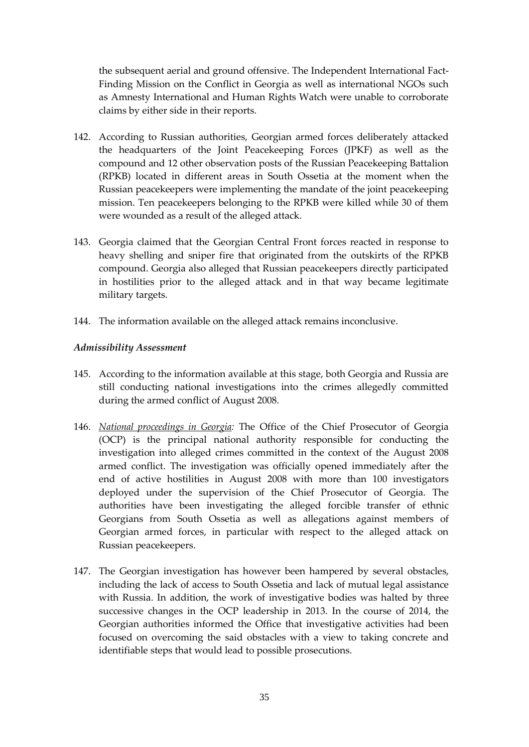the subsequent aerial and ground offensive. The Independent International Fact-Finding Mission on the Conflict in Georgia as well as international NGOs such as Amnesty International and Human Rights Watch were unable to corroborate claims by either side in their reports.

- 142. According to Russian authorities, Georgian armed forces deliberately attacked the headquarters of the Joint Peacekeeping Forces (JPKF) as well as the compound and 12 other observation posts of the Russian Peacekeeping Battalion (RPKB) located in different areas in South Ossetia at the moment when the Russian peacekeepers were implementing the mandate of the joint peacekeeping mission. Ten peacekeepers belonging to the RPKB were killed while 30 of them were wounded as a result of the alleged attack.
- 143. Georgia claimed that the Georgian Central Front forces reacted in response to heavy shelling and sniper fire that originated from the outskirts of the RPKB compound. Georgia also alleged that Russian peacekeepers directly participated in hostilities prior to the alleged attack and in that way became legitimate military targets.
- 144. The information available on the alleged attack remains inconclusive.

## *Admissibility Assessment*

- 145. According to the information available at this stage, both Georgia and Russia are still conducting national investigations into the crimes allegedly committed during the armed conflict of August 2008.
- 146. *National proceedings in Georgia:* The Office of the Chief Prosecutor of Georgia (OCP) is the principal national authority responsible for conducting the investigation into alleged crimes committed in the context of the August 2008 armed conflict. The investigation was officially opened immediately after the end of active hostilities in August 2008 with more than 100 investigators deployed under the supervision of the Chief Prosecutor of Georgia. The authorities have been investigating the alleged forcible transfer of ethnic Georgians from South Ossetia as well as allegations against members of Georgian armed forces, in particular with respect to the alleged attack on Russian peacekeepers.
- 147. The Georgian investigation has however been hampered by several obstacles, including the lack of access to South Ossetia and lack of mutual legal assistance with Russia. In addition, the work of investigative bodies was halted by three successive changes in the OCP leadership in 2013. In the course of 2014, the Georgian authorities informed the Office that investigative activities had been focused on overcoming the said obstacles with a view to taking concrete and identifiable steps that would lead to possible prosecutions.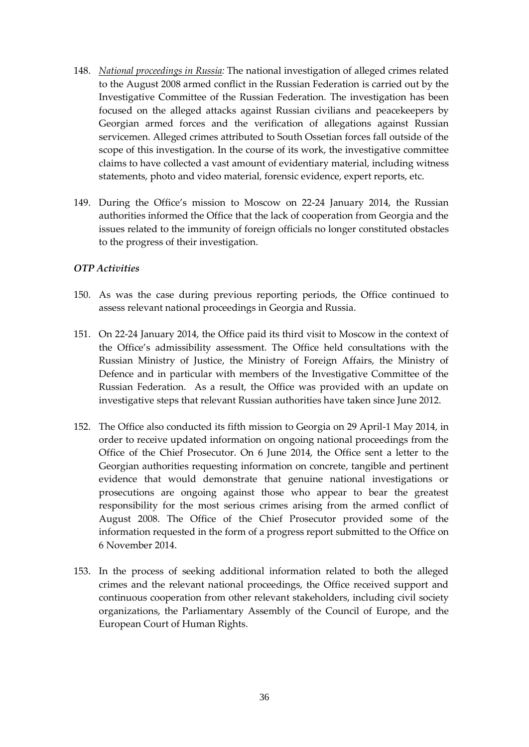- 148. *National proceedings in Russia:* The national investigation of alleged crimes related to the August 2008 armed conflict in the Russian Federation is carried out by the Investigative Committee of the Russian Federation. The investigation has been focused on the alleged attacks against Russian civilians and peacekeepers by Georgian armed forces and the verification of allegations against Russian servicemen. Alleged crimes attributed to South Ossetian forces fall outside of the scope of this investigation. In the course of its work, the investigative committee claims to have collected a vast amount of evidentiary material, including witness statements, photo and video material, forensic evidence, expert reports, etc.
- 149. During the Office's mission to Moscow on 22-24 January 2014, the Russian authorities informed the Office that the lack of cooperation from Georgia and the issues related to the immunity of foreign officials no longer constituted obstacles to the progress of their investigation.

## *OTP Activities*

- 150. As was the case during previous reporting periods, the Office continued to assess relevant national proceedings in Georgia and Russia.
- 151. On 22-24 January 2014, the Office paid its third visit to Moscow in the context of the Office's admissibility assessment. The Office held consultations with the Russian Ministry of Justice, the Ministry of Foreign Affairs, the Ministry of Defence and in particular with members of the Investigative Committee of the Russian Federation. As a result, the Office was provided with an update on investigative steps that relevant Russian authorities have taken since June 2012.
- 152. The Office also conducted its fifth mission to Georgia on 29 April-1 May 2014, in order to receive updated information on ongoing national proceedings from the Office of the Chief Prosecutor. On 6 June 2014, the Office sent a letter to the Georgian authorities requesting information on concrete, tangible and pertinent evidence that would demonstrate that genuine national investigations or prosecutions are ongoing against those who appear to bear the greatest responsibility for the most serious crimes arising from the armed conflict of August 2008. The Office of the Chief Prosecutor provided some of the information requested in the form of a progress report submitted to the Office on 6 November 2014.
- 153. In the process of seeking additional information related to both the alleged crimes and the relevant national proceedings, the Office received support and continuous cooperation from other relevant stakeholders, including civil society organizations, the Parliamentary Assembly of the Council of Europe, and the European Court of Human Rights.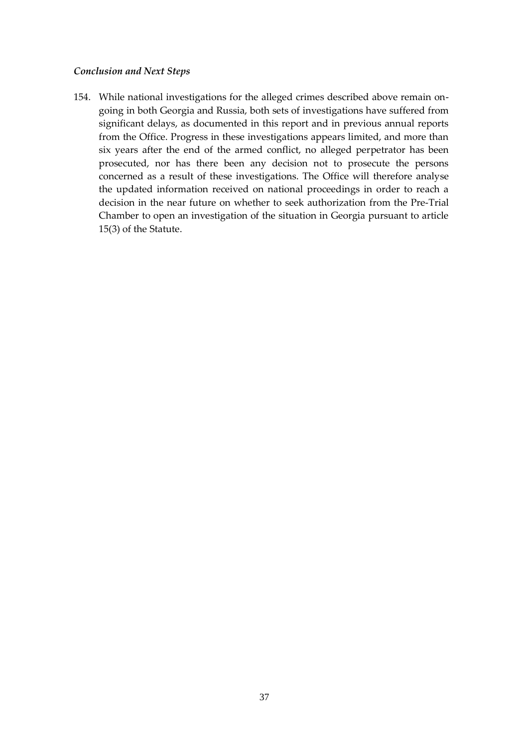### *Conclusion and Next Steps*

154. While national investigations for the alleged crimes described above remain ongoing in both Georgia and Russia, both sets of investigations have suffered from significant delays, as documented in this report and in previous annual reports from the Office. Progress in these investigations appears limited, and more than six years after the end of the armed conflict, no alleged perpetrator has been prosecuted, nor has there been any decision not to prosecute the persons concerned as a result of these investigations. The Office will therefore analyse the updated information received on national proceedings in order to reach a decision in the near future on whether to seek authorization from the Pre-Trial Chamber to open an investigation of the situation in Georgia pursuant to article 15(3) of the Statute.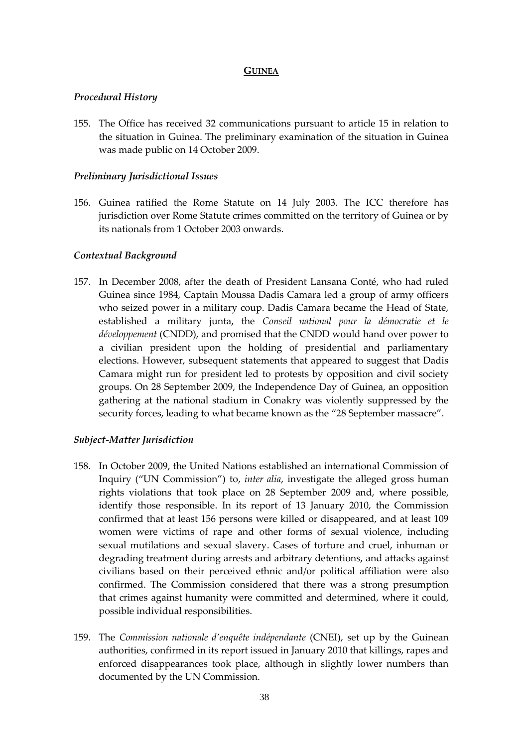### **GUINEA**

### <span id="page-39-0"></span>*Procedural History*

155. The Office has received 32 communications pursuant to article 15 in relation to the situation in Guinea. The preliminary examination of the situation in Guinea was made public on 14 October 2009.

### *Preliminary Jurisdictional Issues*

156. Guinea ratified the Rome Statute on 14 July 2003. The ICC therefore has jurisdiction over Rome Statute crimes committed on the territory of Guinea or by its nationals from 1 October 2003 onwards.

## *Contextual Background*

157. In December 2008, after the death of President Lansana Conté, who had ruled Guinea since 1984, Captain Moussa Dadis Camara led a group of army officers who seized power in a military coup. Dadis Camara became the Head of State, established a military junta, the *Conseil national pour la démocratie et le développement* (CNDD), and promised that the CNDD would hand over power to a civilian president upon the holding of presidential and parliamentary elections. However, subsequent statements that appeared to suggest that Dadis Camara might run for president led to protests by opposition and civil society groups. On 28 September 2009, the Independence Day of Guinea, an opposition gathering at the national stadium in Conakry was violently suppressed by the security forces, leading to what became known as the "28 September massacre".

## *Subject-Matter Jurisdiction*

- 158. In October 2009, the United Nations established an international Commission of Inquiry ("UN Commission") to, *inter alia*, investigate the alleged gross human rights violations that took place on 28 September 2009 and, where possible, identify those responsible. In its report of 13 January 2010, the Commission confirmed that at least 156 persons were killed or disappeared, and at least 109 women were victims of rape and other forms of sexual violence, including sexual mutilations and sexual slavery. Cases of torture and cruel, inhuman or degrading treatment during arrests and arbitrary detentions, and attacks against civilians based on their perceived ethnic and/or political affiliation were also confirmed. The Commission considered that there was a strong presumption that crimes against humanity were committed and determined, where it could, possible individual responsibilities.
- 159. The *Commission nationale d'enquête indépendante* (CNEI), set up by the Guinean authorities, confirmed in its report issued in January 2010 that killings, rapes and enforced disappearances took place, although in slightly lower numbers than documented by the UN Commission.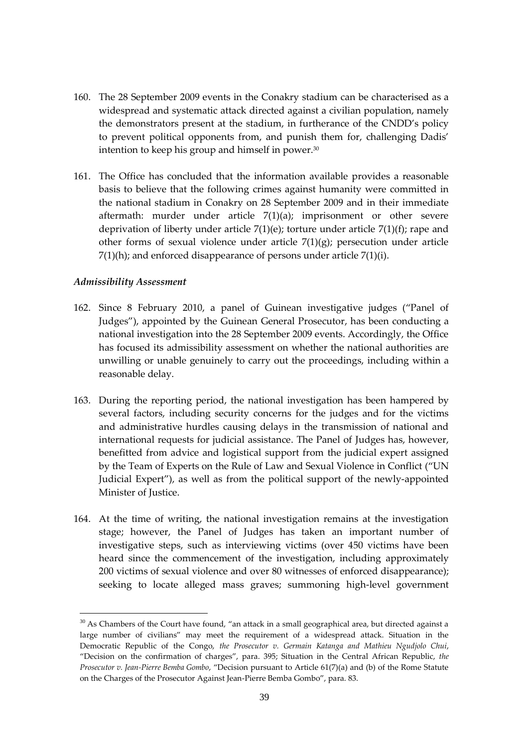- 160. The 28 September 2009 events in the Conakry stadium can be characterised as a widespread and systematic attack directed against a civilian population, namely the demonstrators present at the stadium, in furtherance of the CNDD's policy to prevent political opponents from, and punish them for, challenging Dadis' intention to keep his group and himself in power.<sup>30</sup>
- 161. The Office has concluded that the information available provides a reasonable basis to believe that the following crimes against humanity were committed in the national stadium in Conakry on 28 September 2009 and in their immediate aftermath: murder under article 7(1)(a); imprisonment or other severe deprivation of liberty under article 7(1)(e); torture under article 7(1)(f); rape and other forms of sexual violence under article  $7(1)(g)$ ; persecution under article 7(1)(h); and enforced disappearance of persons under article 7(1)(i).

#### *Admissibility Assessment*

<u>.</u>

- 162. Since 8 February 2010, a panel of Guinean investigative judges ("Panel of Judges"), appointed by the Guinean General Prosecutor, has been conducting a national investigation into the 28 September 2009 events. Accordingly, the Office has focused its admissibility assessment on whether the national authorities are unwilling or unable genuinely to carry out the proceedings, including within a reasonable delay.
- 163. During the reporting period, the national investigation has been hampered by several factors, including security concerns for the judges and for the victims and administrative hurdles causing delays in the transmission of national and international requests for judicial assistance. The Panel of Judges has, however, benefitted from advice and logistical support from the judicial expert assigned by the Team of Experts on the Rule of Law and Sexual Violence in Conflict ("UN Judicial Expert"), as well as from the political support of the newly-appointed Minister of Justice.
- 164. At the time of writing, the national investigation remains at the investigation stage; however, the Panel of Judges has taken an important number of investigative steps, such as interviewing victims (over 450 victims have been heard since the commencement of the investigation, including approximately 200 victims of sexual violence and over 80 witnesses of enforced disappearance); seeking to locate alleged mass graves; summoning high-level government

 $30$  As Chambers of the Court have found, "an attack in a small geographical area, but directed against a large number of civilians" may meet the requirement of a widespread attack. Situation in the Democratic Republic of the Congo, *the Prosecutor v. Germain Katanga and Mathieu Ngudjolo Chui*, "Decision on the confirmation of charges", para. 395; Situation in the Central African Republic, *the Prosecutor v. Jean-Pierre Bemba Gombo*, "Decision pursuant to Article 61(7)(a) and (b) of the Rome Statute on the Charges of the Prosecutor Against Jean-Pierre Bemba Gombo", para. 83.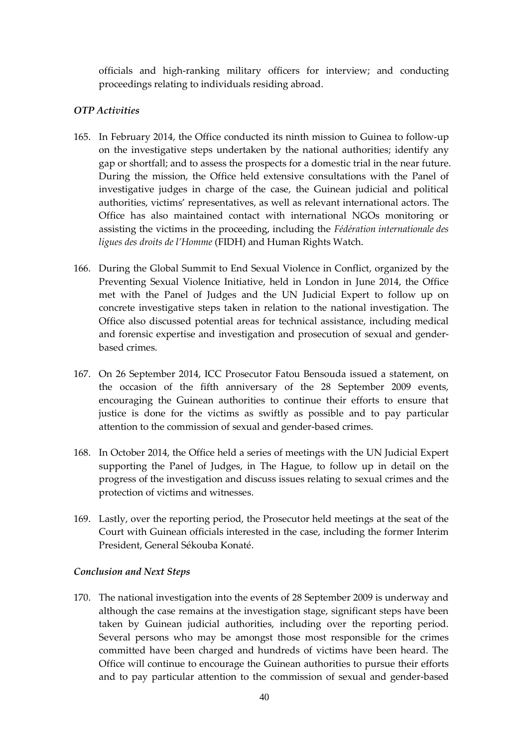officials and high-ranking military officers for interview; and conducting proceedings relating to individuals residing abroad.

## *OTP Activities*

- 165. In February 2014, the Office conducted its ninth mission to Guinea to follow-up on the investigative steps undertaken by the national authorities; identify any gap or shortfall; and to assess the prospects for a domestic trial in the near future. During the mission, the Office held extensive consultations with the Panel of investigative judges in charge of the case, the Guinean judicial and political authorities, victims' representatives, as well as relevant international actors. The Office has also maintained contact with international NGOs monitoring or assisting the victims in the proceeding, including the *Fédération internationale des ligues des droits de l'Homme* (FIDH) and Human Rights Watch.
- 166. During the Global Summit to End Sexual Violence in Conflict, organized by the Preventing Sexual Violence Initiative, held in London in June 2014, the Office met with the Panel of Judges and the UN Judicial Expert to follow up on concrete investigative steps taken in relation to the national investigation. The Office also discussed potential areas for technical assistance, including medical and forensic expertise and investigation and prosecution of sexual and genderbased crimes.
- 167. On 26 September 2014, ICC Prosecutor Fatou Bensouda issued a statement, on the occasion of the fifth anniversary of the 28 September 2009 events, encouraging the Guinean authorities to continue their efforts to ensure that justice is done for the victims as swiftly as possible and to pay particular attention to the commission of sexual and gender-based crimes.
- 168. In October 2014, the Office held a series of meetings with the UN Judicial Expert supporting the Panel of Judges, in The Hague, to follow up in detail on the progress of the investigation and discuss issues relating to sexual crimes and the protection of victims and witnesses.
- 169. Lastly, over the reporting period, the Prosecutor held meetings at the seat of the Court with Guinean officials interested in the case, including the former Interim President, General Sékouba Konaté.

## *Conclusion and Next Steps*

170. The national investigation into the events of 28 September 2009 is underway and although the case remains at the investigation stage, significant steps have been taken by Guinean judicial authorities, including over the reporting period. Several persons who may be amongst those most responsible for the crimes committed have been charged and hundreds of victims have been heard. The Office will continue to encourage the Guinean authorities to pursue their efforts and to pay particular attention to the commission of sexual and gender-based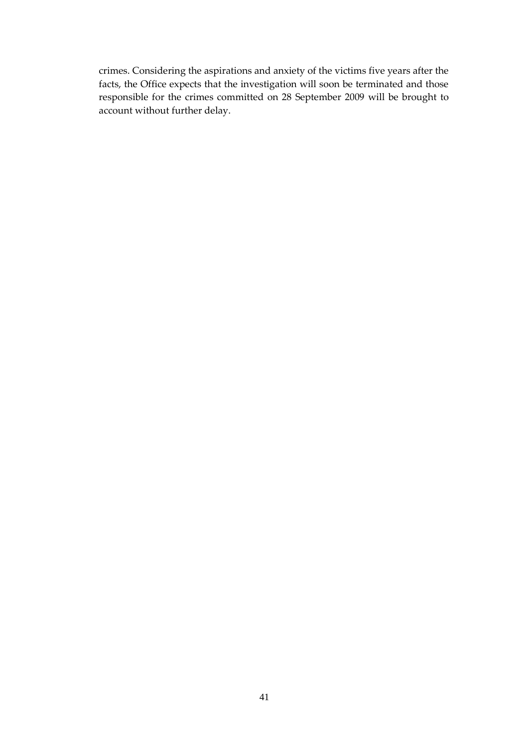crimes. Considering the aspirations and anxiety of the victims five years after the facts, the Office expects that the investigation will soon be terminated and those responsible for the crimes committed on 28 September 2009 will be brought to account without further delay.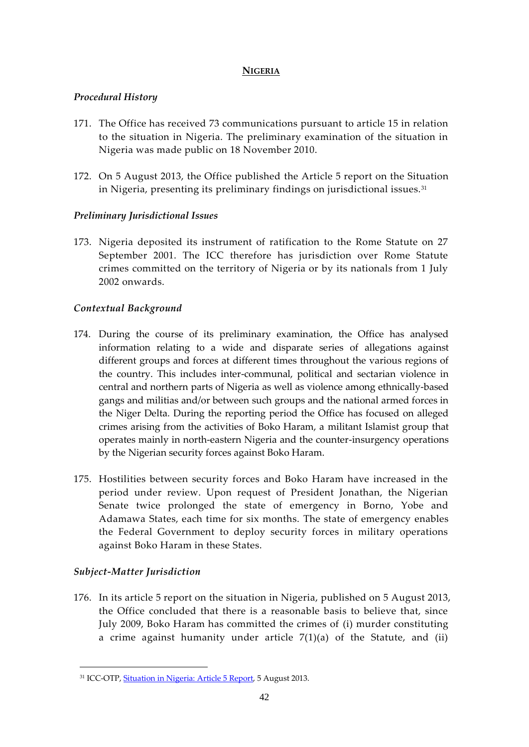## **NIGERIA**

## <span id="page-43-0"></span>*Procedural History*

- 171. The Office has received 73 communications pursuant to article 15 in relation to the situation in Nigeria. The preliminary examination of the situation in Nigeria was made public on 18 November 2010.
- 172. On 5 August 2013, the Office published the Article 5 report on the Situation in Nigeria, presenting its preliminary findings on jurisdictional issues.<sup>31</sup>

# *Preliminary Jurisdictional Issues*

173. Nigeria deposited its instrument of ratification to the Rome Statute on 27 September 2001. The ICC therefore has jurisdiction over Rome Statute crimes committed on the territory of Nigeria or by its nationals from 1 July 2002 onwards.

# *Contextual Background*

- 174. During the course of its preliminary examination, the Office has analysed information relating to a wide and disparate series of allegations against different groups and forces at different times throughout the various regions of the country. This includes inter-communal, political and sectarian violence in central and northern parts of Nigeria as well as violence among ethnically-based gangs and militias and/or between such groups and the national armed forces in the Niger Delta. During the reporting period the Office has focused on alleged crimes arising from the activities of Boko Haram, a militant Islamist group that operates mainly in north-eastern Nigeria and the counter-insurgency operations by the Nigerian security forces against Boko Haram.
- 175. Hostilities between security forces and Boko Haram have increased in the period under review. Upon request of President Jonathan, the Nigerian Senate twice prolonged the state of emergency in Borno, Yobe and Adamawa States, each time for six months. The state of emergency enables the Federal Government to deploy security forces in military operations against Boko Haram in these States.

# *Subject-Matter Jurisdiction*

<u>.</u>

176. In its article 5 report on the situation in Nigeria, published on 5 August 2013, the Office concluded that there is a reasonable basis to believe that, since July 2009, Boko Haram has committed the crimes of (i) murder constituting a crime against humanity under article  $7(1)(a)$  of the Statute, and (ii)

<sup>31</sup> ICC-OTP, [Situation in Nigeria: Article 5 Report,](http://www.icc-cpi.int/iccdocs/PIDS/docs/SAS%20-%20NGA%20-%20Public%20version%20Article%205%20Report%20-%2005%20August%202013.PDF) 5 August 2013.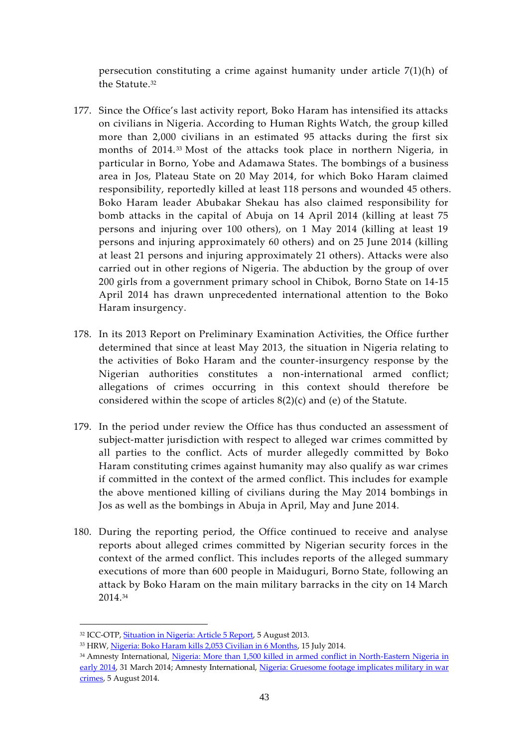persecution constituting a crime against humanity under article 7(1)(h) of the Statute.<sup>32</sup>

- 177. Since the Office's last activity report, Boko Haram has intensified its attacks on civilians in Nigeria. According to Human Rights Watch, the group killed more than 2,000 civilians in an estimated 95 attacks during the first six months of 2014. <sup>33</sup> Most of the attacks took place in northern Nigeria, in particular in Borno, Yobe and Adamawa States. The bombings of a business area in Jos, Plateau State on 20 May 2014, for which Boko Haram claimed responsibility, reportedly killed at least 118 persons and wounded 45 others. Boko Haram leader Abubakar Shekau has also claimed responsibility for bomb attacks in the capital of Abuja on 14 April 2014 (killing at least 75 persons and injuring over 100 others), on 1 May 2014 (killing at least 19 persons and injuring approximately 60 others) and on 25 June 2014 (killing at least 21 persons and injuring approximately 21 others). Attacks were also carried out in other regions of Nigeria. The abduction by the group of over 200 girls from a government primary school in Chibok, Borno State on 14-15 April 2014 has drawn unprecedented international attention to the Boko Haram insurgency.
- 178. In its 2013 Report on Preliminary Examination Activities, the Office further determined that since at least May 2013, the situation in Nigeria relating to the activities of Boko Haram and the counter-insurgency response by the Nigerian authorities constitutes a non-international armed conflict; allegations of crimes occurring in this context should therefore be considered within the scope of articles 8(2)(c) and (e) of the Statute.
- 179. In the period under review the Office has thus conducted an assessment of subject-matter jurisdiction with respect to alleged war crimes committed by all parties to the conflict. Acts of murder allegedly committed by Boko Haram constituting crimes against humanity may also qualify as war crimes if committed in the context of the armed conflict. This includes for example the above mentioned killing of civilians during the May 2014 bombings in Jos as well as the bombings in Abuja in April, May and June 2014.
- 180. During the reporting period, the Office continued to receive and analyse reports about alleged crimes committed by Nigerian security forces in the context of the armed conflict. This includes reports of the alleged summary executions of more than 600 people in Maiduguri, Borno State, following an attack by Boko Haram on the main military barracks in the city on 14 March 2014.<sup>34</sup>

1

<sup>34</sup> Amnesty International, Nigeria: More than 1,500 killed in armed conflict in North-Eastern Nigeria in [early 2014,](http://www.amnesty.org/en/library/info/AFR44/004/2014/en) 31 March 2014; Amnesty International, [Nigeria: Gruesome footage implicates military in war](http://www.amnesty.org/en/for-media/press-releases/nigeria-gruesome-footage-implicates-military-war-crimes-2014-08-04)  [crimes,](http://www.amnesty.org/en/for-media/press-releases/nigeria-gruesome-footage-implicates-military-war-crimes-2014-08-04) 5 August 2014.

<sup>&</sup>lt;sup>32</sup> ICC-OTP, **Situation in Nigeria: Article 5 Report**, 5 August 2013.

<sup>33</sup> HRW[, Nigeria: Boko Haram kills 2,053 Civilian in 6 Months,](http://www.hrw.org/news/2014/07/15/nigeria-boko-haram-kills-2053-civilians-6-months) 15 July 2014.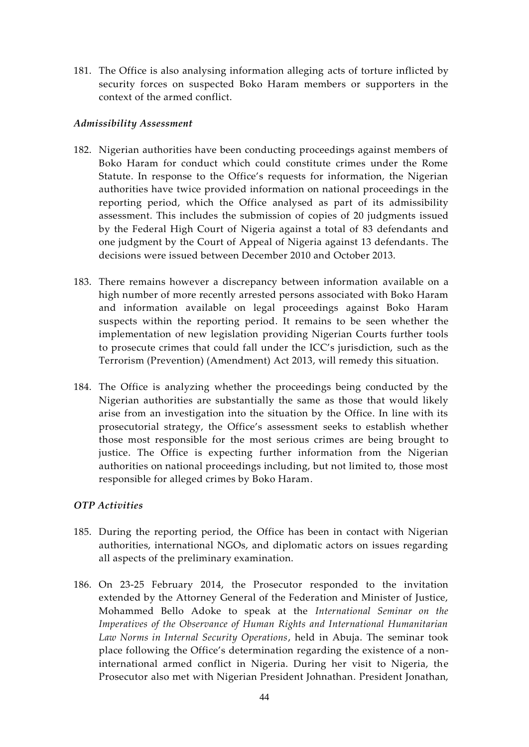181. The Office is also analysing information alleging acts of torture inflicted by security forces on suspected Boko Haram members or supporters in the context of the armed conflict.

## *Admissibility Assessment*

- 182. Nigerian authorities have been conducting proceedings against members of Boko Haram for conduct which could constitute crimes under the Rome Statute. In response to the Office's requests for information, the Nigerian authorities have twice provided information on national proceedings in the reporting period, which the Office analysed as part of its admissibility assessment. This includes the submission of copies of 20 judgments issued by the Federal High Court of Nigeria against a total of 83 defendants and one judgment by the Court of Appeal of Nigeria against 13 defendants. The decisions were issued between December 2010 and October 2013.
- 183. There remains however a discrepancy between information available on a high number of more recently arrested persons associated with Boko Haram and information available on legal proceedings against Boko Haram suspects within the reporting period. It remains to be seen whether the implementation of new legislation providing Nigerian Courts further tools to prosecute crimes that could fall under the ICC's jurisdiction, such as the Terrorism (Prevention) (Amendment) Act 2013, will remedy this situation.
- 184. The Office is analyzing whether the proceedings being conducted by the Nigerian authorities are substantially the same as those that would likely arise from an investigation into the situation by the Office. In line with its prosecutorial strategy, the Office's assessment seeks to establish whether those most responsible for the most serious crimes are being brought to justice. The Office is expecting further information from the Nigerian authorities on national proceedings including, but not limited to, those most responsible for alleged crimes by Boko Haram.

## *OTP Activities*

- 185. During the reporting period, the Office has been in contact with Nigerian authorities, international NGOs, and diplomatic actors on issues regarding all aspects of the preliminary examination.
- 186. On 23-25 February 2014, the Prosecutor responded to the invitation extended by the Attorney General of the Federation and Minister of Justice, Mohammed Bello Adoke to speak at the *International Seminar on the Imperatives of the Observance of Human Rights and International Humanitarian Law Norms in Internal Security Operations*, held in Abuja. The seminar took place following the Office's determination regarding the existence of a noninternational armed conflict in Nigeria. During her visit to Nigeria, the Prosecutor also met with Nigerian President Johnathan. President Jonathan,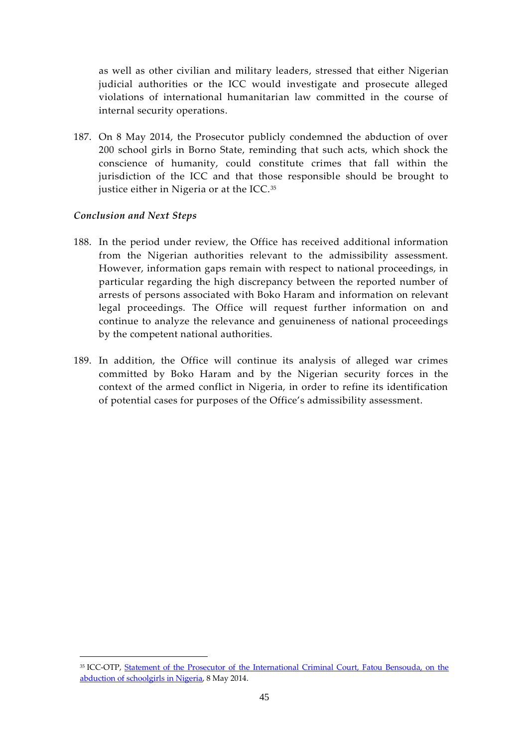as well as other civilian and military leaders, stressed that either Nigerian judicial authorities or the ICC would investigate and prosecute alleged violations of international humanitarian law committed in the course of internal security operations.

187. On 8 May 2014, the Prosecutor publicly condemned the abduction of over 200 school girls in Borno State, reminding that such acts, which shock the conscience of humanity, could constitute crimes that fall within the jurisdiction of the ICC and that those responsible should be brought to justice either in Nigeria or at the ICC.<sup>35</sup>

## *Conclusion and Next Steps*

- 188. In the period under review, the Office has received additional information from the Nigerian authorities relevant to the admissibility assessment. However, information gaps remain with respect to national proceedings, in particular regarding the high discrepancy between the reported number of arrests of persons associated with Boko Haram and information on relevant legal proceedings. The Office will request further information on and continue to analyze the relevance and genuineness of national proceedings by the competent national authorities.
- 189. In addition, the Office will continue its analysis of alleged war crimes committed by Boko Haram and by the Nigerian security forces in the context of the armed conflict in Nigeria, in order to refine its identification of potential cases for purposes of the Office's admissibility assessment.

<sup>35</sup> ICC-OTP, [Statement of the Prosecutor of the International Criminal Court, Fatou Bensouda, on the](http://www.icc-cpi.int/en_menus/icc/press%20and%20media/press%20releases/pages/otp-statement-08-05-2014.aspx)  [abduction of schoolgirls in Nigeria,](http://www.icc-cpi.int/en_menus/icc/press%20and%20media/press%20releases/pages/otp-statement-08-05-2014.aspx) 8 May 2014.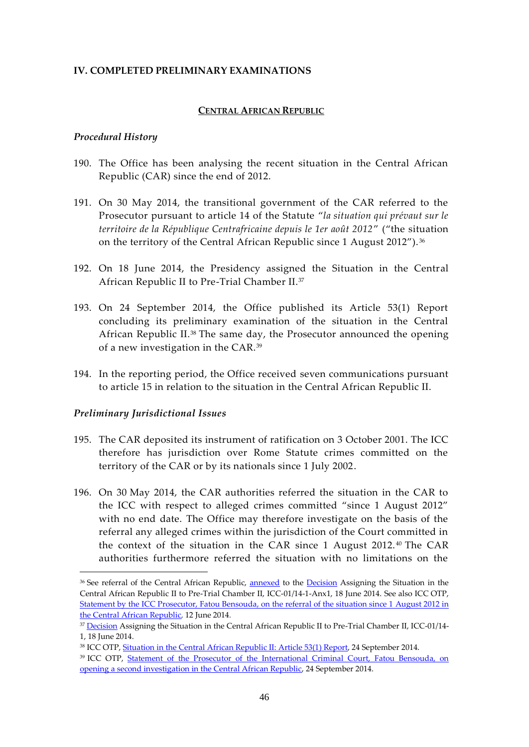#### <span id="page-47-0"></span>**IV. COMPLETED PRELIMINARY EXAMINATIONS**

#### **CENTRAL AFRICAN REPUBLIC**

#### <span id="page-47-1"></span>*Procedural History*

- 190. The Office has been analysing the recent situation in the Central African Republic (CAR) since the end of 2012.
- 191. On 30 May 2014, the transitional government of the CAR referred to the Prosecutor pursuant to article 14 of the Statute "*la situation qui prévaut sur le territoire de la République Centrafricaine depuis le 1er août 2012*" ("the situation on the territory of the Central African Republic since 1 August 2012"). <sup>36</sup>
- 192. On 18 June 2014, the Presidency assigned the Situation in the Central African Republic II to Pre-Trial Chamber II.<sup>37</sup>
- 193. On 24 September 2014, the Office published its Article 53(1) Report concluding its preliminary examination of the situation in the Central African Republic II.<sup>38</sup> The same day, the Prosecutor announced the opening of a new investigation in the CAR.<sup>39</sup>
- 194. In the reporting period, the Office received seven communications pursuant to article 15 in relation to the situation in the Central African Republic II.

#### *Preliminary Jurisdictional Issues*

- 195. The CAR deposited its instrument of ratification on 3 October 2001. The ICC therefore has jurisdiction over Rome Statute crimes committed on the territory of the CAR or by its nationals since 1 July 2002.
- 196. On 30 May 2014, the CAR authorities referred the situation in the CAR to the ICC with respect to alleged crimes committed "since 1 August 2012" with no end date. The Office may therefore investigate on the basis of the referral any alleged crimes within the jurisdiction of the Court committed in the context of the situation in the CAR since 1 August 2012. <sup>40</sup> The CAR authorities furthermore referred the situation with no limitations on the

<sup>&</sup>lt;sup>36</sup> See referral of the Central African Republic, [annexed](http://www.icc-cpi.int/iccdocs/doc/doc1790494.pdf) to the [Decision](http://www.icc-cpi.int/iccdocs/doc/doc1790493.pdf) Assigning the Situation in the Central African Republic II to Pre-Trial Chamber II, ICC-01/14-1-Anx1, 18 June 2014. See also ICC OTP, [Statement by the ICC Prosecutor, Fatou Bensouda, on the referral of the situation since 1](http://www.icc-cpi.int/en_menus/icc/press%20and%20media/press%20releases/Pages/otp-statement-12-06-2014.aspx) August 2012 in [the Central African Republic,](http://www.icc-cpi.int/en_menus/icc/press%20and%20media/press%20releases/Pages/otp-statement-12-06-2014.aspx) 12 June 2014.

<sup>&</sup>lt;sup>37</sup> [Decision](http://www.icc-cpi.int/iccdocs/doc/doc1790493.pdf) Assigning the Situation in the Central African Republic II to Pre-Trial Chamber II, ICC-01/14-1, 18 June 2014.

<sup>38</sup> ICC OTP[, Situation in the Central African Republic II:](http://www.icc-cpi.int/EN_Menus/icc/structure%20of%20the%20court/office%20of%20the%20prosecutor/reports%20and%20statements/statement/pages/sit-car-art53-1.aspx) Article 53(1) Report, 24 September 2014.

<sup>&</sup>lt;sup>39</sup> ICC OTP, Statement of the Prosecutor of the International Criminal Court, Fatou Bensouda, on [opening a second investigation in the Central African Republic,](http://www.icc-cpi.int/en_menus/icc/structure%20of%20the%20court/office%20of%20the%20prosecutor/reports%20and%20statements/statement/Pages/Statement-open-CARII.aspx) 24 September 2014.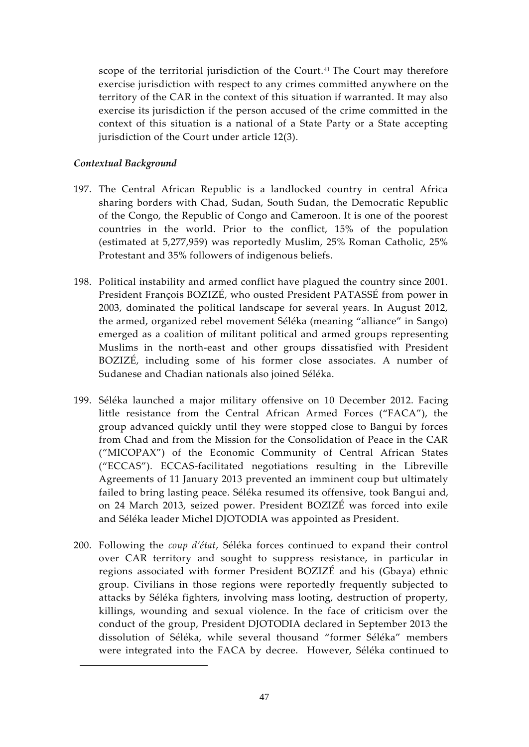scope of the territorial jurisdiction of the Court. <sup>41</sup> The Court may therefore exercise jurisdiction with respect to any crimes committed anywhere on the territory of the CAR in the context of this situation if warranted. It may also exercise its jurisdiction if the person accused of the crime committed in the context of this situation is a national of a State Party or a State accepting jurisdiction of the Court under article 12(3).

## *Contextual Background*

- 197. The Central African Republic is a landlocked country in central Africa sharing borders with Chad, Sudan, South Sudan, the Democratic Republic of the Congo, the Republic of Congo and Cameroon. It is one of the poorest countries in the world. Prior to the conflict, 15% of the population (estimated at 5,277,959) was reportedly Muslim, 25% Roman Catholic, 25% Protestant and 35% followers of indigenous beliefs.
- 198. Political instability and armed conflict have plagued the country since 2001. President François BOZIZÉ, who ousted President PATASSÉ from power in 2003, dominated the political landscape for several years. In August 2012, the armed, organized rebel movement Séléka (meaning "alliance" in Sango) emerged as a coalition of militant political and armed groups representing Muslims in the north-east and other groups dissatisfied with President BOZIZÉ, including some of his former close associates. A number of Sudanese and Chadian nationals also joined Séléka.
- 199. Séléka launched a major military offensive on 10 December 2012. Facing little resistance from the Central African Armed Forces ("FACA"), the group advanced quickly until they were stopped close to Bangui by forces from Chad and from the Mission for the Consolidation of Peace in the CAR ("MICOPAX") of the Economic Community of Central African States ("ECCAS"). ECCAS-facilitated negotiations resulting in the Libreville Agreements of 11 January 2013 prevented an imminent coup but ultimately failed to bring lasting peace. Séléka resumed its offensive, took Bangui and, on 24 March 2013, seized power. President BOZIZÉ was forced into exile and Séléka leader Michel DJOTODIA was appointed as President.
- 200. Following the *coup d'état*, Séléka forces continued to expand their control over CAR territory and sought to suppress resistance, in particular in regions associated with former President BOZIZÉ and his (Gbaya) ethnic group. Civilians in those regions were reportedly frequently subjected to attacks by Séléka fighters, involving mass looting, destruction of property, killings, wounding and sexual violence. In the face of criticism over the conduct of the group, President DJOTODIA declared in September 2013 the dissolution of Séléka, while several thousand "former Séléka" members were integrated into the FACA by decree. However, Séléka continued to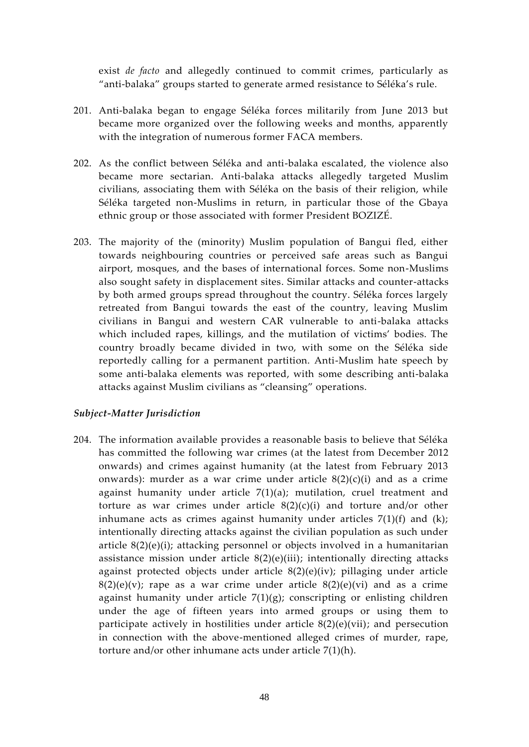exist *de facto* and allegedly continued to commit crimes, particularly as "anti-balaka" groups started to generate armed resistance to Séléka's rule.

- 201. Anti-balaka began to engage Séléka forces militarily from June 2013 but became more organized over the following weeks and months, apparently with the integration of numerous former FACA members.
- 202. As the conflict between Séléka and anti-balaka escalated, the violence also became more sectarian. Anti-balaka attacks allegedly targeted Muslim civilians, associating them with Séléka on the basis of their religion, while Séléka targeted non-Muslims in return, in particular those of the Gbaya ethnic group or those associated with former President BOZIZÉ.
- 203. The majority of the (minority) Muslim population of Bangui fled, either towards neighbouring countries or perceived safe areas such as Bangui airport, mosques, and the bases of international forces. Some non-Muslims also sought safety in displacement sites. Similar attacks and counter-attacks by both armed groups spread throughout the country. Séléka forces largely retreated from Bangui towards the east of the country, leaving Muslim civilians in Bangui and western CAR vulnerable to anti-balaka attacks which included rapes, killings, and the mutilation of victims' bodies. The country broadly became divided in two, with some on the Séléka side reportedly calling for a permanent partition. Anti-Muslim hate speech by some anti-balaka elements was reported, with some describing anti-balaka attacks against Muslim civilians as "cleansing" operations.

#### *Subject-Matter Jurisdiction*

204. The information available provides a reasonable basis to believe that Séléka has committed the following war crimes (at the latest from December 2012 onwards) and crimes against humanity (at the latest from February 2013 onwards): murder as a war crime under article  $8(2)(c)(i)$  and as a crime against humanity under article 7(1)(a); mutilation, cruel treatment and torture as war crimes under article  $8(2)(c)(i)$  and torture and/or other inhumane acts as crimes against humanity under articles  $7(1)(f)$  and  $(k)$ ; intentionally directing attacks against the civilian population as such under article 8(2)(e)(i); attacking personnel or objects involved in a humanitarian assistance mission under article  $8(2)(e)(iii)$ ; intentionally directing attacks against protected objects under article 8(2)(e)(iv); pillaging under article  $8(2)(e)(v)$ ; rape as a war crime under article  $8(2)(e)(vi)$  and as a crime against humanity under article  $7(1)(g)$ ; conscripting or enlisting children under the age of fifteen years into armed groups or using them to participate actively in hostilities under article 8(2)(e)(vii); and persecution in connection with the above-mentioned alleged crimes of murder, rape, torture and/or other inhumane acts under article 7(1)(h).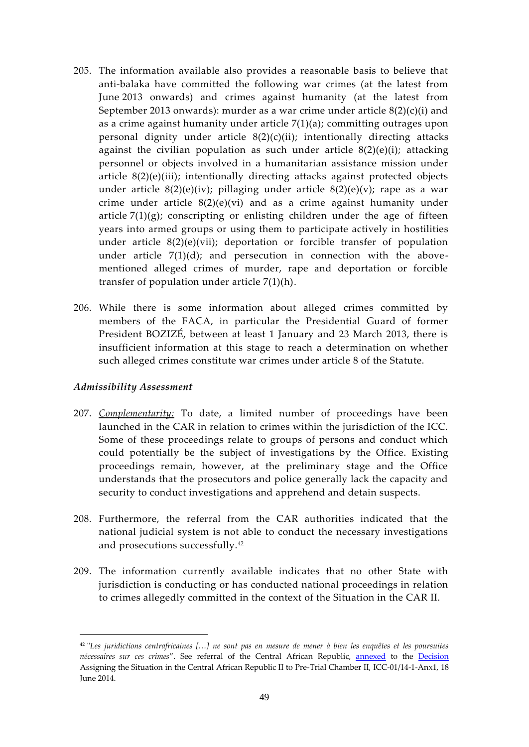- 205. The information available also provides a reasonable basis to believe that anti-balaka have committed the following war crimes (at the latest from June 2013 onwards) and crimes against humanity (at the latest from September 2013 onwards): murder as a war crime under article 8(2)(c)(i) and as a crime against humanity under article 7(1)(a); committing outrages upon personal dignity under article  $8(2)(c)(ii)$ ; intentionally directing attacks against the civilian population as such under article  $8(2)(e)(i)$ ; attacking personnel or objects involved in a humanitarian assistance mission under article 8(2)(e)(iii); intentionally directing attacks against protected objects under article  $8(2)(e)(iv)$ ; pillaging under article  $8(2)(e)(v)$ ; rape as a war crime under article  $8(2)(e)(vi)$  and as a crime against humanity under article  $7(1)(g)$ ; conscripting or enlisting children under the age of fifteen years into armed groups or using them to participate actively in hostilities under article  $8(2)(e)(vii)$ ; deportation or forcible transfer of population under article  $7(1)(d)$ ; and persecution in connection with the abovementioned alleged crimes of murder, rape and deportation or forcible transfer of population under article 7(1)(h).
- 206. While there is some information about alleged crimes committed by members of the FACA, in particular the Presidential Guard of former President BOZIZÉ, between at least 1 January and 23 March 2013, there is insufficient information at this stage to reach a determination on whether such alleged crimes constitute war crimes under article 8 of the Statute.

## *Admissibility Assessment*

- 207. *Complementarity:* To date, a limited number of proceedings have been launched in the CAR in relation to crimes within the jurisdiction of the ICC. Some of these proceedings relate to groups of persons and conduct which could potentially be the subject of investigations by the Office. Existing proceedings remain, however, at the preliminary stage and the Office understands that the prosecutors and police generally lack the capacity and security to conduct investigations and apprehend and detain suspects.
- 208. Furthermore, the referral from the CAR authorities indicated that the national judicial system is not able to conduct the necessary investigations and prosecutions successfully.<sup>42</sup>
- 209. The information currently available indicates that no other State with jurisdiction is conducting or has conducted national proceedings in relation to crimes allegedly committed in the context of the Situation in the CAR II.

<sup>42</sup> "*Les juridictions centrafricaines […] ne sont pas en mesure de mener à bien les enquêtes et les poursuites nécessaires sur ces crimes*". See referral of the Central African Republic, [annexed](http://www.icc-cpi.int/iccdocs/doc/doc1790494.pdf) to the [Decision](http://www.icc-cpi.int/iccdocs/doc/doc1790493.pdf) Assigning the Situation in the Central African Republic II to Pre-Trial Chamber II, ICC-01/14-1-Anx1, 18 June 2014.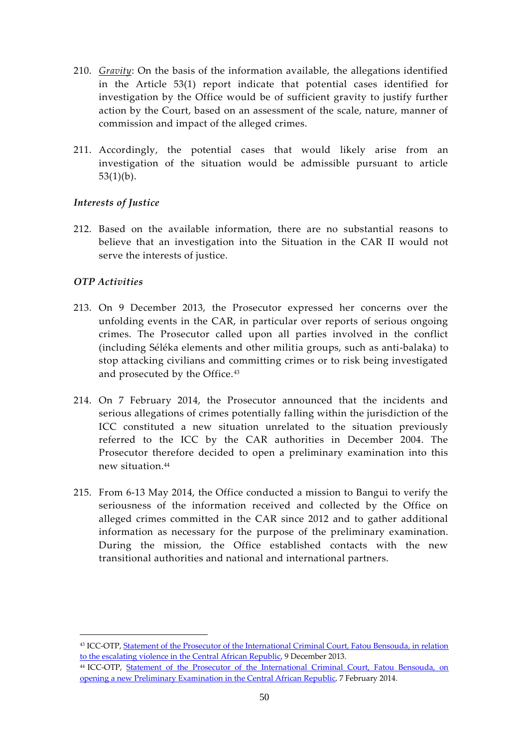- 210. *Gravity*: On the basis of the information available, the allegations identified in the Article 53(1) report indicate that potential cases identified for investigation by the Office would be of sufficient gravity to justify further action by the Court, based on an assessment of the scale, nature, manner of commission and impact of the alleged crimes.
- 211. Accordingly, the potential cases that would likely arise from an investigation of the situation would be admissible pursuant to article  $53(1)(b)$ .

## *Interests of Justice*

212. Based on the available information, there are no substantial reasons to believe that an investigation into the Situation in the CAR II would not serve the interests of justice.

## *OTP Activities*

- 213. On 9 December 2013, the Prosecutor expressed her concerns over the unfolding events in the CAR, in particular over reports of serious ongoing crimes. The Prosecutor called upon all parties involved in the conflict (including Séléka elements and other militia groups, such as anti-balaka) to stop attacking civilians and committing crimes or to risk being investigated and prosecuted by the Office.<sup>43</sup>
- 214. On 7 February 2014, the Prosecutor announced that the incidents and serious allegations of crimes potentially falling within the jurisdiction of the ICC constituted a new situation unrelated to the situation previously referred to the ICC by the CAR authorities in December 2004. The Prosecutor therefore decided to open a preliminary examination into this new situation.<sup>44</sup>
- 215. From 6-13 May 2014, the Office conducted a mission to Bangui to verify the seriousness of the information received and collected by the Office on alleged crimes committed in the CAR since 2012 and to gather additional information as necessary for the purpose of the preliminary examination. During the mission, the Office established contacts with the new transitional authorities and national and international partners.

<sup>43</sup> ICC-OTP, Statement of the Prosecutor of the International Criminal Court, Fatou Bensouda, in relation [to the escalating violence in the Central African Republic,](http://www.icc-cpi.int/en_menus/icc/press%20and%20media/press%20releases/Pages/otp-statement-09-12-2013.aspx) 9 December 2013.

<sup>44</sup> ICC-OTP, [Statement of the Prosecutor of the International Criminal Court, Fatou Bensouda, on](http://www.icc-cpi.int/en_menus/icc/structure%20of%20the%20court/office%20of%20the%20prosecutor/reports%20and%20statements/statement/Pages/otp-statement-07-02-2014.aspx)  [opening a new Preliminary Examination in the Central African Republic,](http://www.icc-cpi.int/en_menus/icc/structure%20of%20the%20court/office%20of%20the%20prosecutor/reports%20and%20statements/statement/Pages/otp-statement-07-02-2014.aspx) 7 February 2014.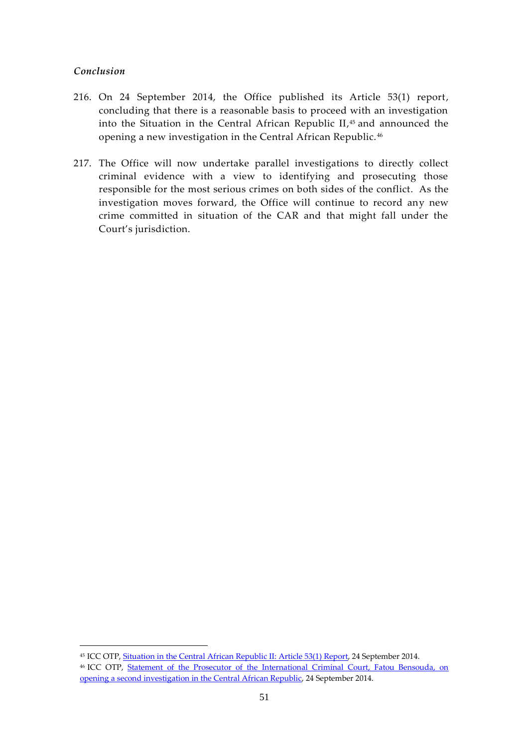### *Conclusion*

- 216. On 24 September 2014, the Office published its Article 53(1) report, concluding that there is a reasonable basis to proceed with an investigation into the Situation in the Central African Republic II, <sup>45</sup> and announced the opening a new investigation in the Central African Republic. <sup>46</sup>
- 217. The Office will now undertake parallel investigations to directly collect criminal evidence with a view to identifying and prosecuting those responsible for the most serious crimes on both sides of the conflict. As the investigation moves forward, the Office will continue to record any new crime committed in situation of the CAR and that might fall under the Court's jurisdiction.

<sup>&</sup>lt;sup>45</sup> ICC OTP[, Situation in the Central African Republic II:](http://www.icc-cpi.int/EN_Menus/icc/structure%20of%20the%20court/office%20of%20the%20prosecutor/reports%20and%20statements/statement/pages/sit-car-art53-1.aspx) Article 53(1) Report, 24 September 2014. <sup>46</sup> ICC OTP, [Statement of the Prosecutor of the International Criminal Court, Fatou Bensouda, on](http://www.icc-cpi.int/en_menus/icc/structure%20of%20the%20court/office%20of%20the%20prosecutor/reports%20and%20statements/statement/Pages/Statement-open-CARII.aspx)  [opening a second investigation in the Central African Republic,](http://www.icc-cpi.int/en_menus/icc/structure%20of%20the%20court/office%20of%20the%20prosecutor/reports%20and%20statements/statement/Pages/Statement-open-CARII.aspx) 24 September 2014.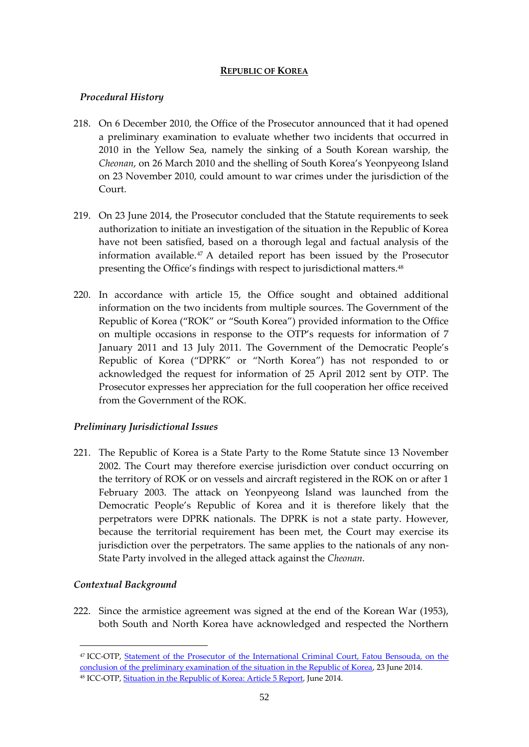#### **REPUBLIC OF KOREA**

## <span id="page-53-0"></span>*Procedural History*

- 218. On 6 December 2010, the Office of the Prosecutor announced that it had opened a preliminary examination to evaluate whether two incidents that occurred in 2010 in the Yellow Sea, namely the sinking of a South Korean warship, the *Cheonan*, on 26 March 2010 and the shelling of South Korea's Yeonpyeong Island on 23 November 2010, could amount to war crimes under the jurisdiction of the Court.
- 219. On 23 June 2014, the Prosecutor concluded that the Statute requirements to seek authorization to initiate an investigation of the situation in the Republic of Korea have not been satisfied, based on a thorough legal and factual analysis of the information available.<sup>47</sup> A detailed report has been issued by the Prosecutor presenting the Office's findings with respect to jurisdictional matters.<sup>48</sup>
- 220. In accordance with article 15, the Office sought and obtained additional information on the two incidents from multiple sources. The Government of the Republic of Korea ("ROK" or "South Korea") provided information to the Office on multiple occasions in response to the OTP's requests for information of 7 January 2011 and 13 July 2011. The Government of the Democratic People's Republic of Korea ("DPRK" or "North Korea") has not responded to or acknowledged the request for information of 25 April 2012 sent by OTP. The Prosecutor expresses her appreciation for the full cooperation her office received from the Government of the ROK.

## *Preliminary Jurisdictional Issues*

221. The Republic of Korea is a State Party to the Rome Statute since 13 November 2002. The Court may therefore exercise jurisdiction over conduct occurring on the territory of ROK or on vessels and aircraft registered in the ROK on or after 1 February 2003. The attack on Yeonpyeong Island was launched from the Democratic People's Republic of Korea and it is therefore likely that the perpetrators were DPRK nationals. The DPRK is not a state party. However, because the territorial requirement has been met, the Court may exercise its jurisdiction over the perpetrators. The same applies to the nationals of any non-State Party involved in the alleged attack against the *Cheonan*.

## *Contextual Background*

1

222. Since the armistice agreement was signed at the end of the Korean War (1953), both South and North Korea have acknowledged and respected the Northern

<sup>47</sup> ICC-OTP, [Statement of the Prosecutor of the International Criminal Court, Fatou Bensouda, on the](http://www.icc-cpi.int/en_menus/icc/structure%20of%20the%20court/office%20of%20the%20prosecutor/comm%20and%20ref/pe-cdnp/korea/Pages/pr1019.aspx)  [conclusion of the preliminary examination of the situation in the Republic of Korea,](http://www.icc-cpi.int/en_menus/icc/structure%20of%20the%20court/office%20of%20the%20prosecutor/comm%20and%20ref/pe-cdnp/korea/Pages/pr1019.aspx) 23 June 2014. <sup>48</sup> ICC-OTP, **Situation in the Republic of Korea: Article 5 Report**, June 2014.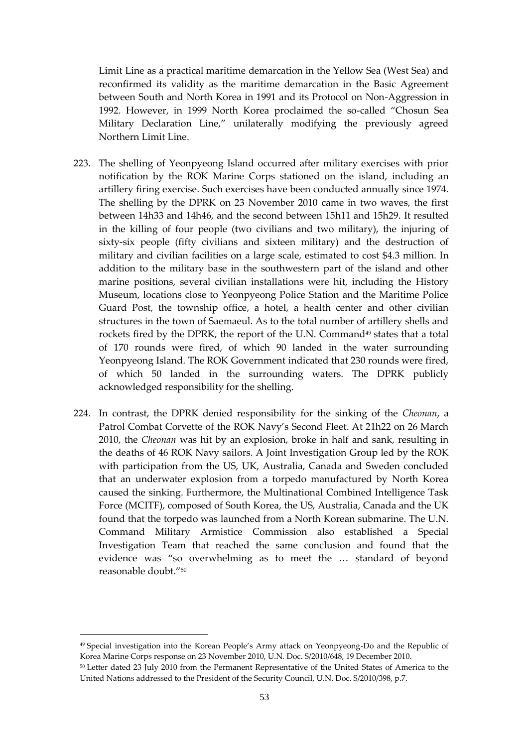Limit Line as a practical maritime demarcation in the Yellow Sea (West Sea) and reconfirmed its validity as the maritime demarcation in the Basic Agreement between South and North Korea in 1991 and its Protocol on Non-Aggression in 1992. However, in 1999 North Korea proclaimed the so-called "Chosun Sea Military Declaration Line," unilaterally modifying the previously agreed Northern Limit Line.

- 223. The shelling of Yeonpyeong Island occurred after military exercises with prior notification by the ROK Marine Corps stationed on the island, including an artillery firing exercise. Such exercises have been conducted annually since 1974. The shelling by the DPRK on 23 November 2010 came in two waves, the first between 14h33 and 14h46, and the second between 15h11 and 15h29. It resulted in the killing of four people (two civilians and two military), the injuring of sixty-six people (fifty civilians and sixteen military) and the destruction of military and civilian facilities on a large scale, estimated to cost \$4.3 million. In addition to the military base in the southwestern part of the island and other marine positions, several civilian installations were hit, including the History Museum, locations close to Yeonpyeong Police Station and the Maritime Police Guard Post, the township office, a hotel, a health center and other civilian structures in the town of Saemaeul. As to the total number of artillery shells and rockets fired by the DPRK, the report of the U.N. Command<sup>49</sup> states that a total of 170 rounds were fired, of which 90 landed in the water surrounding Yeonpyeong Island. The ROK Government indicated that 230 rounds were fired, of which 50 landed in the surrounding waters. The DPRK publicly acknowledged responsibility for the shelling.
- 224. In contrast, the DPRK denied responsibility for the sinking of the *Cheonan*, a Patrol Combat Corvette of the ROK Navy's Second Fleet. At 21h22 on 26 March 2010, the *Cheonan* was hit by an explosion, broke in half and sank, resulting in the deaths of 46 ROK Navy sailors. A Joint Investigation Group led by the ROK with participation from the US, UK, Australia, Canada and Sweden concluded that an underwater explosion from a torpedo manufactured by North Korea caused the sinking. Furthermore, the Multinational Combined Intelligence Task Force (MCITF), composed of South Korea, the US, Australia, Canada and the UK found that the torpedo was launched from a North Korean submarine. The U.N. Command Military Armistice Commission also established a Special Investigation Team that reached the same conclusion and found that the evidence was "so overwhelming as to meet the … standard of beyond reasonable doubt."<sup>50</sup>

<sup>49</sup> Special investigation into the Korean People's Army attack on Yeonpyeong-Do and the Republic of Korea Marine Corps response on 23 November 2010, U.N. Doc. S/2010/648, 19 December 2010.

<sup>50</sup> Letter dated 23 July 2010 from the Permanent Representative of the United States of America to the United Nations addressed to the President of the Security Council, U.N. Doc. S/2010/398, p.7.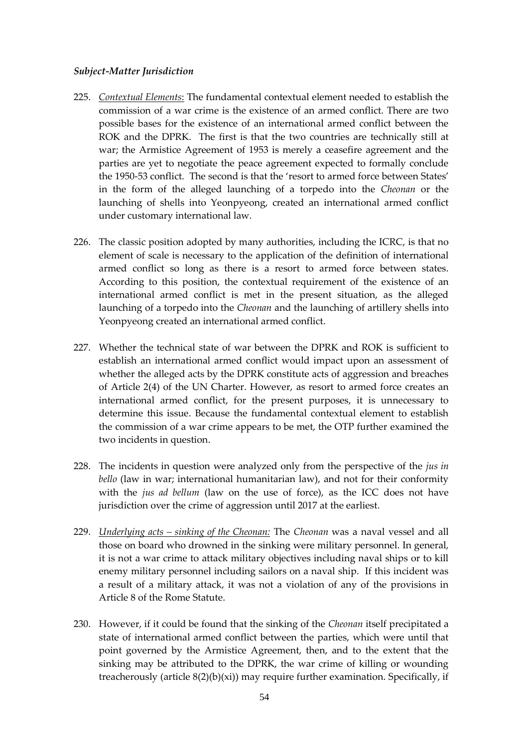#### *Subject-Matter Jurisdiction*

- 225. *Contextual Elements*: The fundamental contextual element needed to establish the commission of a war crime is the existence of an armed conflict. There are two possible bases for the existence of an international armed conflict between the ROK and the DPRK. The first is that the two countries are technically still at war; the Armistice Agreement of 1953 is merely a ceasefire agreement and the parties are yet to negotiate the peace agreement expected to formally conclude the 1950-53 conflict. The second is that the 'resort to armed force between States' in the form of the alleged launching of a torpedo into the *Cheonan* or the launching of shells into Yeonpyeong, created an international armed conflict under customary international law.
- 226. The classic position adopted by many authorities, including the ICRC, is that no element of scale is necessary to the application of the definition of international armed conflict so long as there is a resort to armed force between states. According to this position, the contextual requirement of the existence of an international armed conflict is met in the present situation, as the alleged launching of a torpedo into the *Cheonan* and the launching of artillery shells into Yeonpyeong created an international armed conflict.
- 227. Whether the technical state of war between the DPRK and ROK is sufficient to establish an international armed conflict would impact upon an assessment of whether the alleged acts by the DPRK constitute acts of aggression and breaches of Article 2(4) of the UN Charter. However, as resort to armed force creates an international armed conflict, for the present purposes, it is unnecessary to determine this issue. Because the fundamental contextual element to establish the commission of a war crime appears to be met, the OTP further examined the two incidents in question.
- 228. The incidents in question were analyzed only from the perspective of the *jus in bello* (law in war; international humanitarian law), and not for their conformity with the *jus ad bellum* (law on the use of force), as the ICC does not have jurisdiction over the crime of aggression until 2017 at the earliest.
- 229. *Underlying acts – sinking of the Cheonan:* The *Cheonan* was a naval vessel and all those on board who drowned in the sinking were military personnel. In general, it is not a war crime to attack military objectives including naval ships or to kill enemy military personnel including sailors on a naval ship. If this incident was a result of a military attack, it was not a violation of any of the provisions in Article 8 of the Rome Statute.
- 230. However, if it could be found that the sinking of the *Cheonan* itself precipitated a state of international armed conflict between the parties, which were until that point governed by the Armistice Agreement, then, and to the extent that the sinking may be attributed to the DPRK, the war crime of killing or wounding treacherously (article  $8(2)(b)(xi)$ ) may require further examination. Specifically, if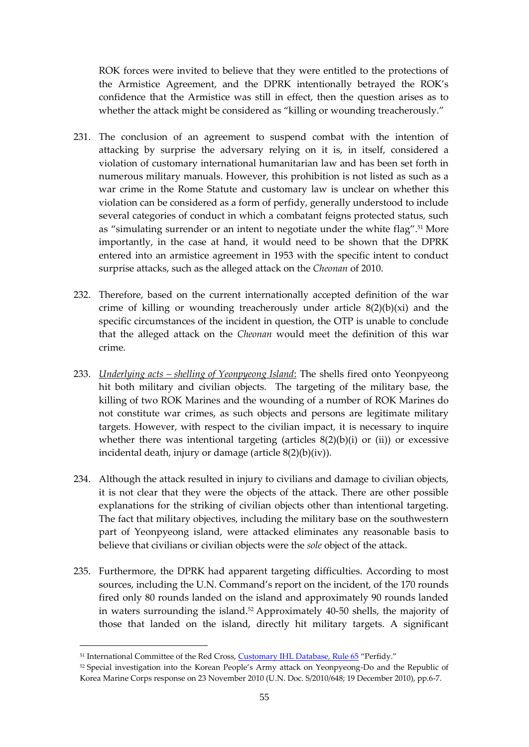ROK forces were invited to believe that they were entitled to the protections of the Armistice Agreement, and the DPRK intentionally betrayed the ROK's confidence that the Armistice was still in effect, then the question arises as to whether the attack might be considered as "killing or wounding treacherously."

- 231. The conclusion of an agreement to suspend combat with the intention of attacking by surprise the adversary relying on it is, in itself, considered a violation of customary international humanitarian law and has been set forth in numerous military manuals. However, this prohibition is not listed as such as a war crime in the Rome Statute and customary law is unclear on whether this violation can be considered as a form of perfidy, generally understood to include several categories of conduct in which a combatant feigns protected status, such as "simulating surrender or an intent to negotiate under the white flag".<sup>51</sup> More importantly, in the case at hand, it would need to be shown that the DPRK entered into an armistice agreement in 1953 with the specific intent to conduct surprise attacks, such as the alleged attack on the *Cheonan* of 2010.
- 232. Therefore, based on the current internationally accepted definition of the war crime of killing or wounding treacherously under article 8(2)(b)(xi) and the specific circumstances of the incident in question, the OTP is unable to conclude that the alleged attack on the *Cheonan* would meet the definition of this war crime.
- 233. *Underlying acts – shelling of Yeonpyeong Island*: The shells fired onto Yeonpyeong hit both military and civilian objects. The targeting of the military base, the killing of two ROK Marines and the wounding of a number of ROK Marines do not constitute war crimes, as such objects and persons are legitimate military targets. However, with respect to the civilian impact, it is necessary to inquire whether there was intentional targeting (articles  $8(2)(b)(i)$  or (ii)) or excessive incidental death, injury or damage (article 8(2)(b)(iv)).
- 234. Although the attack resulted in injury to civilians and damage to civilian objects, it is not clear that they were the objects of the attack. There are other possible explanations for the striking of civilian objects other than intentional targeting. The fact that military objectives, including the military base on the southwestern part of Yeonpyeong island, were attacked eliminates any reasonable basis to believe that civilians or civilian objects were the *sole* object of the attack.
- 235. Furthermore, the DPRK had apparent targeting difficulties. According to most sources, including the U.N. Command's report on the incident, of the 170 rounds fired only 80 rounds landed on the island and approximately 90 rounds landed in waters surrounding the island.<sup>52</sup> Approximately 40-50 shells, the majority of those that landed on the island, directly hit military targets. A significant

<sup>&</sup>lt;sup>51</sup> International Committee of the Red Cross, [Customary IHL Database, Rule 65](http://www.icrc.org/customary-ihl/eng/docs/v1_rul_rule65) "Perfidy."

<sup>&</sup>lt;sup>52</sup> Special investigation into the Korean People's Army attack on Yeonpyeong-Do and the Republic of Korea Marine Corps response on 23 November 2010 (U.N. Doc. S/2010/648; 19 December 2010), pp.6-7.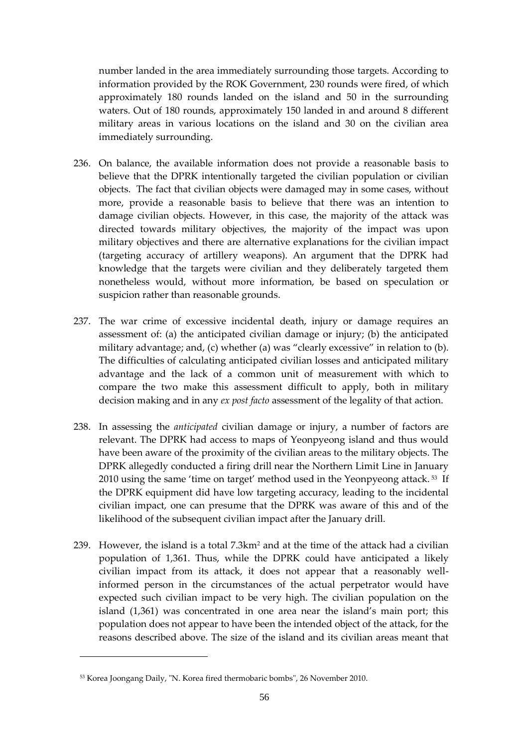number landed in the area immediately surrounding those targets. According to information provided by the ROK Government, 230 rounds were fired, of which approximately 180 rounds landed on the island and 50 in the surrounding waters. Out of 180 rounds, approximately 150 landed in and around 8 different military areas in various locations on the island and 30 on the civilian area immediately surrounding.

- 236. On balance, the available information does not provide a reasonable basis to believe that the DPRK intentionally targeted the civilian population or civilian objects. The fact that civilian objects were damaged may in some cases, without more, provide a reasonable basis to believe that there was an intention to damage civilian objects. However, in this case, the majority of the attack was directed towards military objectives, the majority of the impact was upon military objectives and there are alternative explanations for the civilian impact (targeting accuracy of artillery weapons). An argument that the DPRK had knowledge that the targets were civilian and they deliberately targeted them nonetheless would, without more information, be based on speculation or suspicion rather than reasonable grounds.
- 237. The war crime of excessive incidental death, injury or damage requires an assessment of: (a) the anticipated civilian damage or injury; (b) the anticipated military advantage; and, (c) whether (a) was "clearly excessive" in relation to (b). The difficulties of calculating anticipated civilian losses and anticipated military advantage and the lack of a common unit of measurement with which to compare the two make this assessment difficult to apply, both in military decision making and in any *ex post facto* assessment of the legality of that action.
- 238. In assessing the *anticipated* civilian damage or injury, a number of factors are relevant. The DPRK had access to maps of Yeonpyeong island and thus would have been aware of the proximity of the civilian areas to the military objects. The DPRK allegedly conducted a firing drill near the Northern Limit Line in January 2010 using the same 'time on target' method used in the Yeonpyeong attack. <sup>53</sup> If the DPRK equipment did have low targeting accuracy, leading to the incidental civilian impact, one can presume that the DPRK was aware of this and of the likelihood of the subsequent civilian impact after the January drill.
- 239. However, the island is a total  $7.3 \text{km}^2$  and at the time of the attack had a civilian population of 1,361. Thus, while the DPRK could have anticipated a likely civilian impact from its attack, it does not appear that a reasonably wellinformed person in the circumstances of the actual perpetrator would have expected such civilian impact to be very high. The civilian population on the island (1,361) was concentrated in one area near the island's main port; this population does not appear to have been the intended object of the attack, for the reasons described above. The size of the island and its civilian areas meant that

<sup>53</sup> Korea Joongang Daily, "N. Korea fired thermobaric bombs", 26 November 2010.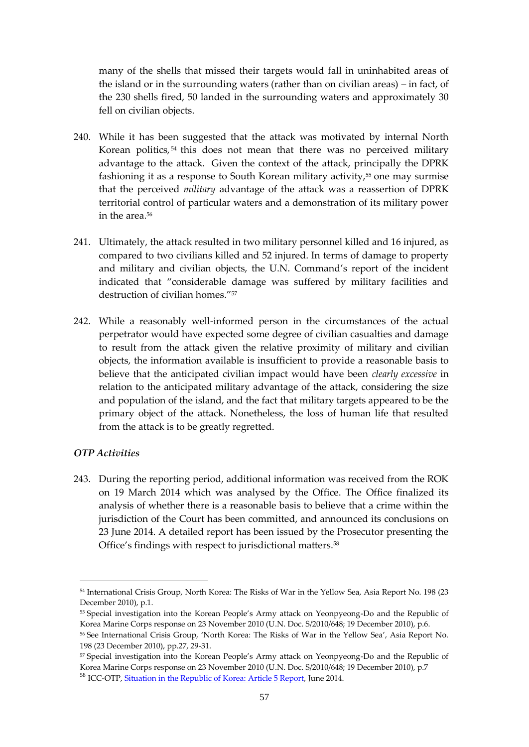many of the shells that missed their targets would fall in uninhabited areas of the island or in the surrounding waters (rather than on civilian areas) – in fact, of the 230 shells fired, 50 landed in the surrounding waters and approximately 30 fell on civilian objects.

- 240. While it has been suggested that the attack was motivated by internal North Korean politics, <sup>54</sup> this does not mean that there was no perceived military advantage to the attack. Given the context of the attack, principally the DPRK fashioning it as a response to South Korean military activity,<sup>55</sup> one may surmise that the perceived *military* advantage of the attack was a reassertion of DPRK territorial control of particular waters and a demonstration of its military power in the area.<sup>56</sup>
- 241. Ultimately, the attack resulted in two military personnel killed and 16 injured, as compared to two civilians killed and 52 injured. In terms of damage to property and military and civilian objects, the U.N. Command's report of the incident indicated that "considerable damage was suffered by military facilities and destruction of civilian homes."<sup>57</sup>
- 242. While a reasonably well-informed person in the circumstances of the actual perpetrator would have expected some degree of civilian casualties and damage to result from the attack given the relative proximity of military and civilian objects, the information available is insufficient to provide a reasonable basis to believe that the anticipated civilian impact would have been *clearly excessive* in relation to the anticipated military advantage of the attack, considering the size and population of the island, and the fact that military targets appeared to be the primary object of the attack. Nonetheless, the loss of human life that resulted from the attack is to be greatly regretted.

## *OTP Activities*

<u>.</u>

243. During the reporting period, additional information was received from the ROK on 19 March 2014 which was analysed by the Office. The Office finalized its analysis of whether there is a reasonable basis to believe that a crime within the jurisdiction of the Court has been committed, and announced its conclusions on 23 June 2014. A detailed report has been issued by the Prosecutor presenting the Office's findings with respect to jurisdictional matters.<sup>58</sup>

<sup>54</sup> International Crisis Group, North Korea: The Risks of War in the Yellow Sea, Asia Report No. 198 (23 December 2010), p.1.

<sup>55</sup> Special investigation into the Korean People's Army attack on Yeonpyeong-Do and the Republic of Korea Marine Corps response on 23 November 2010 (U.N. Doc. S/2010/648; 19 December 2010), p.6.

<sup>56</sup> See International Crisis Group, 'North Korea: The Risks of War in the Yellow Sea', Asia Report No. 198 (23 December 2010), pp.27, 29-31.

<sup>57</sup> Special investigation into the Korean People's Army attack on Yeonpyeong-Do and the Republic of Korea Marine Corps response on 23 November 2010 (U.N. Doc. S/2010/648; 19 December 2010), p.7

<sup>&</sup>lt;sup>58</sup> ICC-OTP[, Situation in the Republic of Korea: Article 5 Report,](http://www.icc-cpi.int/en_menus/icc/structure%20of%20the%20court/office%20of%20the%20prosecutor/comm%20and%20ref/pe-cdnp/korea/Pages/article-5-report.aspx) June 2014.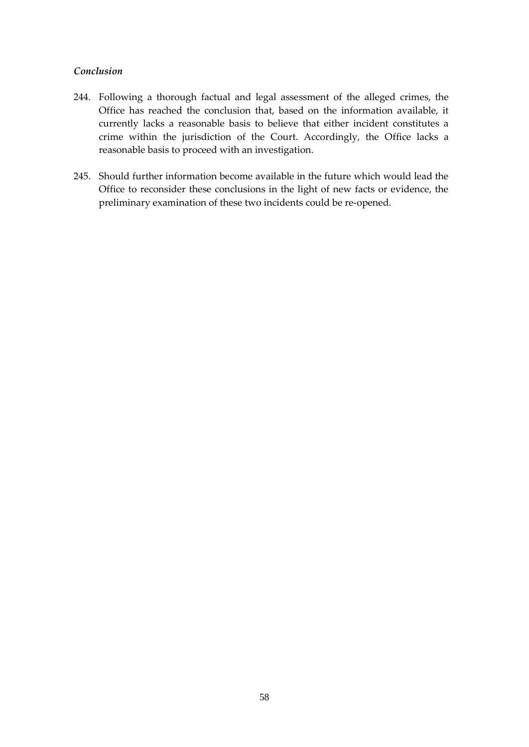## *Conclusion*

- 244. Following a thorough factual and legal assessment of the alleged crimes, the Office has reached the conclusion that, based on the information available, it currently lacks a reasonable basis to believe that either incident constitutes a crime within the jurisdiction of the Court. Accordingly, the Office lacks a reasonable basis to proceed with an investigation.
- 245. Should further information become available in the future which would lead the Office to reconsider these conclusions in the light of new facts or evidence, the preliminary examination of these two incidents could be re-opened.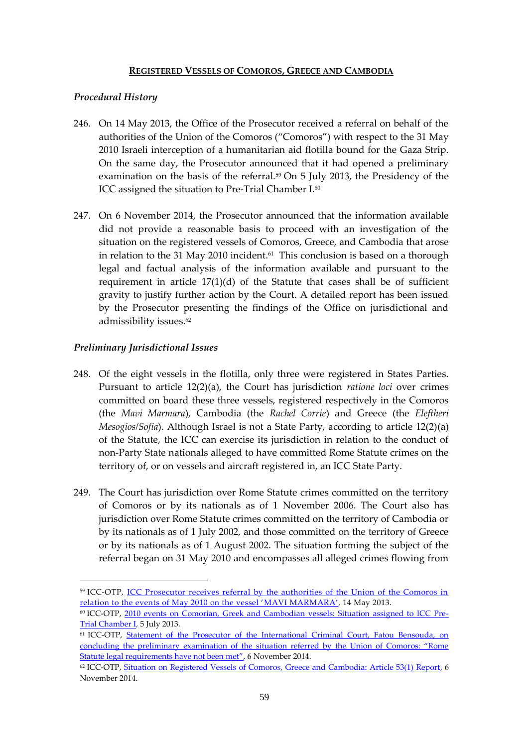#### **REGISTERED VESSELS OF COMOROS, GREECE AND CAMBODIA**

### <span id="page-60-0"></span>*Procedural History*

- 246. On 14 May 2013, the Office of the Prosecutor received a referral on behalf of the authorities of the Union of the Comoros ("Comoros") with respect to the 31 May 2010 Israeli interception of a humanitarian aid flotilla bound for the Gaza Strip. On the same day, the Prosecutor announced that it had opened a preliminary examination on the basis of the referral.<sup>59</sup> On 5 July 2013, the Presidency of the ICC assigned the situation to Pre-Trial Chamber I.<sup>60</sup>
- 247. On 6 November 2014, the Prosecutor announced that the information available did not provide a reasonable basis to proceed with an investigation of the situation on the registered vessels of Comoros, Greece, and Cambodia that arose in relation to the 31 May 2010 incident.<sup>61</sup> This conclusion is based on a thorough legal and factual analysis of the information available and pursuant to the requirement in article  $17(1)(d)$  of the Statute that cases shall be of sufficient gravity to justify further action by the Court. A detailed report has been issued by the Prosecutor presenting the findings of the Office on jurisdictional and admissibility issues.<sup>62</sup>

#### *Preliminary Jurisdictional Issues*

<u>.</u>

- 248. Of the eight vessels in the flotilla, only three were registered in States Parties. Pursuant to article 12(2)(a), the Court has jurisdiction *ratione loci* over crimes committed on board these three vessels, registered respectively in the Comoros (the *Mavi Marmara*), Cambodia (the *Rachel Corrie*) and Greece (the *Eleftheri Mesogios/Sofia*). Although Israel is not a State Party, according to article 12(2)(a) of the Statute, the ICC can exercise its jurisdiction in relation to the conduct of non-Party State nationals alleged to have committed Rome Statute crimes on the territory of, or on vessels and aircraft registered in, an ICC State Party.
- 249. The Court has jurisdiction over Rome Statute crimes committed on the territory of Comoros or by its nationals as of 1 November 2006. The Court also has jurisdiction over Rome Statute crimes committed on the territory of Cambodia or by its nationals as of 1 July 2002, and those committed on the territory of Greece or by its nationals as of 1 August 2002. The situation forming the subject of the referral began on 31 May 2010 and encompasses all alleged crimes flowing from

<sup>&</sup>lt;sup>59</sup> ICC-OTP, <u>ICC Prosecutor receives referral by the authorities of the Union of the Comoros in</u> [relation to the events of May 2010 on the vessel 'MAVI MARMARA'](http://www.icc-cpi.int/en_menus/icc/press%20and%20media/press%20releases/Pages/otp-statement-14-05-2013.aspx), 14 May 2013.

<sup>60</sup> ICC-OTP, [2010 events on Comorian, Greek and Cambodian vessels: Situation assigned to ICC Pre-](http://www.icc-cpi.int/en_menus/icc/press%20and%20media/press%20releases/Pages/pr926.aspx)[Trial Chamber I,](http://www.icc-cpi.int/en_menus/icc/press%20and%20media/press%20releases/Pages/pr926.aspx) 5 July 2013.

<sup>&</sup>lt;sup>61</sup> ICC-OTP, Statement of the Prosecutor of the International Criminal Court, Fatou Bensouda, on concluding the preliminary [examination of the situation referred by the Union of Comoros: "Rome](http://www.icc-cpi.int/en_menus/icc/press%20and%20media/press%20releases/Pages/otp-statement-06-11-2014.aspx)  [Statute legal requirements have not been met"](http://www.icc-cpi.int/en_menus/icc/press%20and%20media/press%20releases/Pages/otp-statement-06-11-2014.aspx), 6 November 2014.

<sup>62</sup> ICC-OTP, [Situation on Registered Vessels of Comoros, Greece and Cambodia: Article 53\(1\) Report,](http://www.icc-cpi.int/iccdocs/otp/OTP-COM-Article_53(1)-Report-06Nov2014Eng.pdf) 6 November 2014.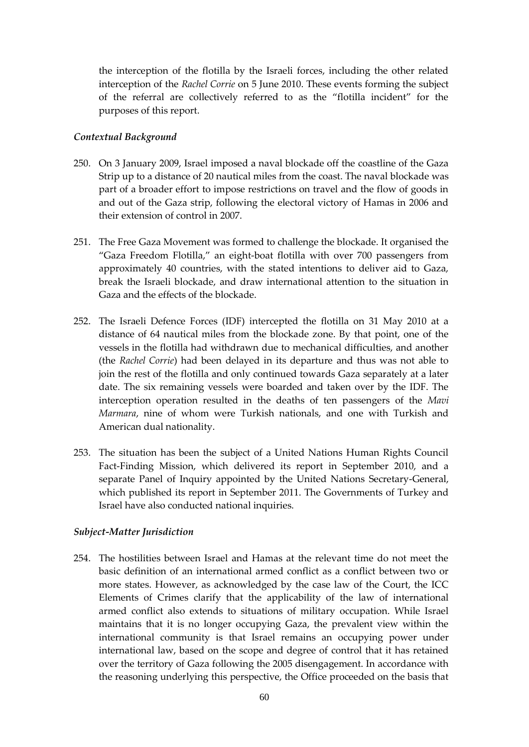the interception of the flotilla by the Israeli forces, including the other related interception of the *Rachel Corrie* on 5 June 2010. These events forming the subject of the referral are collectively referred to as the "flotilla incident" for the purposes of this report.

### *Contextual Background*

- 250. On 3 January 2009, Israel imposed a naval blockade off the coastline of the Gaza Strip up to a distance of 20 nautical miles from the coast. The naval blockade was part of a broader effort to impose restrictions on travel and the flow of goods in and out of the Gaza strip, following the electoral victory of Hamas in 2006 and their extension of control in 2007.
- 251. The Free Gaza Movement was formed to challenge the blockade. It organised the "Gaza Freedom Flotilla," an eight-boat flotilla with over 700 passengers from approximately 40 countries, with the stated intentions to deliver aid to Gaza, break the Israeli blockade, and draw international attention to the situation in Gaza and the effects of the blockade.
- 252. The Israeli Defence Forces (IDF) intercepted the flotilla on 31 May 2010 at a distance of 64 nautical miles from the blockade zone. By that point, one of the vessels in the flotilla had withdrawn due to mechanical difficulties, and another (the *Rachel Corrie*) had been delayed in its departure and thus was not able to join the rest of the flotilla and only continued towards Gaza separately at a later date. The six remaining vessels were boarded and taken over by the IDF. The interception operation resulted in the deaths of ten passengers of the *Mavi Marmara*, nine of whom were Turkish nationals, and one with Turkish and American dual nationality.
- 253. The situation has been the subject of a United Nations Human Rights Council Fact-Finding Mission, which delivered its report in September 2010, and a separate Panel of Inquiry appointed by the United Nations Secretary-General, which published its report in September 2011. The Governments of Turkey and Israel have also conducted national inquiries.

#### *Subject-Matter Jurisdiction*

254. The hostilities between Israel and Hamas at the relevant time do not meet the basic definition of an international armed conflict as a conflict between two or more states. However, as acknowledged by the case law of the Court, the ICC Elements of Crimes clarify that the applicability of the law of international armed conflict also extends to situations of military occupation. While Israel maintains that it is no longer occupying Gaza, the prevalent view within the international community is that Israel remains an occupying power under international law, based on the scope and degree of control that it has retained over the territory of Gaza following the 2005 disengagement. In accordance with the reasoning underlying this perspective, the Office proceeded on the basis that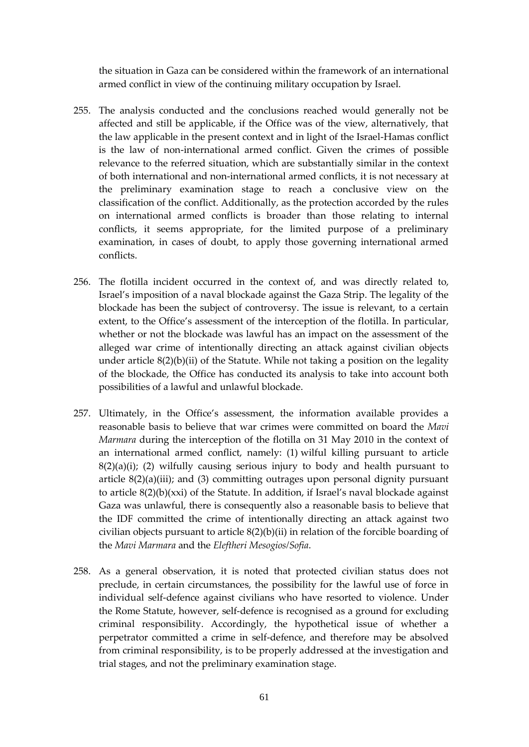the situation in Gaza can be considered within the framework of an international armed conflict in view of the continuing military occupation by Israel.

- 255. The analysis conducted and the conclusions reached would generally not be affected and still be applicable, if the Office was of the view, alternatively, that the law applicable in the present context and in light of the Israel-Hamas conflict is the law of non-international armed conflict. Given the crimes of possible relevance to the referred situation, which are substantially similar in the context of both international and non-international armed conflicts, it is not necessary at the preliminary examination stage to reach a conclusive view on the classification of the conflict. Additionally, as the protection accorded by the rules on international armed conflicts is broader than those relating to internal conflicts, it seems appropriate, for the limited purpose of a preliminary examination, in cases of doubt, to apply those governing international armed conflicts.
- 256. The flotilla incident occurred in the context of, and was directly related to, Israel's imposition of a naval blockade against the Gaza Strip. The legality of the blockade has been the subject of controversy. The issue is relevant, to a certain extent, to the Office's assessment of the interception of the flotilla. In particular, whether or not the blockade was lawful has an impact on the assessment of the alleged war crime of intentionally directing an attack against civilian objects under article 8(2)(b)(ii) of the Statute. While not taking a position on the legality of the blockade, the Office has conducted its analysis to take into account both possibilities of a lawful and unlawful blockade.
- 257. Ultimately, in the Office's assessment, the information available provides a reasonable basis to believe that war crimes were committed on board the *Mavi Marmara* during the interception of the flotilla on 31 May 2010 in the context of an international armed conflict, namely: (1) wilful killing pursuant to article  $8(2)(a)(i)$ ; (2) wilfully causing serious injury to body and health pursuant to article 8(2)(a)(iii); and (3) committing outrages upon personal dignity pursuant to article 8(2)(b)(xxi) of the Statute. In addition, if Israel's naval blockade against Gaza was unlawful, there is consequently also a reasonable basis to believe that the IDF committed the crime of intentionally directing an attack against two civilian objects pursuant to article 8(2)(b)(ii) in relation of the forcible boarding of the *Mavi Marmara* and the *Eleftheri Mesogios/Sofia*.
- 258. As a general observation, it is noted that protected civilian status does not preclude, in certain circumstances, the possibility for the lawful use of force in individual self-defence against civilians who have resorted to violence. Under the Rome Statute, however, self-defence is recognised as a ground for excluding criminal responsibility. Accordingly, the hypothetical issue of whether a perpetrator committed a crime in self-defence, and therefore may be absolved from criminal responsibility, is to be properly addressed at the investigation and trial stages, and not the preliminary examination stage.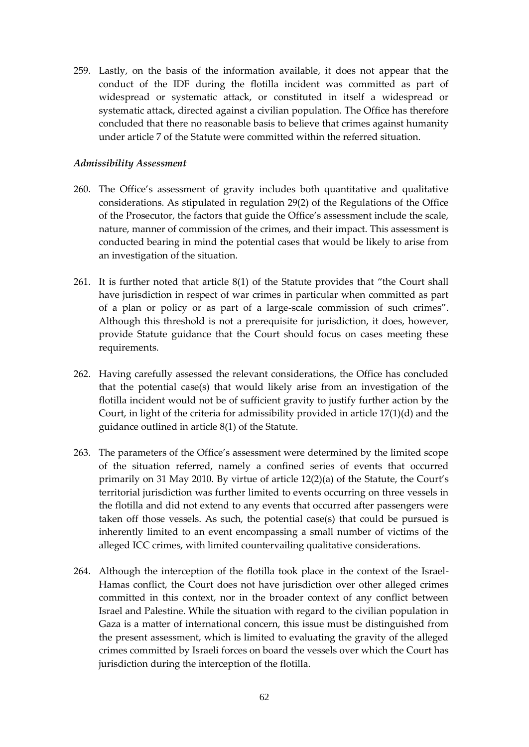259. Lastly, on the basis of the information available, it does not appear that the conduct of the IDF during the flotilla incident was committed as part of widespread or systematic attack, or constituted in itself a widespread or systematic attack, directed against a civilian population. The Office has therefore concluded that there no reasonable basis to believe that crimes against humanity under article 7 of the Statute were committed within the referred situation.

#### *Admissibility Assessment*

- 260. The Office's assessment of gravity includes both quantitative and qualitative considerations. As stipulated in regulation 29(2) of the Regulations of the Office of the Prosecutor, the factors that guide the Office's assessment include the scale, nature, manner of commission of the crimes, and their impact. This assessment is conducted bearing in mind the potential cases that would be likely to arise from an investigation of the situation.
- 261. It is further noted that article 8(1) of the Statute provides that "the Court shall have jurisdiction in respect of war crimes in particular when committed as part of a plan or policy or as part of a large-scale commission of such crimes". Although this threshold is not a prerequisite for jurisdiction, it does, however, provide Statute guidance that the Court should focus on cases meeting these requirements.
- 262. Having carefully assessed the relevant considerations, the Office has concluded that the potential case(s) that would likely arise from an investigation of the flotilla incident would not be of sufficient gravity to justify further action by the Court, in light of the criteria for admissibility provided in article 17(1)(d) and the guidance outlined in article 8(1) of the Statute.
- 263. The parameters of the Office's assessment were determined by the limited scope of the situation referred, namely a confined series of events that occurred primarily on 31 May 2010. By virtue of article 12(2)(a) of the Statute, the Court's territorial jurisdiction was further limited to events occurring on three vessels in the flotilla and did not extend to any events that occurred after passengers were taken off those vessels. As such, the potential case(s) that could be pursued is inherently limited to an event encompassing a small number of victims of the alleged ICC crimes, with limited countervailing qualitative considerations.
- 264. Although the interception of the flotilla took place in the context of the Israel-Hamas conflict, the Court does not have jurisdiction over other alleged crimes committed in this context, nor in the broader context of any conflict between Israel and Palestine. While the situation with regard to the civilian population in Gaza is a matter of international concern, this issue must be distinguished from the present assessment, which is limited to evaluating the gravity of the alleged crimes committed by Israeli forces on board the vessels over which the Court has jurisdiction during the interception of the flotilla.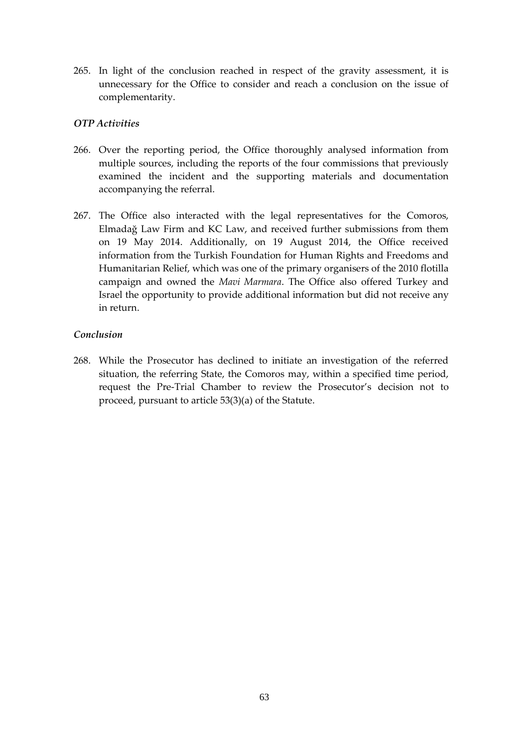265. In light of the conclusion reached in respect of the gravity assessment, it is unnecessary for the Office to consider and reach a conclusion on the issue of complementarity.

## *OTP Activities*

- 266. Over the reporting period, the Office thoroughly analysed information from multiple sources, including the reports of the four commissions that previously examined the incident and the supporting materials and documentation accompanying the referral.
- 267. The Office also interacted with the legal representatives for the Comoros, Elmadağ Law Firm and KC Law, and received further submissions from them on 19 May 2014. Additionally, on 19 August 2014, the Office received information from the Turkish Foundation for Human Rights and Freedoms and Humanitarian Relief, which was one of the primary organisers of the 2010 flotilla campaign and owned the *Mavi Marmara*. The Office also offered Turkey and Israel the opportunity to provide additional information but did not receive any in return.

## *Conclusion*

268. While the Prosecutor has declined to initiate an investigation of the referred situation, the referring State, the Comoros may, within a specified time period, request the Pre-Trial Chamber to review the Prosecutor's decision not to proceed, pursuant to article 53(3)(a) of the Statute.